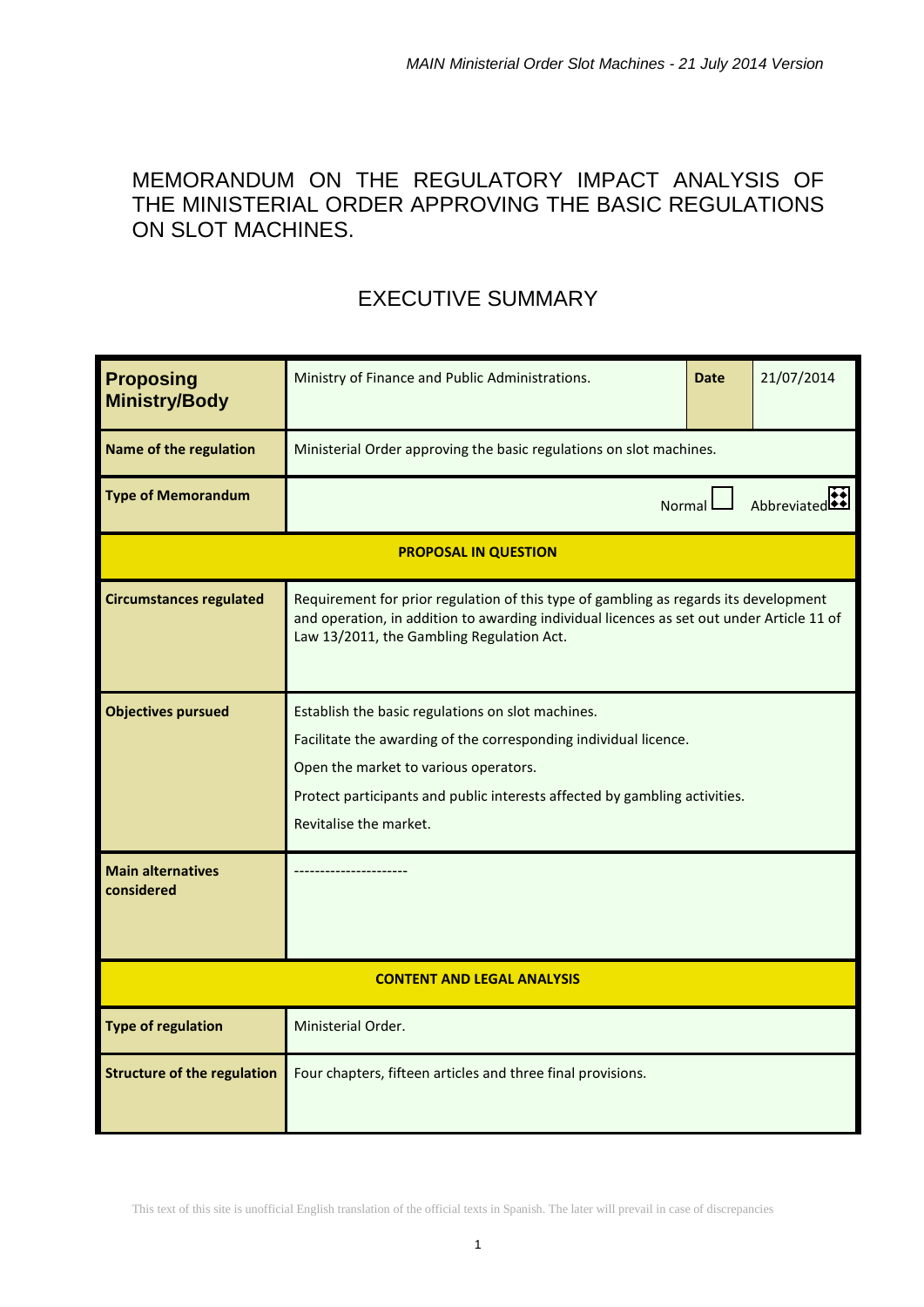# MEMORANDUM ON THE REGULATORY IMPACT ANALYSIS OF THE MINISTERIAL ORDER APPROVING THE BASIC REGULATIONS ON SLOT MACHINES.

# EXECUTIVE SUMMARY

| <b>Proposing</b><br><b>Ministry/Body</b> | Ministry of Finance and Public Administrations.                                                                                                                                                                                                                        | <b>Date</b> | 21/07/2014  |  |  |  |  |
|------------------------------------------|------------------------------------------------------------------------------------------------------------------------------------------------------------------------------------------------------------------------------------------------------------------------|-------------|-------------|--|--|--|--|
| <b>Name of the regulation</b>            | Ministerial Order approving the basic regulations on slot machines.                                                                                                                                                                                                    |             |             |  |  |  |  |
| <b>Type of Memorandum</b>                | <b>Normal</b>                                                                                                                                                                                                                                                          |             | Abbreviated |  |  |  |  |
|                                          | <b>PROPOSAL IN QUESTION</b>                                                                                                                                                                                                                                            |             |             |  |  |  |  |
| <b>Circumstances regulated</b>           | Requirement for prior regulation of this type of gambling as regards its development<br>and operation, in addition to awarding individual licences as set out under Article 11 of<br>Law 13/2011, the Gambling Regulation Act.                                         |             |             |  |  |  |  |
| <b>Objectives pursued</b>                | Establish the basic regulations on slot machines.<br>Facilitate the awarding of the corresponding individual licence.<br>Open the market to various operators.<br>Protect participants and public interests affected by gambling activities.<br>Revitalise the market. |             |             |  |  |  |  |
| <b>Main alternatives</b><br>considered   |                                                                                                                                                                                                                                                                        |             |             |  |  |  |  |
| <b>CONTENT AND LEGAL ANALYSIS</b>        |                                                                                                                                                                                                                                                                        |             |             |  |  |  |  |
| <b>Type of regulation</b>                | Ministerial Order.                                                                                                                                                                                                                                                     |             |             |  |  |  |  |
| <b>Structure of the regulation</b>       | Four chapters, fifteen articles and three final provisions.                                                                                                                                                                                                            |             |             |  |  |  |  |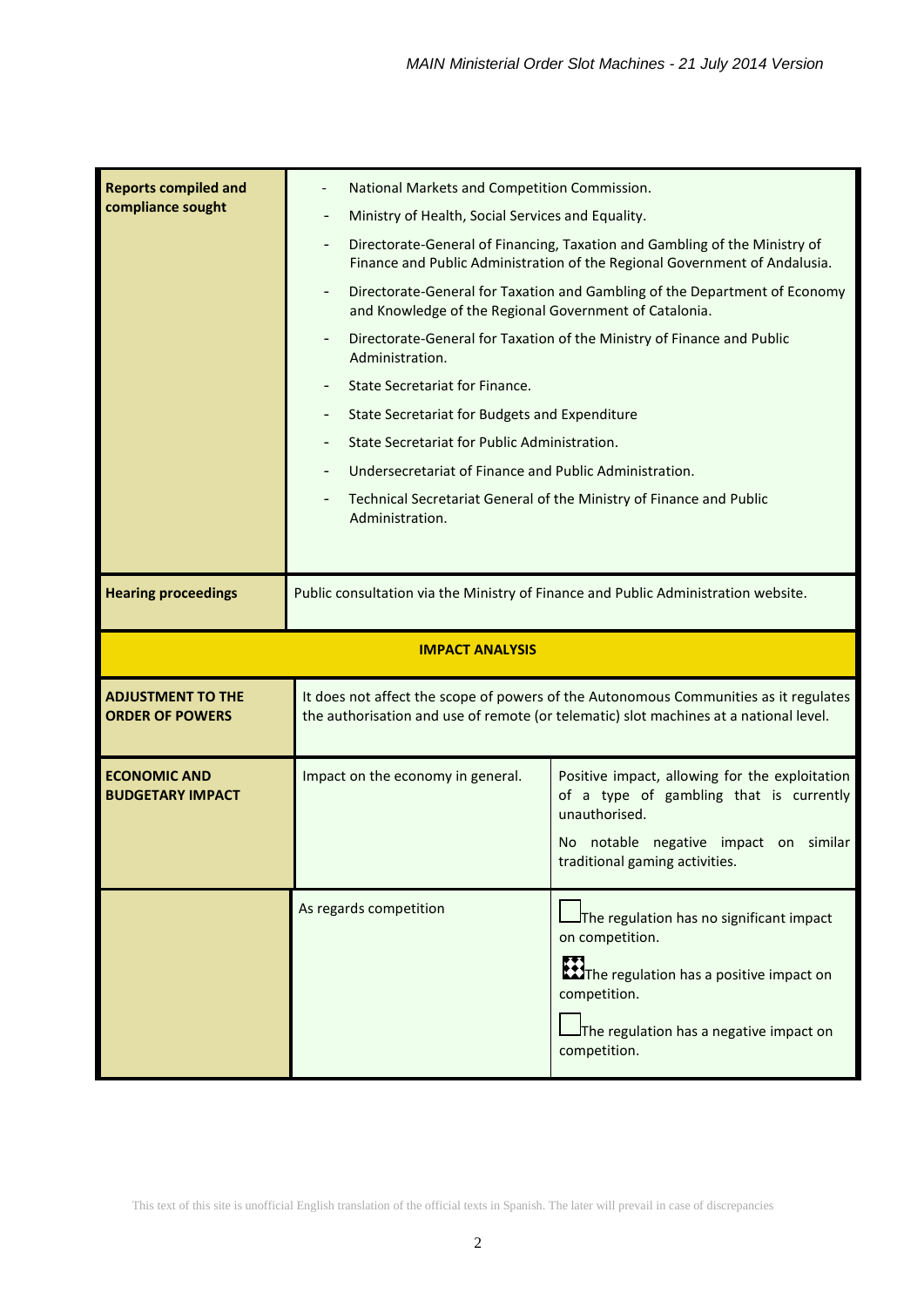| <b>Reports compiled and</b><br>compliance sought   | National Markets and Competition Commission.<br>-<br>$\qquad \qquad -$<br>$\overline{\phantom{0}}$<br>$\qquad \qquad -$<br>Administration.<br>State Secretariat for Finance.<br>Administration. | Ministry of Health, Social Services and Equality.<br>Directorate-General of Financing, Taxation and Gambling of the Ministry of<br>Finance and Public Administration of the Regional Government of Andalusia.<br>Directorate-General for Taxation and Gambling of the Department of Economy<br>and Knowledge of the Regional Government of Catalonia.<br>Directorate-General for Taxation of the Ministry of Finance and Public<br>State Secretariat for Budgets and Expenditure<br>State Secretariat for Public Administration.<br>Undersecretariat of Finance and Public Administration.<br>Technical Secretariat General of the Ministry of Finance and Public |  |  |  |  |
|----------------------------------------------------|-------------------------------------------------------------------------------------------------------------------------------------------------------------------------------------------------|-------------------------------------------------------------------------------------------------------------------------------------------------------------------------------------------------------------------------------------------------------------------------------------------------------------------------------------------------------------------------------------------------------------------------------------------------------------------------------------------------------------------------------------------------------------------------------------------------------------------------------------------------------------------|--|--|--|--|
| <b>Hearing proceedings</b>                         |                                                                                                                                                                                                 | Public consultation via the Ministry of Finance and Public Administration website.                                                                                                                                                                                                                                                                                                                                                                                                                                                                                                                                                                                |  |  |  |  |
|                                                    | <b>IMPACT ANALYSIS</b>                                                                                                                                                                          |                                                                                                                                                                                                                                                                                                                                                                                                                                                                                                                                                                                                                                                                   |  |  |  |  |
| <b>ADJUSTMENT TO THE</b><br><b>ORDER OF POWERS</b> |                                                                                                                                                                                                 | It does not affect the scope of powers of the Autonomous Communities as it regulates<br>the authorisation and use of remote (or telematic) slot machines at a national level.                                                                                                                                                                                                                                                                                                                                                                                                                                                                                     |  |  |  |  |
| <b>ECONOMIC AND</b><br><b>BUDGETARY IMPACT</b>     | Impact on the economy in general.                                                                                                                                                               | Positive impact, allowing for the exploitation<br>of a type of gambling that is currently<br>unauthorised.<br>No notable negative impact on similar<br>traditional gaming activities.                                                                                                                                                                                                                                                                                                                                                                                                                                                                             |  |  |  |  |
|                                                    | As regards competition                                                                                                                                                                          | $J$ The regulation has no significant impact<br>on competition.<br><b>LECTITIE</b> regulation has a positive impact on<br>competition.<br>The regulation has a negative impact on<br>competition.                                                                                                                                                                                                                                                                                                                                                                                                                                                                 |  |  |  |  |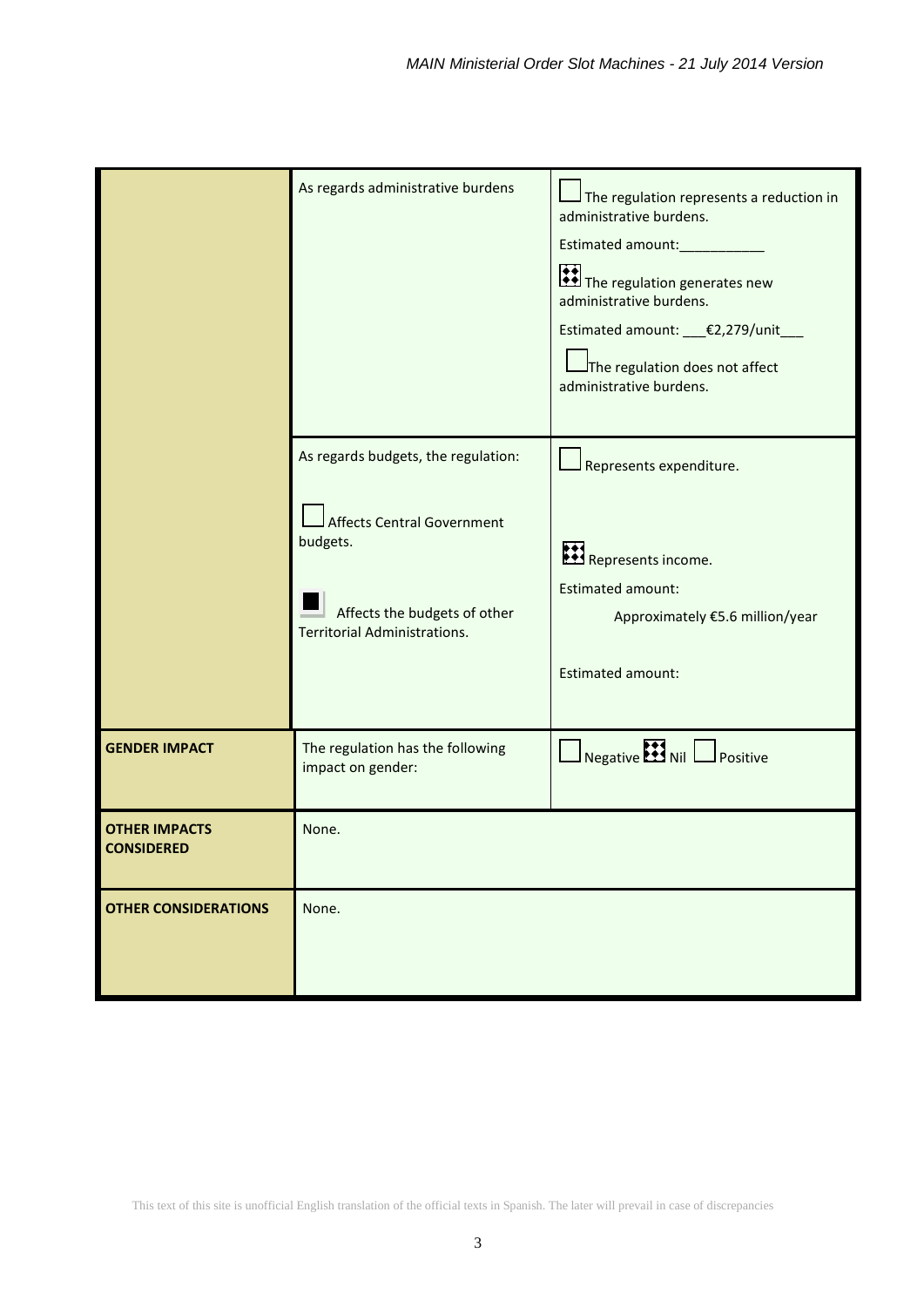|                                           | As regards administrative burdens                                                                                                                           | The regulation represents a reduction in<br>administrative burdens.<br>Estimated amount:____________<br>The regulation generates new<br>administrative burdens.<br>Estimated amount: __€2,279/unit_<br>The regulation does not affect<br>administrative burdens. |
|-------------------------------------------|-------------------------------------------------------------------------------------------------------------------------------------------------------------|------------------------------------------------------------------------------------------------------------------------------------------------------------------------------------------------------------------------------------------------------------------|
|                                           | As regards budgets, the regulation:<br><b>Affects Central Government</b><br>budgets.<br>Affects the budgets of other<br><b>Territorial Administrations.</b> | Represents expenditure.<br>Represents income.<br><b>Estimated amount:</b><br>Approximately €5.6 million/year<br><b>Estimated amount:</b>                                                                                                                         |
| <b>GENDER IMPACT</b>                      | The regulation has the following<br>impact on gender:                                                                                                       | $\Box$ Negative $\Box$ Nil $\Box$ Positive                                                                                                                                                                                                                       |
| <b>OTHER IMPACTS</b><br><b>CONSIDERED</b> | None.                                                                                                                                                       |                                                                                                                                                                                                                                                                  |
| <b>OTHER CONSIDERATIONS</b>               | None.                                                                                                                                                       |                                                                                                                                                                                                                                                                  |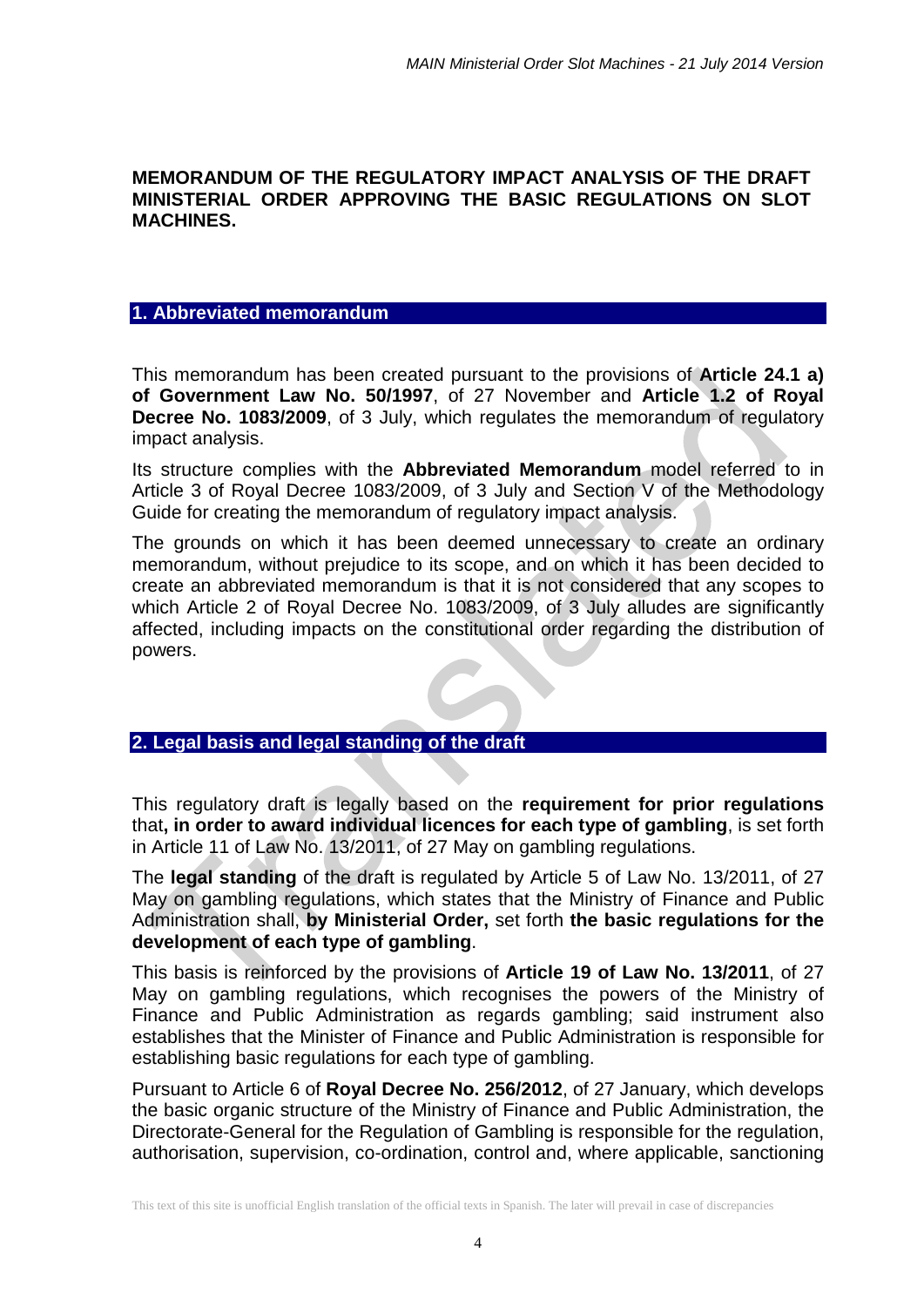#### **MEMORANDUM OF THE REGULATORY IMPACT ANALYSIS OF THE DRAFT MINISTERIAL ORDER APPROVING THE BASIC REGULATIONS ON SLOT MACHINES.**

#### **1. Abbreviated memorandum**

This memorandum has been created pursuant to the provisions of **Article 24.1 a) of Government Law No. 50/1997**, of 27 November and **Article 1.2 of Royal Decree No. 1083/2009**, of 3 July, which regulates the memorandum of regulatory impact analysis.

Its structure complies with the **Abbreviated Memorandum** model referred to in Article 3 of Royal Decree 1083/2009, of 3 July and Section V of the Methodology Guide for creating the memorandum of regulatory impact analysis.

The grounds on which it has been deemed unnecessary to create an ordinary memorandum, without prejudice to its scope, and on which it has been decided to create an abbreviated memorandum is that it is not considered that any scopes to which Article 2 of Royal Decree No. 1083/2009, of 3 July alludes are significantly affected, including impacts on the constitutional order regarding the distribution of powers.

### **2. Legal basis and legal standing of the draft**

This regulatory draft is legally based on the **requirement for prior regulations**  that**, in order to award individual licences for each type of gambling**, is set forth in Article 11 of Law No. 13/2011, of 27 May on gambling regulations.

The **legal standing** of the draft is regulated by Article 5 of Law No. 13/2011, of 27 May on gambling regulations, which states that the Ministry of Finance and Public Administration shall, **by Ministerial Order,** set forth **the basic regulations for the development of each type of gambling**.

This basis is reinforced by the provisions of **Article 19 of Law No. 13/2011**, of 27 May on gambling regulations, which recognises the powers of the Ministry of Finance and Public Administration as regards gambling; said instrument also establishes that the Minister of Finance and Public Administration is responsible for establishing basic regulations for each type of gambling.

Pursuant to Article 6 of **Royal Decree No. 256/2012**, of 27 January, which develops the basic organic structure of the Ministry of Finance and Public Administration, the Directorate-General for the Regulation of Gambling is responsible for the regulation, authorisation, supervision, co-ordination, control and, where applicable, sanctioning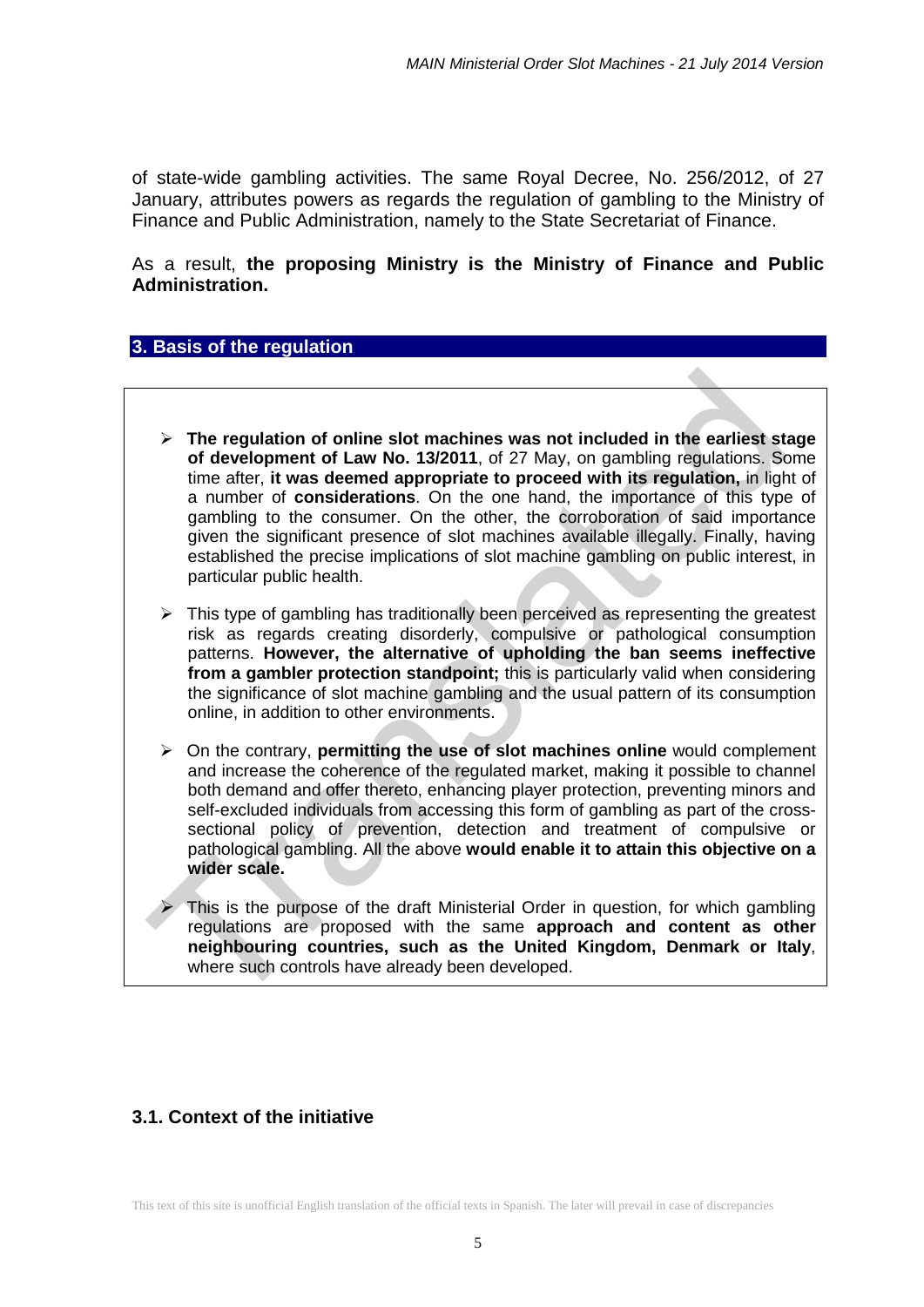of state-wide gambling activities. The same Royal Decree, No. 256/2012, of 27 January, attributes powers as regards the regulation of gambling to the Ministry of Finance and Public Administration, namely to the State Secretariat of Finance.

As a result, **the proposing Ministry is the Ministry of Finance and Public Administration.**

#### **3. Basis of the regulation**

- **The regulation of online slot machines was not included in the earliest stage of development of Law No. 13/2011**, of 27 May, on gambling regulations. Some time after, **it was deemed appropriate to proceed with its regulation,** in light of a number of **considerations**. On the one hand, the importance of this type of gambling to the consumer. On the other, the corroboration of said importance given the significant presence of slot machines available illegally. Finally, having established the precise implications of slot machine gambling on public interest, in particular public health.
- $\triangleright$  This type of gambling has traditionally been perceived as representing the greatest risk as regards creating disorderly, compulsive or pathological consumption patterns. **However, the alternative of upholding the ban seems ineffective from a gambler protection standpoint;** this is particularly valid when considering the significance of slot machine gambling and the usual pattern of its consumption online, in addition to other environments.
- On the contrary, **permitting the use of slot machines online** would complement and increase the coherence of the regulated market, making it possible to channel both demand and offer thereto, enhancing player protection, preventing minors and self-excluded individuals from accessing this form of gambling as part of the crosssectional policy of prevention, detection and treatment of compulsive or pathological gambling. All the above **would enable it to attain this objective on a wider scale.**

 This is the purpose of the draft Ministerial Order in question, for which gambling regulations are proposed with the same **approach and content as other neighbouring countries, such as the United Kingdom, Denmark or Italy**, where such controls have already been developed.

### **3.1. Context of the initiative**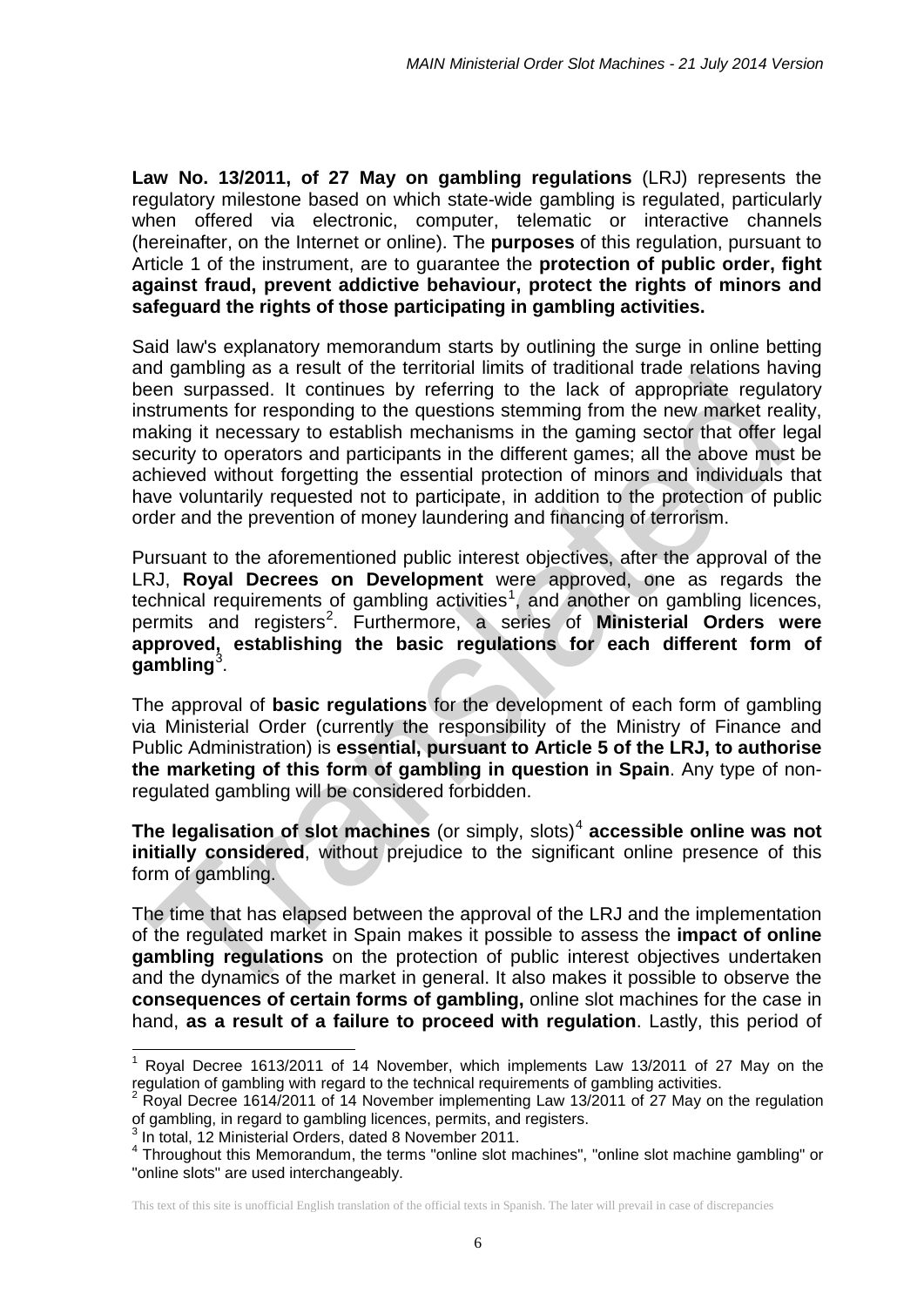**Law No. 13/2011, of 27 May on gambling regulations** (LRJ) represents the regulatory milestone based on which state-wide gambling is regulated, particularly when offered via electronic, computer, telematic or interactive channels (hereinafter, on the Internet or online). The **purposes** of this regulation, pursuant to Article 1 of the instrument, are to guarantee the **protection of public order, fight against fraud, prevent addictive behaviour, protect the rights of minors and safeguard the rights of those participating in gambling activities.**

Said law's explanatory memorandum starts by outlining the surge in online betting and gambling as a result of the territorial limits of traditional trade relations having been surpassed. It continues by referring to the lack of appropriate regulatory instruments for responding to the questions stemming from the new market reality, making it necessary to establish mechanisms in the gaming sector that offer legal security to operators and participants in the different games; all the above must be achieved without forgetting the essential protection of minors and individuals that have voluntarily requested not to participate, in addition to the protection of public order and the prevention of money laundering and financing of terrorism.

Pursuant to the aforementioned public interest objectives, after the approval of the LRJ, **Royal Decrees on Development** were approved, one as regards the technical requirements of gambling activities<sup>[1](#page-5-0)</sup>, and another on gambling licences, permits and registers<sup>[2](#page-5-1)</sup>. Furthermore, a series of **Ministerial Orders were approved, establishing the basic regulations for each different form of gambling**[3](#page-5-2) .

The approval of **basic regulations** for the development of each form of gambling via Ministerial Order (currently the responsibility of the Ministry of Finance and Public Administration) is **essential, pursuant to Article 5 of the LRJ, to authorise the marketing of this form of gambling in question in Spain**. Any type of nonregulated gambling will be considered forbidden.

**The legalisation of slot machines** (or simply, slots)<sup>[4](#page-5-3)</sup> **accessible online was not initially considered**, without prejudice to the significant online presence of this form of gambling.

The time that has elapsed between the approval of the LRJ and the implementation of the regulated market in Spain makes it possible to assess the **impact of online gambling regulations** on the protection of public interest objectives undertaken and the dynamics of the market in general. It also makes it possible to observe the **consequences of certain forms of gambling,** online slot machines for the case in hand, **as a result of a failure to proceed with regulation**. Lastly, this period of

<span id="page-5-0"></span> $1$  Royal Decree 1613/2011 of 14 November, which implements Law 13/2011 of 27 May on the regulation of gambling with regard to the technical requirements of gambling activities.  $\overline{\phantom{a}}$ 

<span id="page-5-1"></span><sup>2</sup> Royal Decree 1614/2011 of 14 November implementing Law 13/2011 of 27 May on the regulation of gambling, in regard to gambling licences, permits, and registers.

<sup>3</sup> In total, 12 Ministerial Orders, dated 8 November 2011.

<span id="page-5-3"></span><span id="page-5-2"></span><sup>&</sup>lt;sup>4</sup> Throughout this Memorandum, the terms "online slot machines", "online slot machine gambling" or "online slots" are used interchangeably.

This text of this site is unofficial English translation of the official texts in Spanish. The later will prevail in case of discrepancies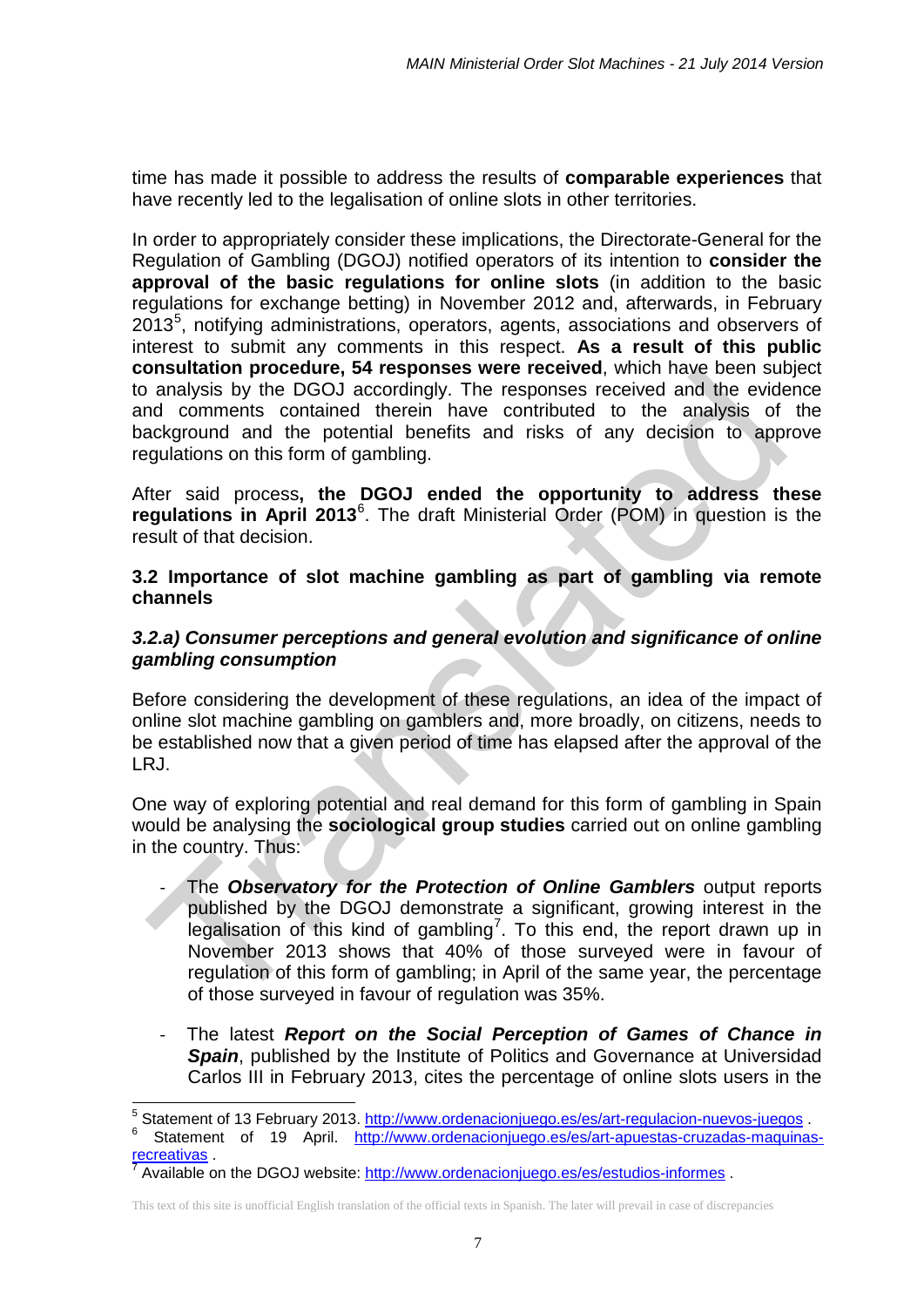time has made it possible to address the results of **comparable experiences** that have recently led to the legalisation of online slots in other territories.

In order to appropriately consider these implications, the Directorate-General for the Regulation of Gambling (DGOJ) notified operators of its intention to **consider the approval of the basic regulations for online slots** (in addition to the basic regulations for exchange betting) in November 2012 and, afterwards, in February  $2013<sup>5</sup>$  $2013<sup>5</sup>$  $2013<sup>5</sup>$ , notifying administrations, operators, agents, associations and observers of interest to submit any comments in this respect. **As a result of this public consultation procedure, 54 responses were received**, which have been subject to analysis by the DGOJ accordingly. The responses received and the evidence and comments contained therein have contributed to the analysis of the background and the potential benefits and risks of any decision to approve regulations on this form of gambling.

After said process**, the DGOJ ended the opportunity to address these regulations in April 2013**[6](#page-6-1) . The draft Ministerial Order (POM) in question is the result of that decision.

**3.2 Importance of slot machine gambling as part of gambling via remote channels**

### *3.2.a) Consumer perceptions and general evolution and significance of online gambling consumption*

Before considering the development of these regulations, an idea of the impact of online slot machine gambling on gamblers and, more broadly, on citizens, needs to be established now that a given period of time has elapsed after the approval of the LRJ.

One way of exploring potential and real demand for this form of gambling in Spain would be analysing the **sociological group studies** carried out on online gambling in the country. Thus:

- The Observatory for the Protection of Online Gamblers output reports published by the DGOJ demonstrate a significant, growing interest in the legalisation of this kind of gambling<sup>[7](#page-6-2)</sup>. To this end, the report drawn up in November 2013 shows that 40% of those surveyed were in favour of regulation of this form of gambling; in April of the same year, the percentage of those surveyed in favour of regulation was 35%.
- The latest **Report on the Social Perception of Games of Chance in Spain**, published by the Institute of Politics and Governance at Universidad Carlos III in February 2013, cites the percentage of online slots users in the

-

<span id="page-6-1"></span><span id="page-6-0"></span><sup>&</sup>lt;sup>5</sup> Statement of 13 February 2013. <u>http://www.ordenacionjuego.es/es/art-regulacion-nuevos-juegos</u><br><sup>6</sup> Statement of 19 April. <u>http://www.ordenacionjuego.es/es/art-apuestas-cruzadas-maquinas-</u> [recreativas](http://www.ordenacionjuego.es/es/art-apuestas-cruzadas-maquinas-recreativas) .<br><sup>7</sup> Available on the DGOJ website:<http://www.ordenacionjuego.es/es/estudios-informes> .

<span id="page-6-2"></span>This text of this site is unofficial English translation of the official texts in Spanish. The later will prevail in case of discrepancies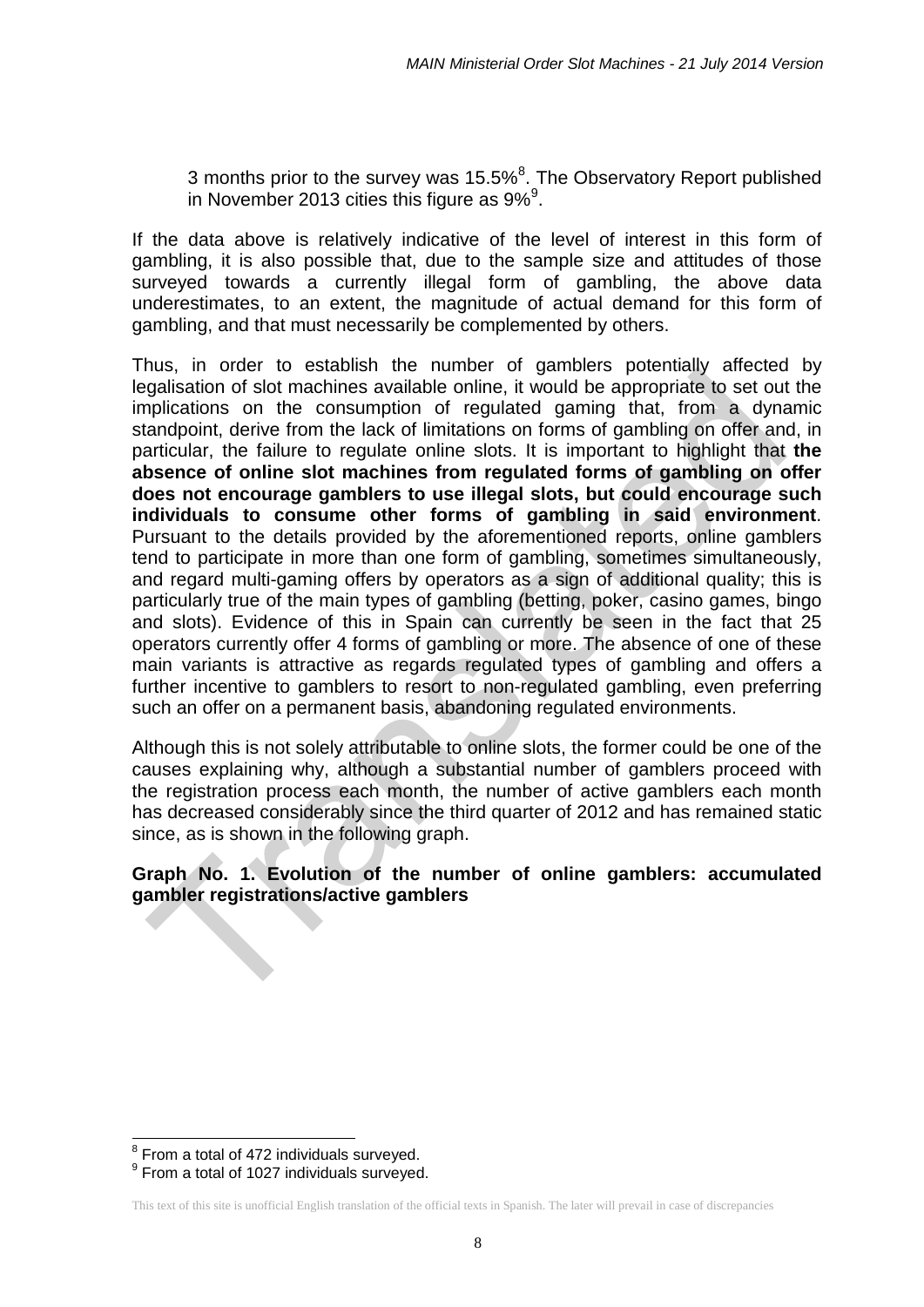3 months prior to the survey was 15.5%<sup>[8](#page-7-0)</sup>. The Observatory Report published in November 2013 cities this figure as [9](#page-7-1)% $^9$ .

If the data above is relatively indicative of the level of interest in this form of gambling, it is also possible that, due to the sample size and attitudes of those surveyed towards a currently illegal form of gambling, the above data underestimates, to an extent, the magnitude of actual demand for this form of gambling, and that must necessarily be complemented by others.

Thus, in order to establish the number of gamblers potentially affected by legalisation of slot machines available online, it would be appropriate to set out the implications on the consumption of regulated gaming that, from a dynamic standpoint, derive from the lack of limitations on forms of gambling on offer and, in particular, the failure to regulate online slots. It is important to highlight that **the absence of online slot machines from regulated forms of gambling on offer does not encourage gamblers to use illegal slots, but could encourage such individuals to consume other forms of gambling in said environment**. Pursuant to the details provided by the aforementioned reports, online gamblers tend to participate in more than one form of gambling, sometimes simultaneously, and regard multi-gaming offers by operators as a sign of additional quality; this is particularly true of the main types of gambling (betting, poker, casino games, bingo and slots). Evidence of this in Spain can currently be seen in the fact that 25 operators currently offer 4 forms of gambling or more. The absence of one of these main variants is attractive as regards regulated types of gambling and offers a further incentive to gamblers to resort to non-regulated gambling, even preferring such an offer on a permanent basis, abandoning regulated environments.

Although this is not solely attributable to online slots, the former could be one of the causes explaining why, although a substantial number of gamblers proceed with the registration process each month, the number of active gamblers each month has decreased considerably since the third quarter of 2012 and has remained static since, as is shown in the following graph.

### **Graph No. 1. Evolution of the number of online gamblers: accumulated gambler registrations/active gamblers**

 $\overline{\phantom{a}}$ 

<span id="page-7-0"></span><sup>&</sup>lt;sup>8</sup> From a total of 472 individuals surveyed.

<span id="page-7-1"></span> $9$  From a total of 1027 individuals surveyed.

This text of this site is unofficial English translation of the official texts in Spanish. The later will prevail in case of discrepancies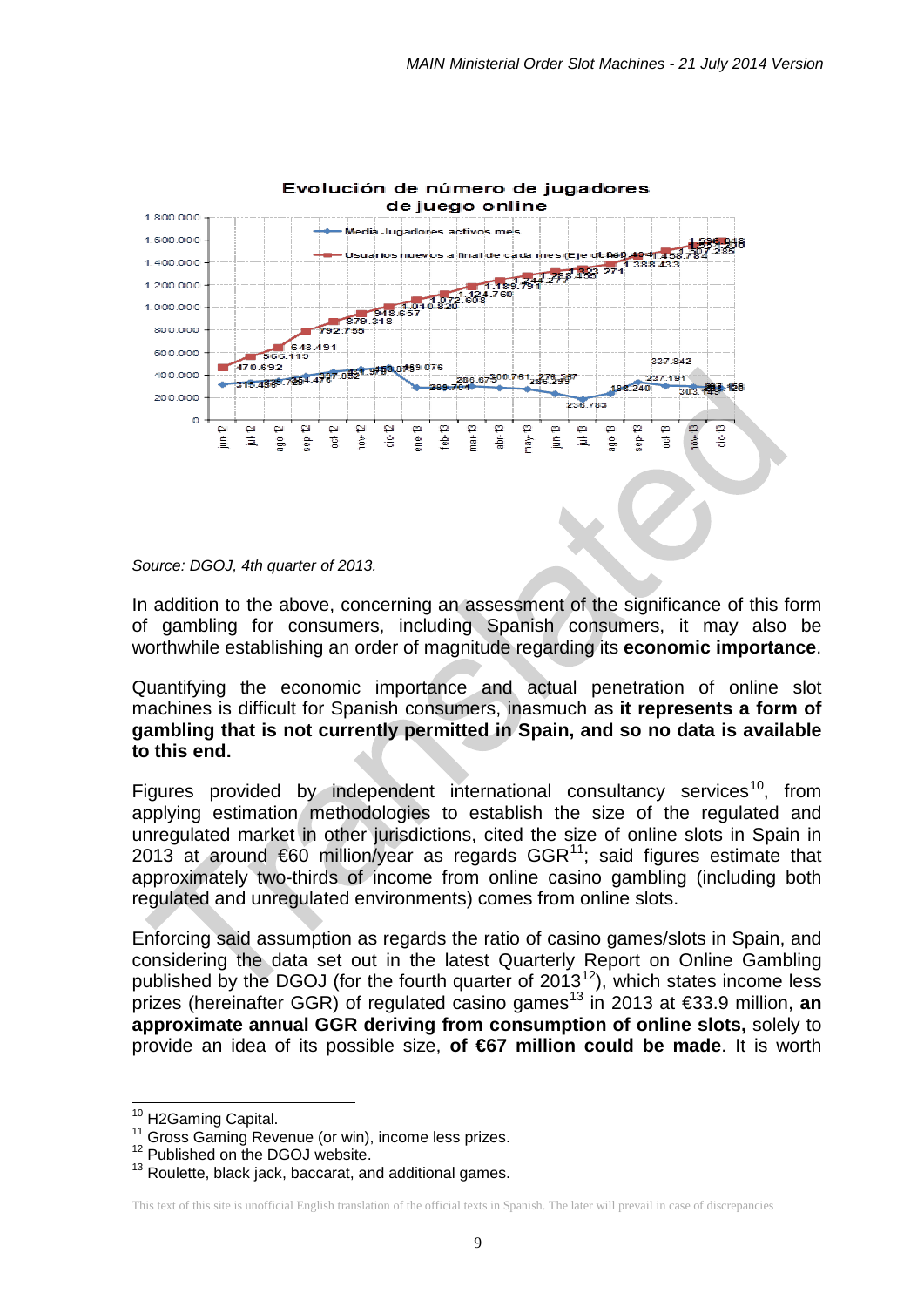

*Source: DGOJ, 4th quarter of 2013.*

In addition to the above, concerning an assessment of the significance of this form of gambling for consumers, including Spanish consumers, it may also be worthwhile establishing an order of magnitude regarding its **economic importance**.

Quantifying the economic importance and actual penetration of online slot machines is difficult for Spanish consumers, inasmuch as **it represents a form of gambling that is not currently permitted in Spain, and so no data is available to this end.**

Figures provided by independent international consultancy services<sup>[10](#page-8-0)</sup>, from applying estimation methodologies to establish the size of the regulated and unregulated market in other jurisdictions, cited the size of online slots in Spain in 2013 at around  $60$  million/year as regards GGR<sup>[11](#page-8-1)</sup>; said figures estimate that approximately two-thirds of income from online casino gambling (including both regulated and unregulated environments) comes from online slots.

Enforcing said assumption as regards the ratio of casino games/slots in Spain, and considering the data set out in the latest Quarterly Report on Online Gambling published by the DGOJ (for the fourth quarter of  $2013^{12}$ ), which states income less prizes (hereinafter GGR) of regulated casino games<sup>[13](#page-8-3)</sup> in 2013 at €33.9 million, an **approximate annual GGR deriving from consumption of online slots,** solely to provide an idea of its possible size, **of €67 million could be made**. It is worth

<sup>&</sup>lt;sup>10</sup> H2Gaming Capital.

<span id="page-8-1"></span><span id="page-8-0"></span><sup>&</sup>lt;sup>11</sup> Gross Gaming Revenue (or win), income less prizes.  $12$  Published on the DGOJ website.

<span id="page-8-3"></span><span id="page-8-2"></span><sup>&</sup>lt;sup>13</sup> Roulette, black jack, baccarat, and additional games.

This text of this site is unofficial English translation of the official texts in Spanish. The later will prevail in case of discrepancies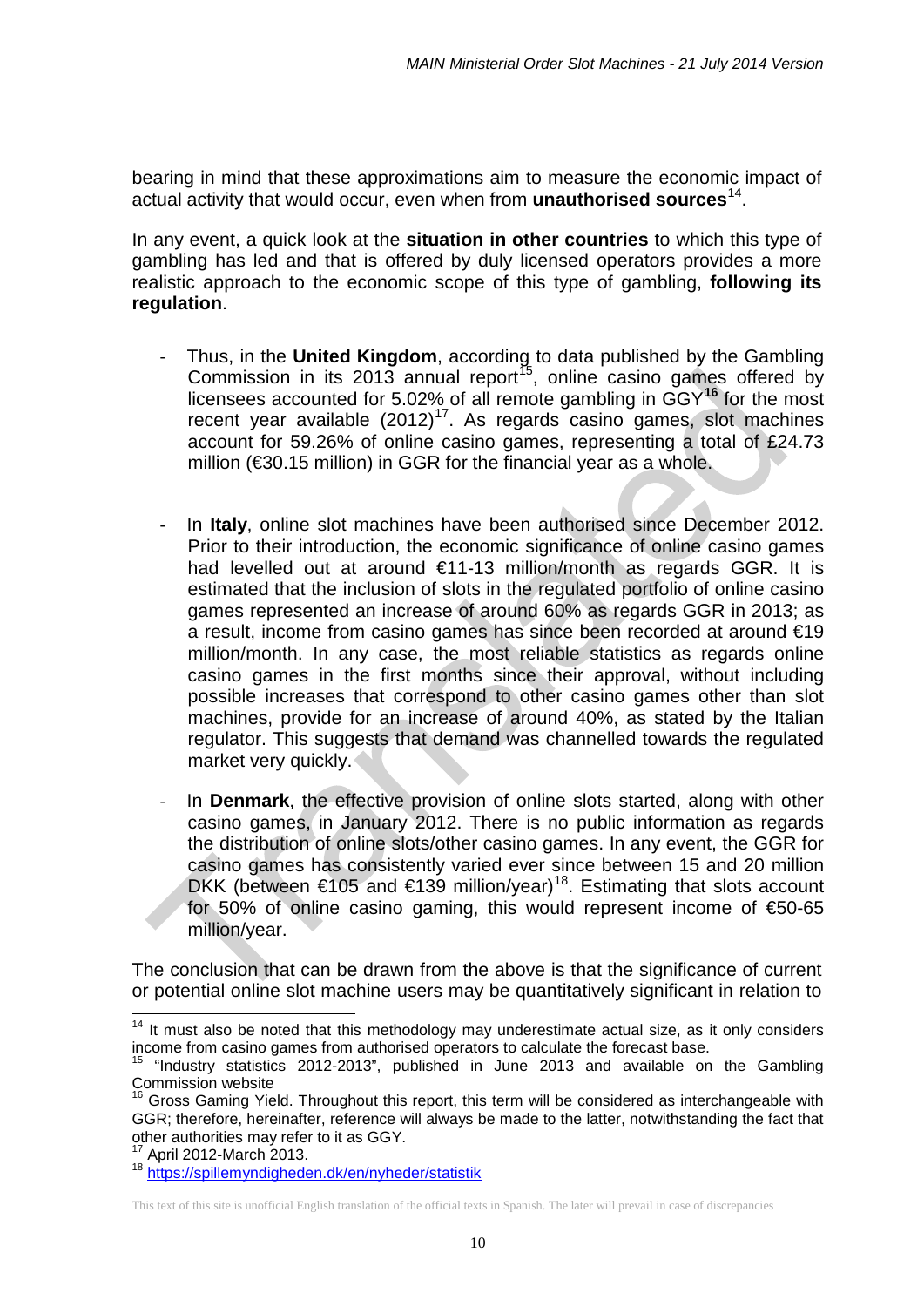bearing in mind that these approximations aim to measure the economic impact of actual activity that would occur, even when from **unauthorised sources**[14.](#page-9-0)

In any event, a quick look at the **situation in other countries** to which this type of gambling has led and that is offered by duly licensed operators provides a more realistic approach to the economic scope of this type of gambling, **following its regulation**.

- Thus, in the **United Kingdom**, according to data published by the Gambling Commission in its 2013 annual report<sup>[15](#page-9-1)</sup>, online casino games offered by licensees accounted for 5.02% of all remote gambling in GGY**[16](#page-9-2)** for the most recent year available  $(2012)^{17}$  $(2012)^{17}$  $(2012)^{17}$ . As regards casino games, slot machines account for 59.26% of online casino games, representing a total of £24.73 million (€30.15 million) in GGR for the financial year as a whole.
- In **Italy**, online slot machines have been authorised since December 2012. Prior to their introduction, the economic significance of online casino games had levelled out at around €11-13 million/month as regards GGR. It is estimated that the inclusion of slots in the regulated portfolio of online casino games represented an increase of around 60% as regards GGR in 2013; as a result, income from casino games has since been recorded at around €19 million/month. In any case, the most reliable statistics as regards online casino games in the first months since their approval, without including possible increases that correspond to other casino games other than slot machines, provide for an increase of around 40%, as stated by the Italian regulator. This suggests that demand was channelled towards the regulated market very quickly.
- In **Denmark**, the effective provision of online slots started, along with other casino games, in January 2012. There is no public information as regards the distribution of online slots/other casino games. In any event, the GGR for casino games has consistently varied ever since between 15 and 20 million DKK (between €105 and €139 million/year)<sup>[18](#page-9-4)</sup>. Estimating that slots account for 50% of online casino gaming, this would represent income of €50-65 million/year.

The conclusion that can be drawn from the above is that the significance of current or potential online slot machine users may be quantitatively significant in relation to

<span id="page-9-0"></span> $14$  It must also be noted that this methodology may underestimate actual size, as it only considers income from casino games from authorised operators to calculate the forecast base.  $\overline{\phantom{a}}$ 

<span id="page-9-1"></span><sup>&</sup>quot;Industry statistics 2012-2013", published in June 2013 and available on the Gambling Commission website

<span id="page-9-2"></span><sup>16</sup> Gross Gaming Yield. Throughout this report, this term will be considered as interchangeable with GGR; therefore, hereinafter, reference will always be made to the latter, notwithstanding the fact that other authorities may refer to it as GGY.

<span id="page-9-3"></span>April 2012-March 2013.

<span id="page-9-4"></span><sup>&</sup>lt;sup>18</sup> <https://spillemyndigheden.dk/en/nyheder/statistik>

This text of this site is unofficial English translation of the official texts in Spanish. The later will prevail in case of discrepancies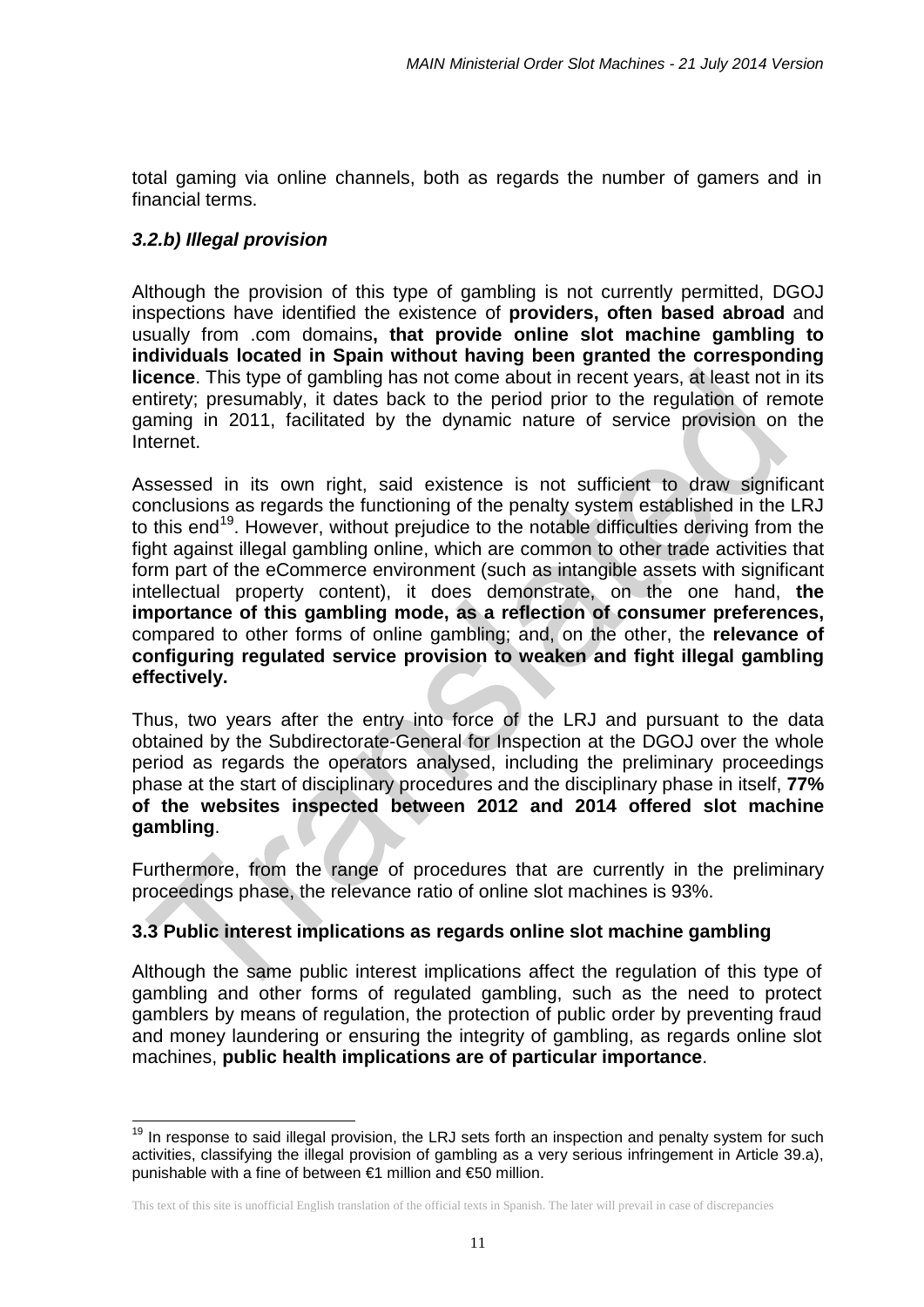total gaming via online channels, both as regards the number of gamers and in financial terms.

### *3.2.b) Illegal provision*

1

Although the provision of this type of gambling is not currently permitted, DGOJ inspections have identified the existence of **providers, often based abroad** and usually from .com domains**, that provide online slot machine gambling to individuals located in Spain without having been granted the corresponding licence**. This type of gambling has not come about in recent years, at least not in its entirety; presumably, it dates back to the period prior to the regulation of remote gaming in 2011, facilitated by the dynamic nature of service provision on the Internet.

Assessed in its own right, said existence is not sufficient to draw significant conclusions as regards the functioning of the penalty system established in the LRJ to this end<sup>19</sup>. However, without prejudice to the notable difficulties deriving from the fight against illegal gambling online, which are common to other trade activities that form part of the eCommerce environment (such as intangible assets with significant intellectual property content), it does demonstrate, on the one hand, **the importance of this gambling mode, as a reflection of consumer preferences,**  compared to other forms of online gambling; and, on the other, the **relevance of configuring regulated service provision to weaken and fight illegal gambling effectively.** 

Thus, two years after the entry into force of the LRJ and pursuant to the data obtained by the Subdirectorate-General for Inspection at the DGOJ over the whole period as regards the operators analysed, including the preliminary proceedings phase at the start of disciplinary procedures and the disciplinary phase in itself, **77% of the websites inspected between 2012 and 2014 offered slot machine gambling**.

Furthermore, from the range of procedures that are currently in the preliminary proceedings phase, the relevance ratio of online slot machines is 93%.

### **3.3 Public interest implications as regards online slot machine gambling**

Although the same public interest implications affect the regulation of this type of gambling and other forms of regulated gambling, such as the need to protect gamblers by means of regulation, the protection of public order by preventing fraud and money laundering or ensuring the integrity of gambling, as regards online slot machines, **public health implications are of particular importance**.

<span id="page-10-0"></span><sup>&</sup>lt;sup>19</sup> In response to said illegal provision, the LRJ sets forth an inspection and penalty system for such activities, classifying the illegal provision of gambling as a very serious infringement in Article 39.a), punishable with a fine of between €1 million and €50 million.

This text of this site is unofficial English translation of the official texts in Spanish. The later will prevail in case of discrepancies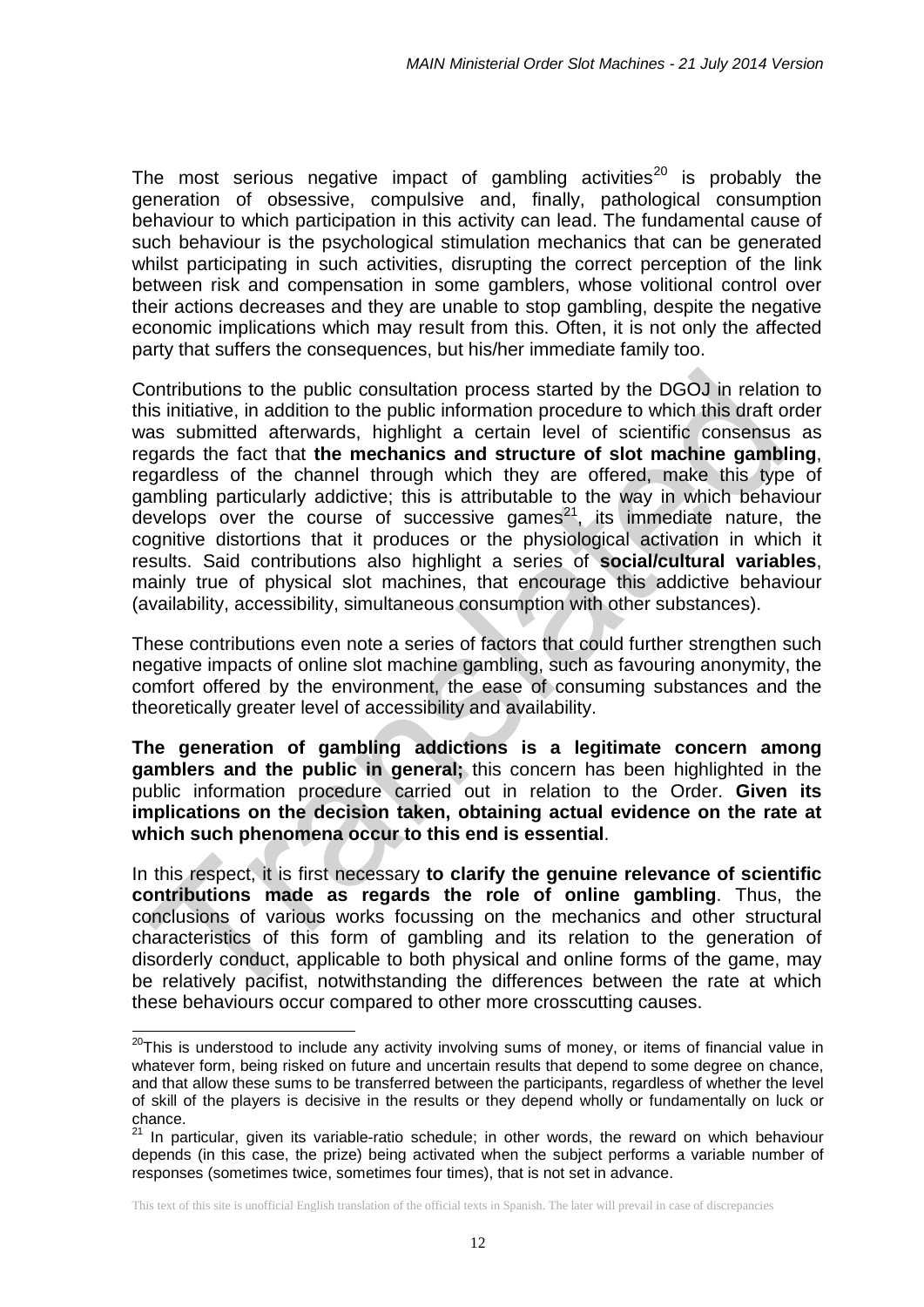The most serious negative impact of gambling activities<sup>[20](#page-11-0)</sup> is probably the generation of obsessive, compulsive and, finally, pathological consumption behaviour to which participation in this activity can lead. The fundamental cause of such behaviour is the psychological stimulation mechanics that can be generated whilst participating in such activities, disrupting the correct perception of the link between risk and compensation in some gamblers, whose volitional control over their actions decreases and they are unable to stop gambling, despite the negative economic implications which may result from this. Often, it is not only the affected party that suffers the consequences, but his/her immediate family too.

Contributions to the public consultation process started by the DGOJ in relation to this initiative, in addition to the public information procedure to which this draft order was submitted afterwards, highlight a certain level of scientific consensus as regards the fact that **the mechanics and structure of slot machine gambling**, regardless of the channel through which they are offered, make this type of gambling particularly addictive; this is attributable to the way in which behaviour develops over the course of successive games $21$ , its immediate nature, the cognitive distortions that it produces or the physiological activation in which it results. Said contributions also highlight a series of **social/cultural variables**, mainly true of physical slot machines, that encourage this addictive behaviour (availability, accessibility, simultaneous consumption with other substances).

These contributions even note a series of factors that could further strengthen such negative impacts of online slot machine gambling, such as favouring anonymity, the comfort offered by the environment, the ease of consuming substances and the theoretically greater level of accessibility and availability.

**The generation of gambling addictions is a legitimate concern among gamblers and the public in general;** this concern has been highlighted in the public information procedure carried out in relation to the Order. **Given its implications on the decision taken, obtaining actual evidence on the rate at which such phenomena occur to this end is essential**.

In this respect, it is first necessary **to clarify the genuine relevance of scientific contributions made as regards the role of online gambling**. Thus, the conclusions of various works focussing on the mechanics and other structural characteristics of this form of gambling and its relation to the generation of disorderly conduct, applicable to both physical and online forms of the game, may be relatively pacifist, notwithstanding the differences between the rate at which these behaviours occur compared to other more crosscutting causes.

 $\overline{\phantom{a}}$ 

<span id="page-11-0"></span><sup>&</sup>lt;sup>20</sup>This is understood to include any activity involving sums of money, or items of financial value in whatever form, being risked on future and uncertain results that depend to some degree on chance, and that allow these sums to be transferred between the participants, regardless of whether the level of skill of the players is decisive in the results or they depend wholly or fundamentally on luck or chance.

<span id="page-11-1"></span> $21$  In particular, given its variable-ratio schedule; in other words, the reward on which behaviour depends (in this case, the prize) being activated when the subject performs a variable number of responses (sometimes twice, sometimes four times), that is not set in advance.

This text of this site is unofficial English translation of the official texts in Spanish. The later will prevail in case of discrepancies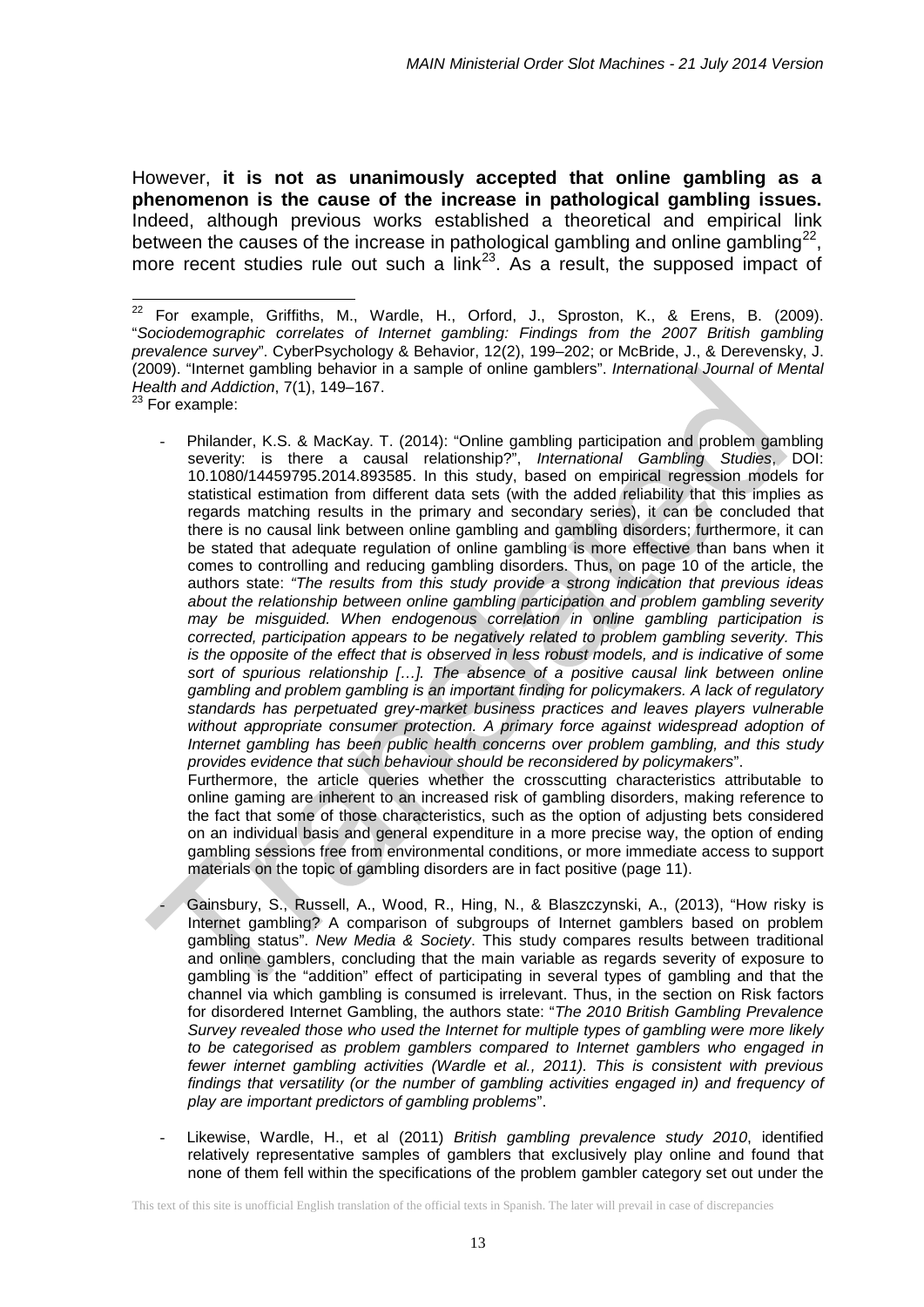However, **it is not as unanimously accepted that online gambling as a phenomenon is the cause of the increase in pathological gambling issues.** Indeed, although previous works established a theoretical and empirical link between the causes of the increase in pathological gambling and online gambling<sup>[22](#page-12-0)</sup>, more recent studies rule out such a  $link^{23}$  $link^{23}$  $link^{23}$ . As a result, the supposed impact of

<span id="page-12-1"></span><sup>23</sup> For example:

 $\overline{\phantom{a}}$ 

- Philander, K.S. & MacKay. T. (2014): "Online gambling participation and problem gambling severity: is there a causal relationship?", *International Gambling Studies*, DOI: 10.1080/14459795.2014.893585. In this study, based on empirical regression models for statistical estimation from different data sets (with the added reliability that this implies as regards matching results in the primary and secondary series), it can be concluded that there is no causal link between online gambling and gambling disorders; furthermore, it can be stated that adequate regulation of online gambling is more effective than bans when it comes to controlling and reducing gambling disorders. Thus, on page 10 of the article, the authors state: *"The results from this study provide a strong indication that previous ideas about the relationship between online gambling participation and problem gambling severity may be misguided. When endogenous correlation in online gambling participation is corrected, participation appears to be negatively related to problem gambling severity. This is the opposite of the effect that is observed in less robust models, and is indicative of some sort of spurious relationship […]. The absence of a positive causal link between online gambling and problem gambling is an important finding for policymakers. A lack of regulatory standards has perpetuated grey-market business practices and leaves players vulnerable without appropriate consumer protection. A primary force against widespread adoption of Internet gambling has been public health concerns over problem gambling, and this study provides evidence that such behaviour should be reconsidered by policymakers*". Furthermore, the article queries whether the crosscutting characteristics attributable to online gaming are inherent to an increased risk of gambling disorders, making reference to

the fact that some of those characteristics, such as the option of adjusting bets considered on an individual basis and general expenditure in a more precise way, the option of ending gambling sessions free from environmental conditions, or more immediate access to support materials on the topic of gambling disorders are in fact positive (page 11).

- Gainsbury, S., Russell, A., Wood, R., Hing, N., & Blaszczynski, A., (2013), "How risky is Internet gambling? A comparison of subgroups of Internet gamblers based on problem gambling status". *New Media & Society*. This study compares results between traditional and online gamblers, concluding that the main variable as regards severity of exposure to gambling is the "addition" effect of participating in several types of gambling and that the channel via which gambling is consumed is irrelevant. Thus, in the section on Risk factors for disordered Internet Gambling, the authors state: "*The 2010 British Gambling Prevalence Survey revealed those who used the Internet for multiple types of gambling were more likely to be categorised as problem gamblers compared to Internet gamblers who engaged in fewer internet gambling activities (Wardle et al., 2011). This is consistent with previous*  findings that versatility (or the number of gambling activities engaged in) and frequency of *play are important predictors of gambling problems*".
- Likewise, Wardle, H., et al (2011) *British gambling prevalence study 2010*, identified relatively representative samples of gamblers that exclusively play online and found that none of them fell within the specifications of the problem gambler category set out under the

<span id="page-12-0"></span><sup>&</sup>lt;sup>22</sup> For example, Griffiths, M., Wardle, H., Orford, J., Sproston, K., & Erens, B. (2009). "*Sociodemographic correlates of Internet gambling: Findings from the 2007 British gambling prevalence survey*". CyberPsychology & Behavior, 12(2), 199–202; or McBride, J., & Derevensky, J. (2009). "Internet gambling behavior in a sample of online gamblers". *International Journal of Mental Health and Addiction*, 7(1), 149–167.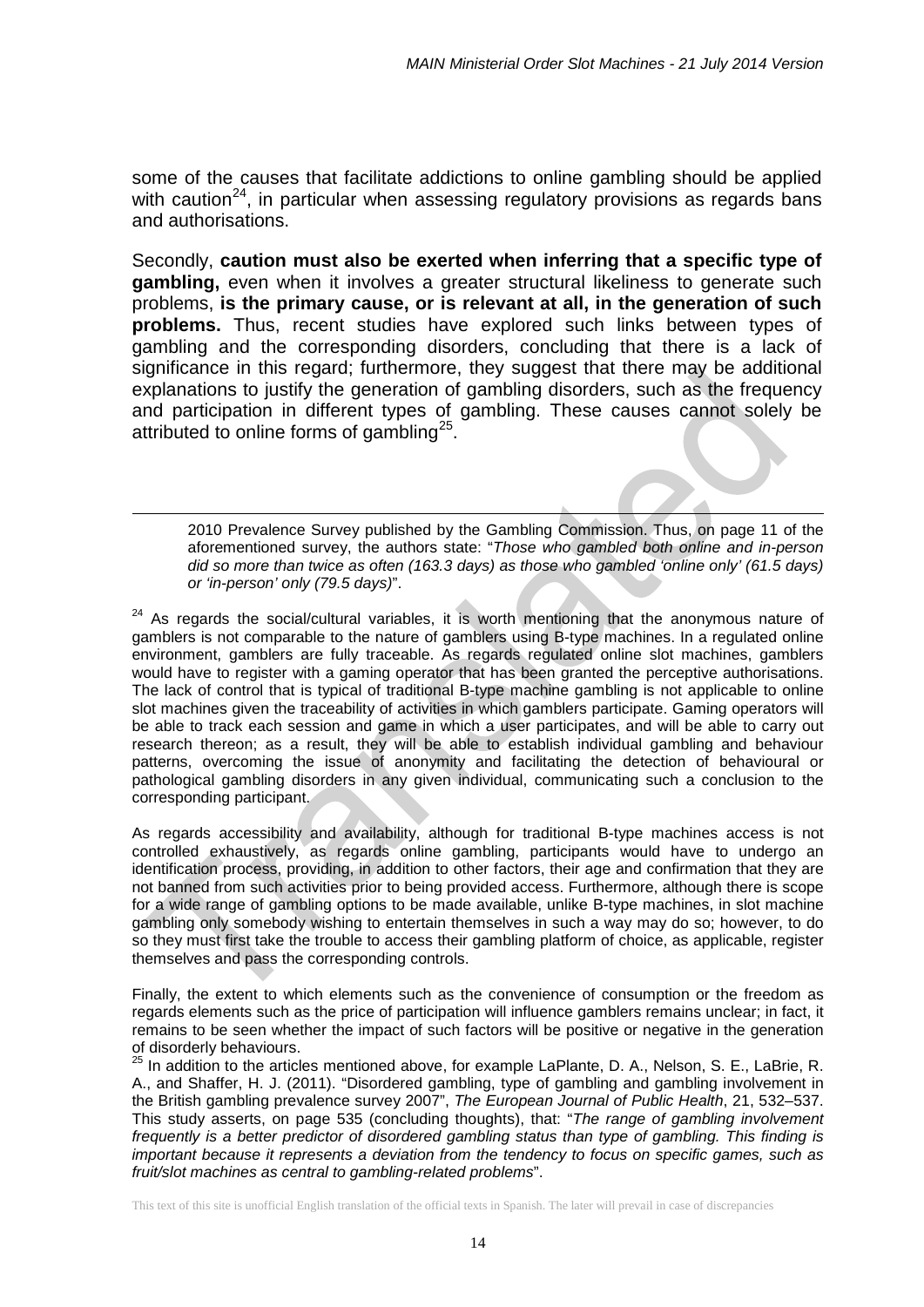some of the causes that facilitate addictions to online gambling should be applied with caution<sup>24</sup>, in particular when assessing regulatory provisions as regards bans and authorisations.

Secondly, **caution must also be exerted when inferring that a specific type of gambling,** even when it involves a greater structural likeliness to generate such problems, **is the primary cause, or is relevant at all, in the generation of such problems.** Thus, recent studies have explored such links between types of gambling and the corresponding disorders, concluding that there is a lack of significance in this regard; furthermore, they suggest that there may be additional explanations to justify the generation of gambling disorders, such as the frequency and participation in different types of gambling. These causes cannot solely be attributed to online forms of gambling<sup>25</sup>.

-

2010 Prevalence Survey published by the Gambling Commission. Thus, on page 11 of the aforementioned survey, the authors state: "*Those who gambled both online and in-person did so more than twice as often (163.3 days) as those who gambled 'online only' (61.5 days) or 'in-person' only (79.5 days)*".

<span id="page-13-0"></span> $24$  As regards the social/cultural variables, it is worth mentioning that the anonymous nature of gamblers is not comparable to the nature of gamblers using B-type machines. In a regulated online environment, gamblers are fully traceable. As regards regulated online slot machines, gamblers would have to register with a gaming operator that has been granted the perceptive authorisations. The lack of control that is typical of traditional B-type machine gambling is not applicable to online slot machines given the traceability of activities in which gamblers participate. Gaming operators will be able to track each session and game in which a user participates, and will be able to carry out research thereon; as a result, they will be able to establish individual gambling and behaviour patterns, overcoming the issue of anonymity and facilitating the detection of behavioural or pathological gambling disorders in any given individual, communicating such a conclusion to the corresponding participant.

As regards accessibility and availability, although for traditional B-type machines access is not controlled exhaustively, as regards online gambling, participants would have to undergo an identification process, providing, in addition to other factors, their age and confirmation that they are not banned from such activities prior to being provided access. Furthermore, although there is scope for a wide range of gambling options to be made available, unlike B-type machines, in slot machine gambling only somebody wishing to entertain themselves in such a way may do so; however, to do so they must first take the trouble to access their gambling platform of choice, as applicable, register themselves and pass the corresponding controls.

Finally, the extent to which elements such as the convenience of consumption or the freedom as regards elements such as the price of participation will influence gamblers remains unclear; in fact, it remains to be seen whether the impact of such factors will be positive or negative in the generation of disorderly behaviours.

<span id="page-13-1"></span> $<sup>5</sup>$  In addition to the articles mentioned above, for example LaPlante, D. A., Nelson, S. E., LaBrie, R.</sup> A., and Shaffer, H. J. (2011). "Disordered gambling, type of gambling and gambling involvement in the British gambling prevalence survey 2007", *The European Journal of Public Health*, 21, 532–537. This study asserts, on page 535 (concluding thoughts), that: "*The range of gambling involvement frequently is a better predictor of disordered gambling status than type of gambling. This finding is important because it represents a deviation from the tendency to focus on specific games, such as fruit/slot machines as central to gambling-related problems*".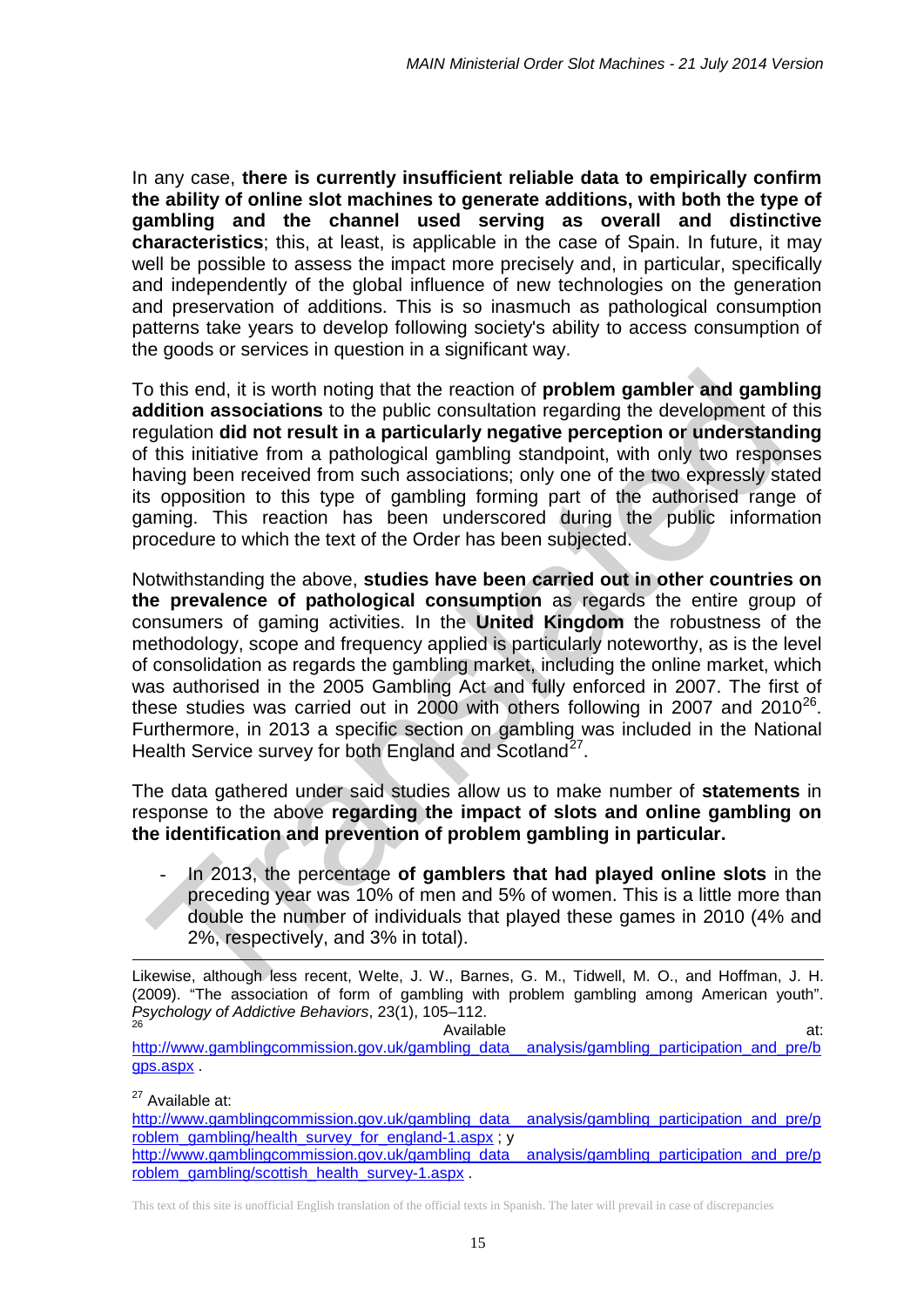In any case, **there is currently insufficient reliable data to empirically confirm the ability of online slot machines to generate additions, with both the type of gambling and the channel used serving as overall and distinctive characteristics**; this, at least, is applicable in the case of Spain. In future, it may well be possible to assess the impact more precisely and, in particular, specifically and independently of the global influence of new technologies on the generation and preservation of additions. This is so inasmuch as pathological consumption patterns take years to develop following society's ability to access consumption of the goods or services in question in a significant way.

To this end, it is worth noting that the reaction of **problem gambler and gambling addition associations** to the public consultation regarding the development of this regulation **did not result in a particularly negative perception or understanding**  of this initiative from a pathological gambling standpoint, with only two responses having been received from such associations; only one of the two expressly stated its opposition to this type of gambling forming part of the authorised range of gaming. This reaction has been underscored during the public information procedure to which the text of the Order has been subjected.

Notwithstanding the above, **studies have been carried out in other countries on the prevalence of pathological consumption** as regards the entire group of consumers of gaming activities. In the **United Kingdom** the robustness of the methodology, scope and frequency applied is particularly noteworthy, as is the level of consolidation as regards the gambling market, including the online market, which was authorised in the 2005 Gambling Act and fully enforced in 2007. The first of these studies was carried out in  $2000$  with others following in 2007 and  $2010^{26}$  $2010^{26}$  $2010^{26}$ . Furthermore, in 2013 a specific section on gambling was included in the National Health Service survey for both England and Scotland<sup>27</sup>.

The data gathered under said studies allow us to make number of **statements** in response to the above **regarding the impact of slots and online gambling on the identification and prevention of problem gambling in particular.** 

- In 2013, the percentage **of gamblers that had played online slots** in the preceding year was 10% of men and 5% of women. This is a little more than double the number of individuals that played these games in 2010 (4% and 2%, respectively, and 3% in total).

Likewise, although less recent, Welte, J. W., Barnes, G. M., Tidwell, M. O., and Hoffman, J. H. (2009). "The association of form of gambling with problem gambling among American youth". *Psychology of Addictive Behaviors*, 23(1), 105–112.  $26$   $26$   $27$   $28$   $29$   $20$   $21$ 1

<span id="page-14-0"></span>[http://www.gamblingcommission.gov.uk/gambling\\_data\\_\\_analysis/gambling\\_participation\\_and\\_pre/b](http://www.gamblingcommission.gov.uk/gambling_data__analysis/gambling_participation_and_pre/bgps.aspx) [gps.aspx](http://www.gamblingcommission.gov.uk/gambling_data__analysis/gambling_participation_and_pre/bgps.aspx) .

 $27$  Available at:

<span id="page-14-1"></span>[http://www.gamblingcommission.gov.uk/gambling\\_data\\_\\_analysis/gambling\\_participation\\_and\\_pre/p](http://www.gamblingcommission.gov.uk/gambling_data__analysis/gambling_participation_and_pre/problem_gambling/health_survey_for_england-1.aspx) [roblem\\_gambling/health\\_survey\\_for\\_england-1.aspx](http://www.gamblingcommission.gov.uk/gambling_data__analysis/gambling_participation_and_pre/problem_gambling/health_survey_for_england-1.aspx) ; y [http://www.gamblingcommission.gov.uk/gambling\\_data\\_\\_analysis/gambling\\_participation\\_and\\_pre/p](http://www.gamblingcommission.gov.uk/gambling_data__analysis/gambling_participation_and_pre/problem_gambling/scottish_health_survey-1.aspx) [roblem\\_gambling/scottish\\_health\\_survey-1.aspx](http://www.gamblingcommission.gov.uk/gambling_data__analysis/gambling_participation_and_pre/problem_gambling/scottish_health_survey-1.aspx) .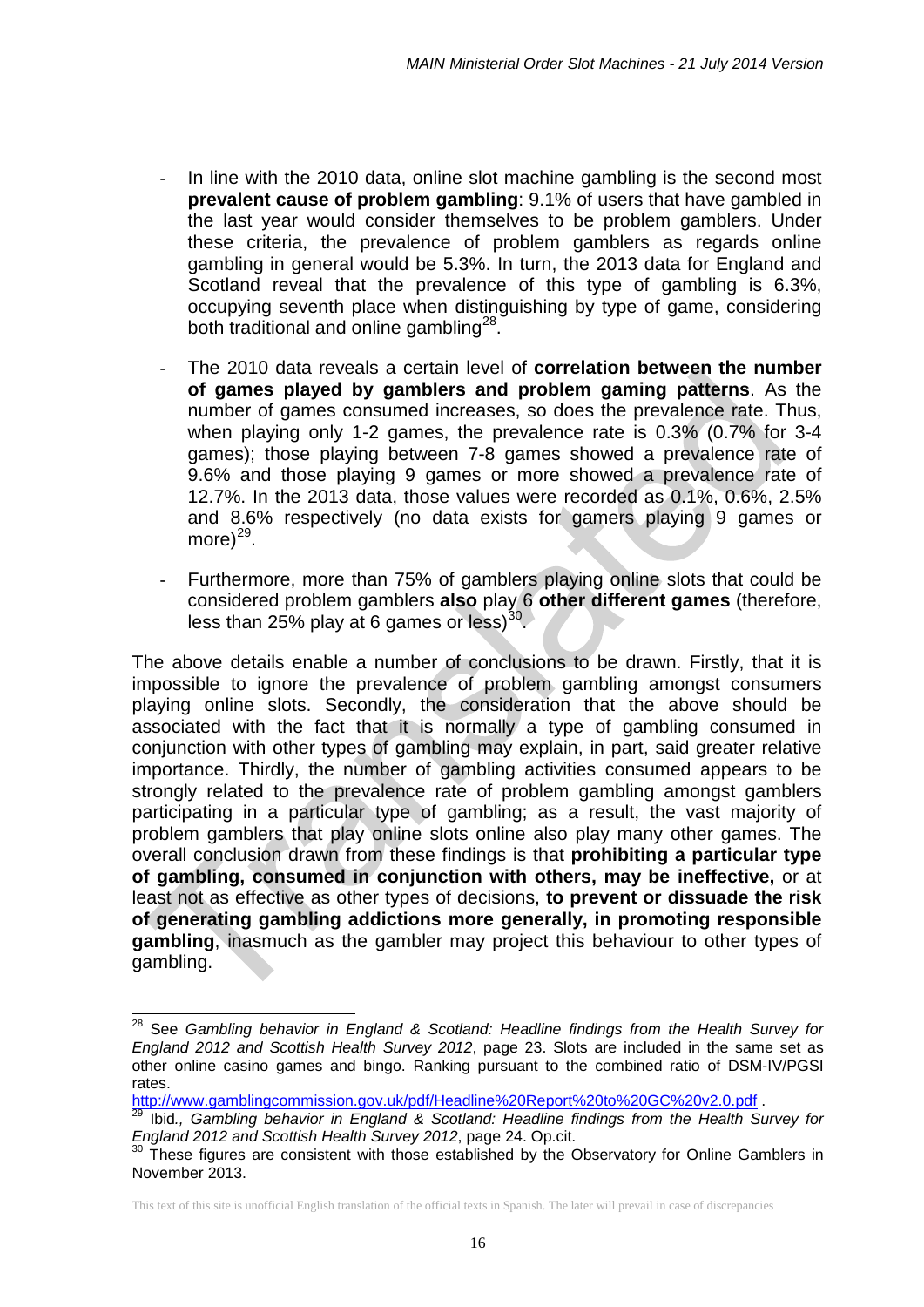- In line with the 2010 data, online slot machine gambling is the second most **prevalent cause of problem gambling**: 9.1% of users that have gambled in the last year would consider themselves to be problem gamblers. Under these criteria, the prevalence of problem gamblers as regards online gambling in general would be 5.3%. In turn, the 2013 data for England and Scotland reveal that the prevalence of this type of gambling is 6.3%, occupying seventh place when distinguishing by type of game, considering both traditional and online gambling<sup>28</sup>.
- The 2010 data reveals a certain level of **correlation between the number of games played by gamblers and problem gaming patterns**. As the number of games consumed increases, so does the prevalence rate. Thus, when playing only 1-2 games, the prevalence rate is 0.3% (0.7% for 3-4 games); those playing between 7-8 games showed a prevalence rate of 9.6% and those playing 9 games or more showed a prevalence rate of 12.7%. In the 2013 data, those values were recorded as 0.1%, 0.6%, 2.5% and 8.6% respectively (no data exists for gamers playing 9 games or more) $^{29}$ .
- Furthermore, more than 75% of gamblers playing online slots that could be considered problem gamblers **also** play 6 **other different games** (therefore, less than 25% play at 6 games or less) $30$ .

The above details enable a number of conclusions to be drawn. Firstly, that it is impossible to ignore the prevalence of problem gambling amongst consumers playing online slots. Secondly, the consideration that the above should be associated with the fact that it is normally a type of gambling consumed in conjunction with other types of gambling may explain, in part, said greater relative importance. Thirdly, the number of gambling activities consumed appears to be strongly related to the prevalence rate of problem gambling amongst gamblers participating in a particular type of gambling; as a result, the vast majority of problem gamblers that play online slots online also play many other games. The overall conclusion drawn from these findings is that **prohibiting a particular type of gambling, consumed in conjunction with others, may be ineffective,** or at least not as effective as other types of decisions, **to prevent or dissuade the risk of generating gambling addictions more generally, in promoting responsible gambling**, inasmuch as the gambler may project this behaviour to other types of gambling.

 $\overline{\phantom{a}}$ 

<span id="page-15-0"></span><sup>&</sup>lt;sup>28</sup> See *Gambling behavior in England & Scotland: Headline findings from the Health Survey for England 2012 and Scottish Health Survey 2012*, page 23. Slots are included in the same set as other online casino games and bingo. Ranking pursuant to the combined ratio of DSM-IV/PGSI

rates.<br>http://www.gamblingcommission.gov.uk/pdf/Headline%20Report%20to%20GC%20v2.0.pdf .

<span id="page-15-1"></span><sup>&</sup>lt;sup>29</sup> Ibid., Gambling behavior in England & Scotland: Headline findings from the Health Survey for<br>England 2012 and Scottish Health Survey 2012, page 24, Op.cit.

<span id="page-15-2"></span>*England 2012 and Scottish Health Survey 2012*, page 24. Op.cit. <sup>30</sup> These figures are consistent with those established by the Observatory for Online Gamblers in November 2013.

This text of this site is unofficial English translation of the official texts in Spanish. The later will prevail in case of discrepancies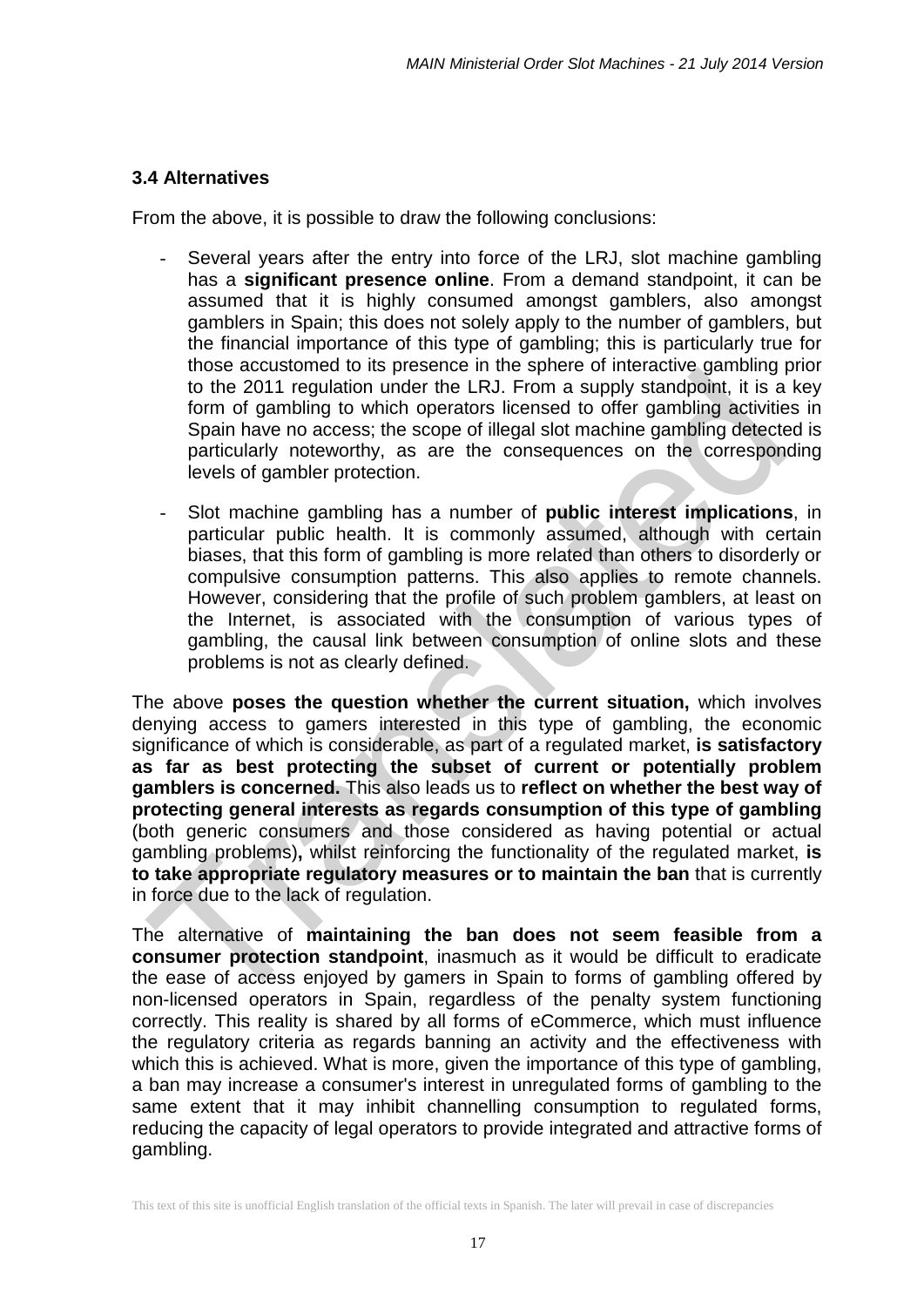### **3.4 Alternatives**

From the above, it is possible to draw the following conclusions:

- Several years after the entry into force of the LRJ, slot machine gambling has a **significant presence online**. From a demand standpoint, it can be assumed that it is highly consumed amongst gamblers, also amongst gamblers in Spain; this does not solely apply to the number of gamblers, but the financial importance of this type of gambling; this is particularly true for those accustomed to its presence in the sphere of interactive gambling prior to the 2011 regulation under the LRJ. From a supply standpoint, it is a key form of gambling to which operators licensed to offer gambling activities in Spain have no access; the scope of illegal slot machine gambling detected is particularly noteworthy, as are the consequences on the corresponding levels of gambler protection.
- Slot machine gambling has a number of **public interest implications**, in particular public health. It is commonly assumed, although with certain biases, that this form of gambling is more related than others to disorderly or compulsive consumption patterns. This also applies to remote channels. However, considering that the profile of such problem gamblers, at least on the Internet, is associated with the consumption of various types of gambling, the causal link between consumption of online slots and these problems is not as clearly defined.

The above **poses the question whether the current situation,** which involves denying access to gamers interested in this type of gambling, the economic significance of which is considerable, as part of a regulated market, **is satisfactory as far as best protecting the subset of current or potentially problem gamblers is concerned.** This also leads us to **reflect on whether the best way of protecting general interests as regards consumption of this type of gambling**  (both generic consumers and those considered as having potential or actual gambling problems)**,** whilst reinforcing the functionality of the regulated market, **is to take appropriate regulatory measures or to maintain the ban** that is currently in force due to the lack of regulation.

The alternative of **maintaining the ban does not seem feasible from a consumer protection standpoint**, inasmuch as it would be difficult to eradicate the ease of access enjoyed by gamers in Spain to forms of gambling offered by non-licensed operators in Spain, regardless of the penalty system functioning correctly. This reality is shared by all forms of eCommerce, which must influence the regulatory criteria as regards banning an activity and the effectiveness with which this is achieved. What is more, given the importance of this type of gambling, a ban may increase a consumer's interest in unregulated forms of gambling to the same extent that it may inhibit channelling consumption to regulated forms, reducing the capacity of legal operators to provide integrated and attractive forms of gambling.

This text of this site is unofficial English translation of the official texts in Spanish. The later will prevail in case of discrepancies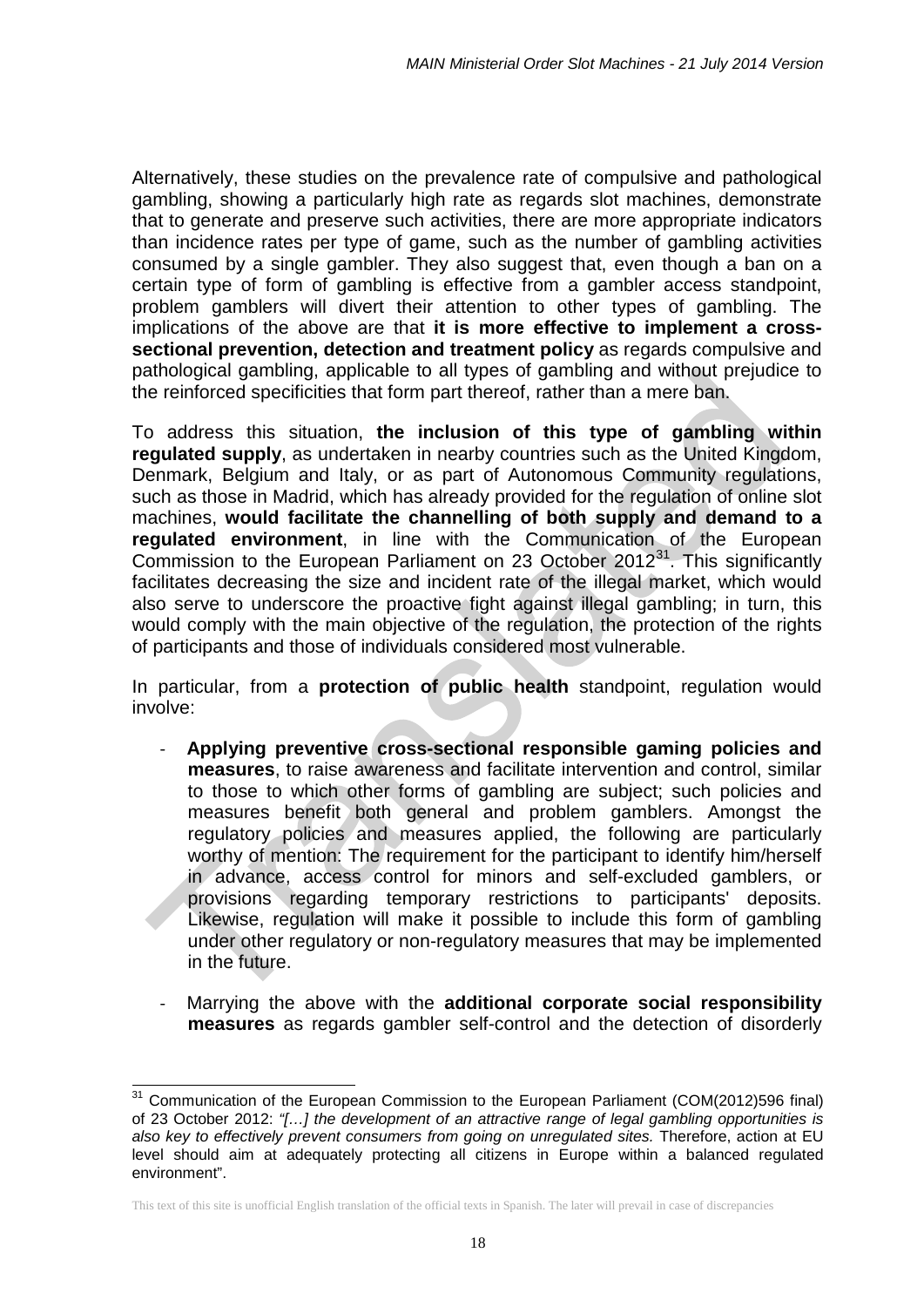Alternatively, these studies on the prevalence rate of compulsive and pathological gambling, showing a particularly high rate as regards slot machines, demonstrate that to generate and preserve such activities, there are more appropriate indicators than incidence rates per type of game, such as the number of gambling activities consumed by a single gambler. They also suggest that, even though a ban on a certain type of form of gambling is effective from a gambler access standpoint, problem gamblers will divert their attention to other types of gambling. The implications of the above are that **it is more effective to implement a crosssectional prevention, detection and treatment policy** as regards compulsive and pathological gambling, applicable to all types of gambling and without prejudice to the reinforced specificities that form part thereof, rather than a mere ban.

To address this situation, **the inclusion of this type of gambling within regulated supply**, as undertaken in nearby countries such as the United Kingdom, Denmark, Belgium and Italy, or as part of Autonomous Community regulations, such as those in Madrid, which has already provided for the regulation of online slot machines, **would facilitate the channelling of both supply and demand to a regulated environment**, in line with the Communication of the European Commission to the European Parliament on 23 October 2012 $^{31}$ . This significantly facilitates decreasing the size and incident rate of the illegal market, which would also serve to underscore the proactive fight against illegal gambling; in turn, this would comply with the main objective of the regulation, the protection of the rights of participants and those of individuals considered most vulnerable.

In particular, from a **protection of public health** standpoint, regulation would involve:

- **Applying preventive cross-sectional responsible gaming policies and measures**, to raise awareness and facilitate intervention and control, similar to those to which other forms of gambling are subject; such policies and measures benefit both general and problem gamblers. Amongst the regulatory policies and measures applied, the following are particularly worthy of mention: The requirement for the participant to identify him/herself in advance, access control for minors and self-excluded gamblers, or provisions regarding temporary restrictions to participants' deposits. Likewise, regulation will make it possible to include this form of gambling under other regulatory or non-regulatory measures that may be implemented in the future.
- Marrying the above with the **additional corporate social responsibility measures** as regards gambler self-control and the detection of disorderly

<span id="page-17-0"></span><sup>&</sup>lt;sup>31</sup> Communication of the European Commission to the European Parliament (COM(2012)596 final) of 23 October 2012: *"[…] the development of an attractive range of legal gambling opportunities is also key to effectively prevent consumers from going on unregulated sites.* Therefore, action at EU level should aim at adequately protecting all citizens in Europe within a balanced regulated environment".  $\overline{a}$ 

This text of this site is unofficial English translation of the official texts in Spanish. The later will prevail in case of discrepancies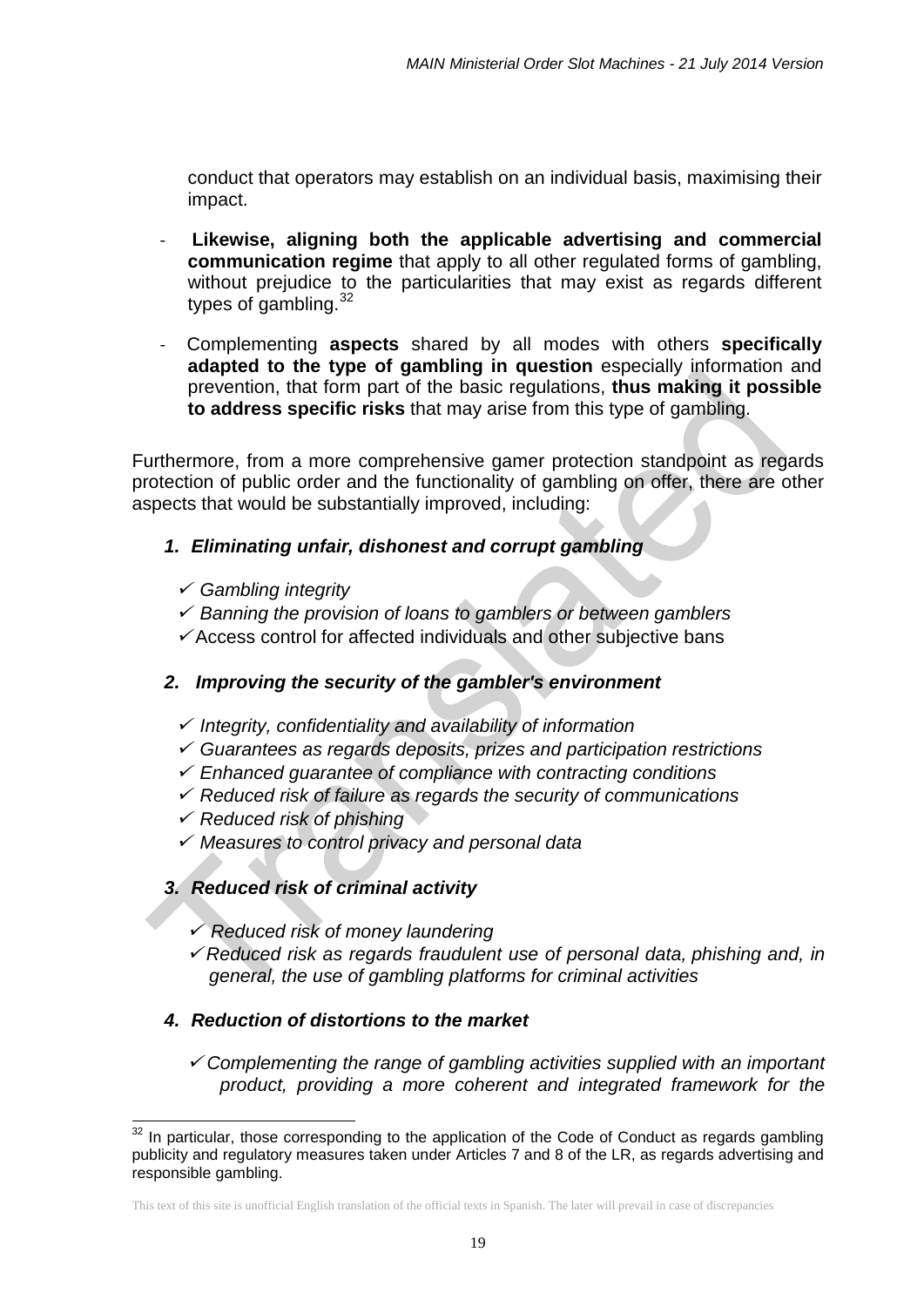conduct that operators may establish on an individual basis, maximising their impact.

- Likewise, aligning both the applicable advertising and commercial **communication regime** that apply to all other regulated forms of gambling, without prejudice to the particularities that may exist as regards different types of gambling.<sup>[32](#page-18-0)</sup>
- Complementing **aspects** shared by all modes with others **specifically adapted to the type of gambling in question** especially information and prevention, that form part of the basic regulations, **thus making it possible to address specific risks** that may arise from this type of gambling.

Furthermore, from a more comprehensive gamer protection standpoint as regards protection of public order and the functionality of gambling on offer, there are other aspects that would be substantially improved, including:

# *1. Eliminating unfair, dishonest and corrupt gambling*

- *Gambling integrity*
- *Banning the provision of loans to gamblers or between gamblers*
- $\checkmark$  Access control for affected individuals and other subjective bans

# *2. Improving the security of the gambler's environment*

- *Integrity, confidentiality and availability of information*
- *Guarantees as regards deposits, prizes and participation restrictions*
- *Enhanced guarantee of compliance with contracting conditions*
- *Reduced risk of failure as regards the security of communications*
- *Reduced risk of phishing*
- *Measures to control privacy and personal data*

# *3. Reduced risk of criminal activity*

- *Reduced risk of money laundering*
- *Reduced risk as regards fraudulent use of personal data, phishing and, in general, the use of gambling platforms for criminal activities*

### *4. Reduction of distortions to the market*

 *Complementing the range of gambling activities supplied with an important product, providing a more coherent and integrated framework for the* 

<span id="page-18-0"></span> $32$  In particular, those corresponding to the application of the Code of Conduct as regards gambling publicity and regulatory measures taken under Articles 7 and 8 of the LR, as regards advertising and responsible gambling. 1

This text of this site is unofficial English translation of the official texts in Spanish. The later will prevail in case of discrepancies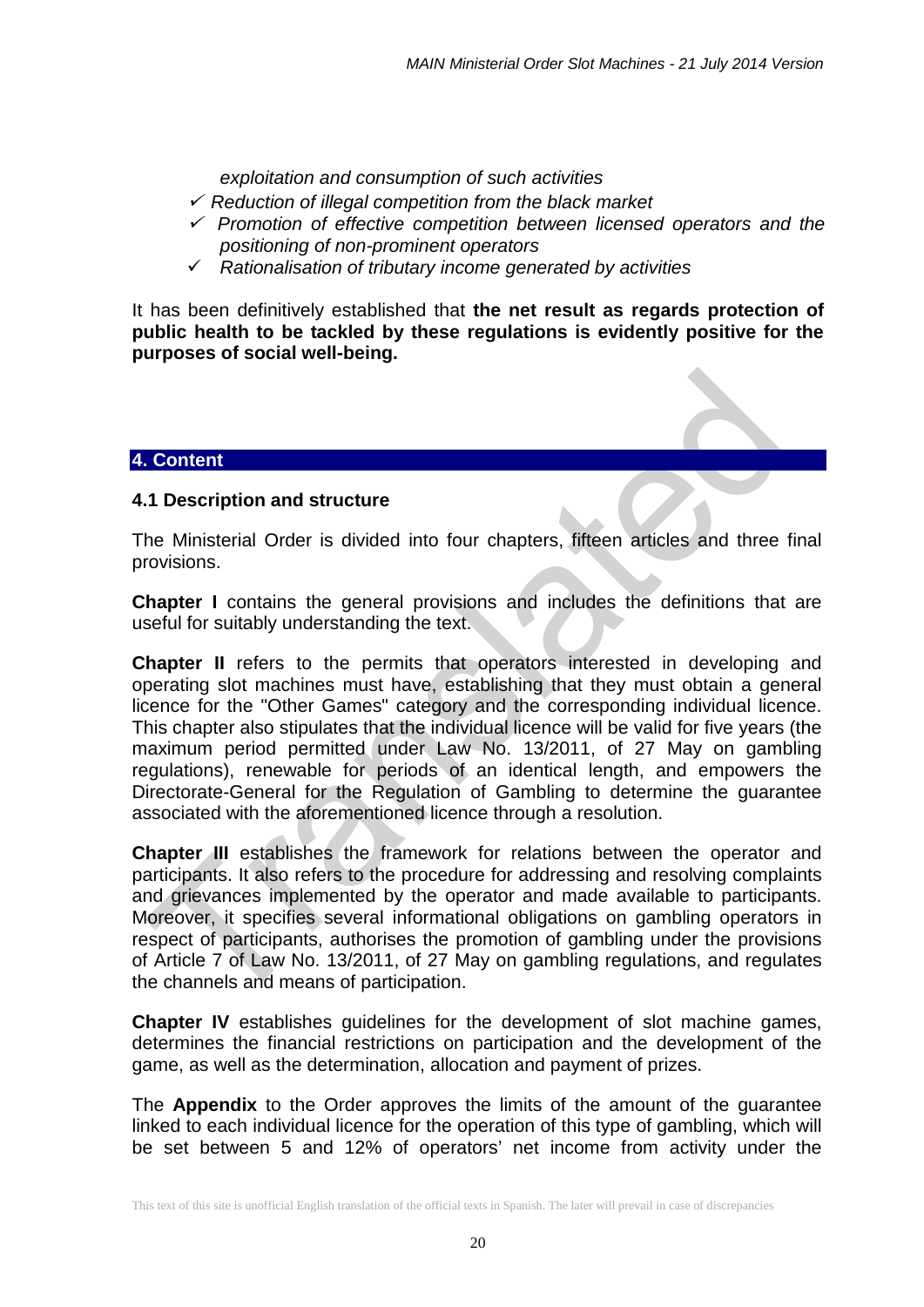*exploitation and consumption of such activities*

- *Reduction of illegal competition from the black market*
- *Promotion of effective competition between licensed operators and the positioning of non-prominent operators*
- *Rationalisation of tributary income generated by activities*

It has been definitively established that **the net result as regards protection of public health to be tackled by these regulations is evidently positive for the purposes of social well-being.**

### **4. Content**

### **4.1 Description and structure**

The Ministerial Order is divided into four chapters, fifteen articles and three final provisions.

**Chapter I** contains the general provisions and includes the definitions that are useful for suitably understanding the text.

**Chapter II** refers to the permits that operators interested in developing and operating slot machines must have, establishing that they must obtain a general licence for the "Other Games" category and the corresponding individual licence. This chapter also stipulates that the individual licence will be valid for five years (the maximum period permitted under Law No. 13/2011, of 27 May on gambling regulations), renewable for periods of an identical length, and empowers the Directorate-General for the Regulation of Gambling to determine the guarantee associated with the aforementioned licence through a resolution.

**Chapter III** establishes the framework for relations between the operator and participants. It also refers to the procedure for addressing and resolving complaints and grievances implemented by the operator and made available to participants. Moreover, it specifies several informational obligations on gambling operators in respect of participants, authorises the promotion of gambling under the provisions of Article 7 of Law No. 13/2011, of 27 May on gambling regulations, and regulates the channels and means of participation.

**Chapter IV** establishes guidelines for the development of slot machine games, determines the financial restrictions on participation and the development of the game, as well as the determination, allocation and payment of prizes.

The **Appendix** to the Order approves the limits of the amount of the guarantee linked to each individual licence for the operation of this type of gambling, which will be set between 5 and 12% of operators' net income from activity under the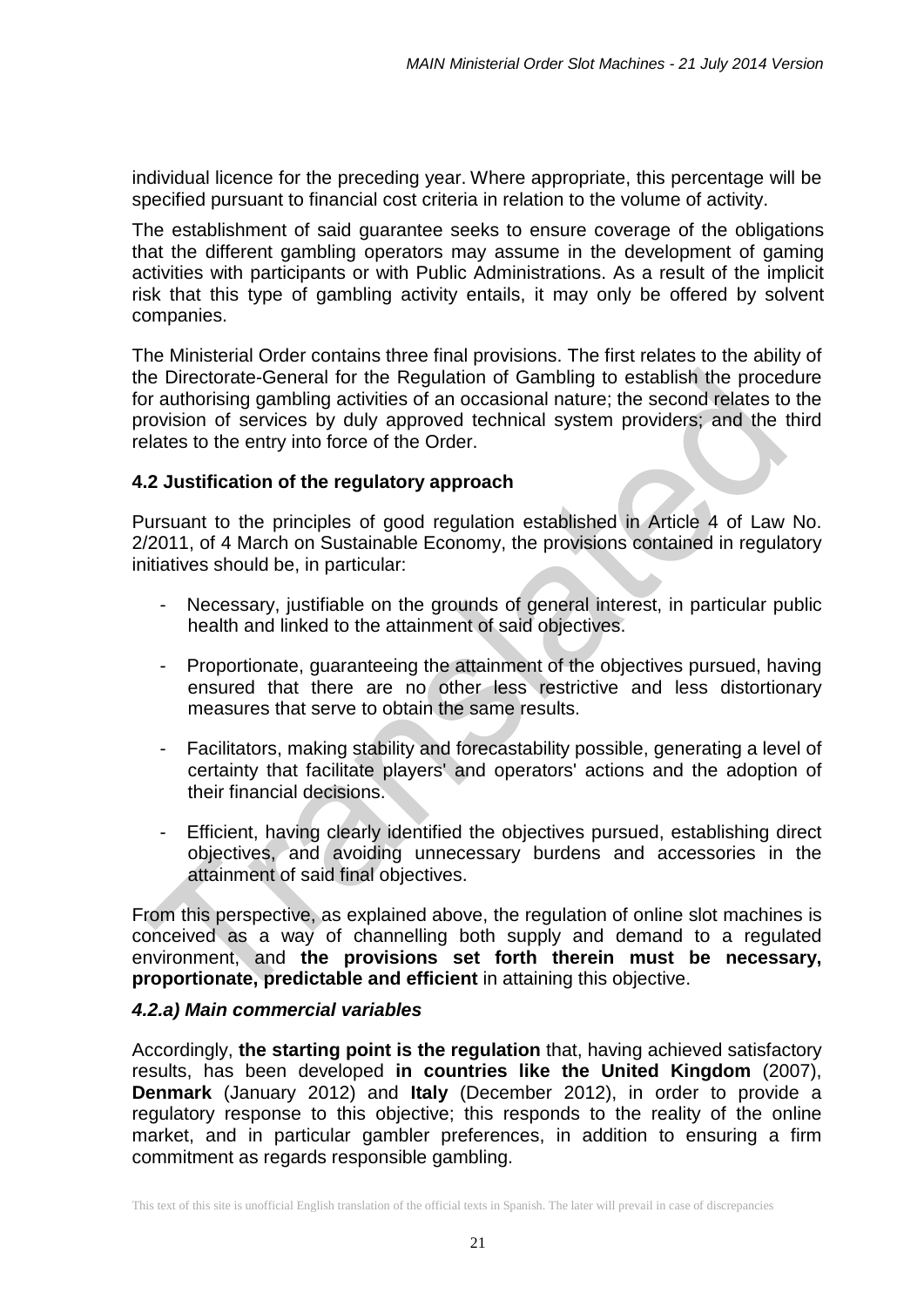individual licence for the preceding year. Where appropriate, this percentage will be specified pursuant to financial cost criteria in relation to the volume of activity.

The establishment of said guarantee seeks to ensure coverage of the obligations that the different gambling operators may assume in the development of gaming activities with participants or with Public Administrations. As a result of the implicit risk that this type of gambling activity entails, it may only be offered by solvent companies.

The Ministerial Order contains three final provisions. The first relates to the ability of the Directorate-General for the Regulation of Gambling to establish the procedure for authorising gambling activities of an occasional nature; the second relates to the provision of services by duly approved technical system providers; and the third relates to the entry into force of the Order.

# **4.2 Justification of the regulatory approach**

Pursuant to the principles of good regulation established in Article 4 of Law No. 2/2011, of 4 March on Sustainable Economy, the provisions contained in regulatory initiatives should be, in particular:

- Necessary, justifiable on the grounds of general interest, in particular public health and linked to the attainment of said objectives.
- Proportionate, guaranteeing the attainment of the objectives pursued, having ensured that there are no other less restrictive and less distortionary measures that serve to obtain the same results.
- Facilitators, making stability and forecastability possible, generating a level of certainty that facilitate players' and operators' actions and the adoption of their financial decisions.
- Efficient, having clearly identified the objectives pursued, establishing direct objectives, and avoiding unnecessary burdens and accessories in the attainment of said final objectives.

From this perspective, as explained above, the regulation of online slot machines is conceived as a way of channelling both supply and demand to a regulated environment, and **the provisions set forth therein must be necessary, proportionate, predictable and efficient** in attaining this objective.

### *4.2.a) Main commercial variables*

Accordingly, **the starting point is the regulation** that, having achieved satisfactory results, has been developed **in countries like the United Kingdom** (2007), **Denmark** (January 2012) and **Italy** (December 2012), in order to provide a regulatory response to this objective; this responds to the reality of the online market, and in particular gambler preferences, in addition to ensuring a firm commitment as regards responsible gambling.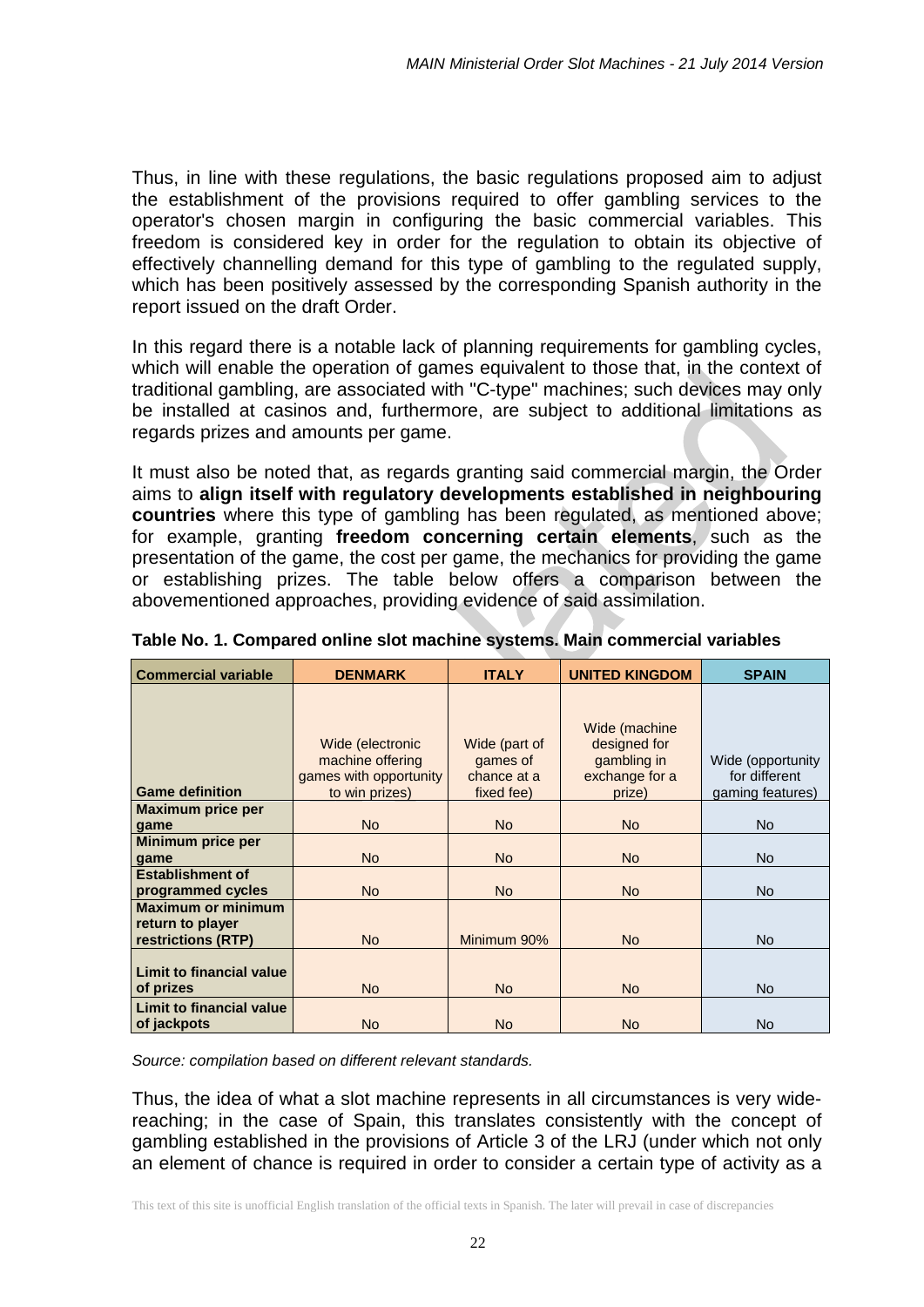Thus, in line with these regulations, the basic regulations proposed aim to adjust the establishment of the provisions required to offer gambling services to the operator's chosen margin in configuring the basic commercial variables. This freedom is considered key in order for the regulation to obtain its objective of effectively channelling demand for this type of gambling to the regulated supply, which has been positively assessed by the corresponding Spanish authority in the report issued on the draft Order.

In this regard there is a notable lack of planning requirements for gambling cycles, which will enable the operation of games equivalent to those that, in the context of traditional gambling, are associated with "C-type" machines; such devices may only be installed at casinos and, furthermore, are subject to additional limitations as regards prizes and amounts per game.

It must also be noted that, as regards granting said commercial margin, the Order aims to **align itself with regulatory developments established in neighbouring countries** where this type of gambling has been regulated, as mentioned above; for example, granting **freedom concerning certain elements**, such as the presentation of the game, the cost per game, the mechanics for providing the game or establishing prizes. The table below offers a comparison between the abovementioned approaches, providing evidence of said assimilation.

| <b>Commercial variable</b>                                          | <b>DENMARK</b>                                                                   | <b>ITALY</b>                                           | <b>UNITED KINGDOM</b>                                                    | <b>SPAIN</b>                                           |
|---------------------------------------------------------------------|----------------------------------------------------------------------------------|--------------------------------------------------------|--------------------------------------------------------------------------|--------------------------------------------------------|
| <b>Game definition</b>                                              | Wide (electronic<br>machine offering<br>games with opportunity<br>to win prizes) | Wide (part of<br>games of<br>chance at a<br>fixed fee) | Wide (machine<br>designed for<br>gambling in<br>exchange for a<br>prize) | Wide (opportunity<br>for different<br>gaming features) |
| <b>Maximum price per</b>                                            |                                                                                  |                                                        |                                                                          |                                                        |
| game                                                                | <b>No</b>                                                                        | <b>No</b>                                              | <b>No</b>                                                                | <b>No</b>                                              |
| Minimum price per<br>game                                           | <b>No</b>                                                                        | <b>No</b>                                              | <b>No</b>                                                                | <b>No</b>                                              |
| <b>Establishment of</b><br>programmed cycles                        | <b>No</b>                                                                        | <b>No</b>                                              | <b>No</b>                                                                | <b>No</b>                                              |
| <b>Maximum or minimum</b><br>return to player<br>restrictions (RTP) | <b>No</b>                                                                        | Minimum 90%                                            | N <sub>o</sub>                                                           | <b>No</b>                                              |
| <b>Limit to financial value</b><br>of prizes                        | <b>No</b>                                                                        | <b>No</b>                                              | <b>No</b>                                                                | <b>No</b>                                              |
| <b>Limit to financial value</b><br>of jackpots                      | <b>No</b>                                                                        | <b>No</b>                                              | <b>No</b>                                                                | <b>No</b>                                              |

**Table No. 1. Compared online slot machine systems. Main commercial variables**

*Source: compilation based on different relevant standards.*

Thus, the idea of what a slot machine represents in all circumstances is very widereaching; in the case of Spain, this translates consistently with the concept of gambling established in the provisions of Article 3 of the LRJ (under which not only an element of chance is required in order to consider a certain type of activity as a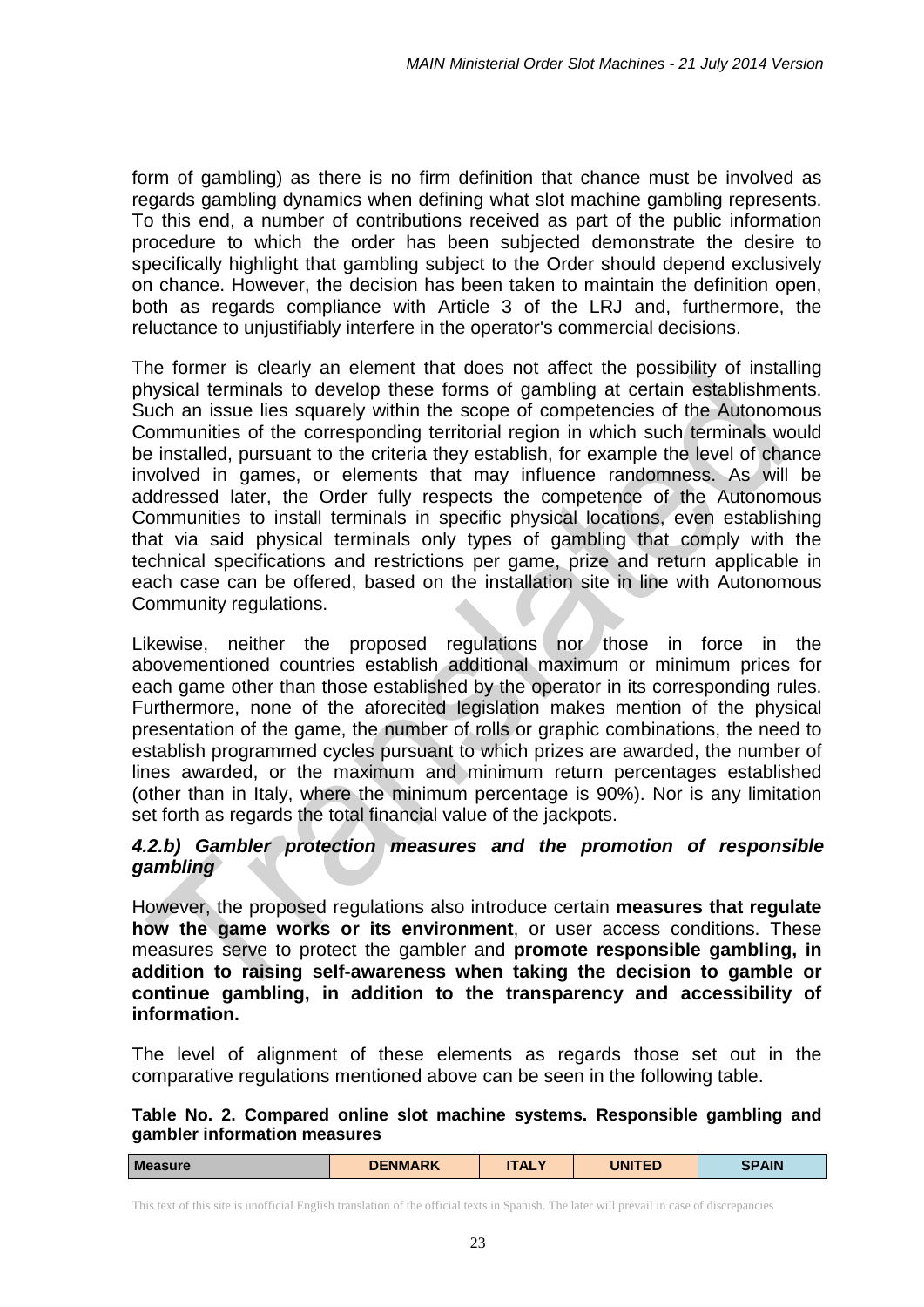form of gambling) as there is no firm definition that chance must be involved as regards gambling dynamics when defining what slot machine gambling represents. To this end, a number of contributions received as part of the public information procedure to which the order has been subjected demonstrate the desire to specifically highlight that gambling subject to the Order should depend exclusively on chance. However, the decision has been taken to maintain the definition open, both as regards compliance with Article 3 of the LRJ and, furthermore, the reluctance to unjustifiably interfere in the operator's commercial decisions.

The former is clearly an element that does not affect the possibility of installing physical terminals to develop these forms of gambling at certain establishments. Such an issue lies squarely within the scope of competencies of the Autonomous Communities of the corresponding territorial region in which such terminals would be installed, pursuant to the criteria they establish, for example the level of chance involved in games, or elements that may influence randomness. As will be addressed later, the Order fully respects the competence of the Autonomous Communities to install terminals in specific physical locations, even establishing that via said physical terminals only types of gambling that comply with the technical specifications and restrictions per game, prize and return applicable in each case can be offered, based on the installation site in line with Autonomous Community regulations.

Likewise, neither the proposed regulations nor those in force in the abovementioned countries establish additional maximum or minimum prices for each game other than those established by the operator in its corresponding rules. Furthermore, none of the aforecited legislation makes mention of the physical presentation of the game, the number of rolls or graphic combinations, the need to establish programmed cycles pursuant to which prizes are awarded, the number of lines awarded, or the maximum and minimum return percentages established (other than in Italy, where the minimum percentage is 90%). Nor is any limitation set forth as regards the total financial value of the jackpots.

### *4.2.b) Gambler protection measures and the promotion of responsible gambling*

However, the proposed regulations also introduce certain **measures that regulate how the game works or its environment**, or user access conditions. These measures serve to protect the gambler and **promote responsible gambling, in addition to raising self-awareness when taking the decision to gamble or continue gambling, in addition to the transparency and accessibility of information.**

The level of alignment of these elements as regards those set out in the comparative regulations mentioned above can be seen in the following table.

**Table No. 2. Compared online slot machine systems. Responsible gambling and gambler information measures**

| <b>Measure</b> | <b>DENMARK</b> | <b>ITALY</b> | <b>UNITED</b> | <b>SPAIN</b> |
|----------------|----------------|--------------|---------------|--------------|
|                |                |              |               |              |

This text of this site is unofficial English translation of the official texts in Spanish. The later will prevail in case of discrepancies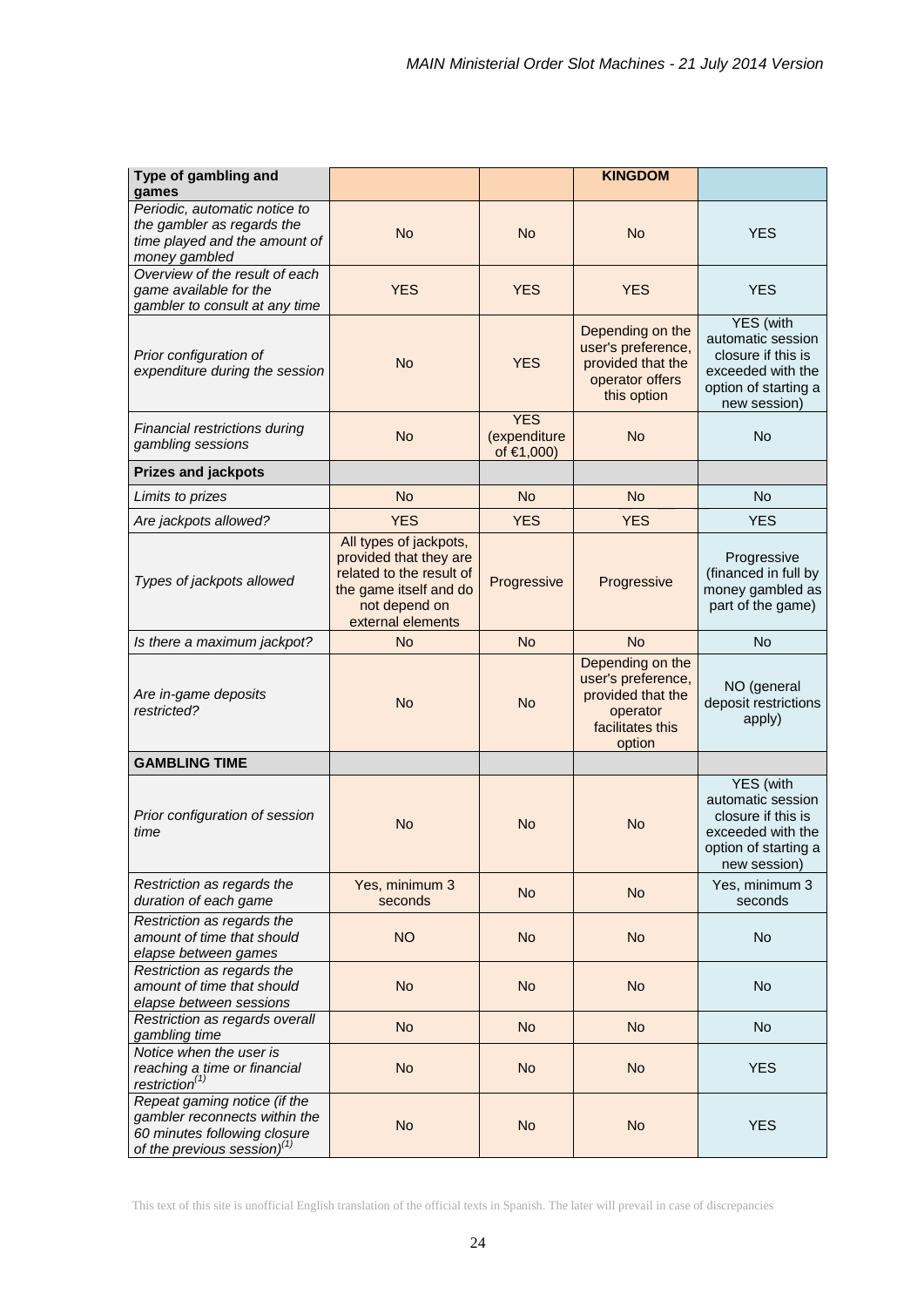| Type of gambling and                                                                                                            |                                                                                                                                              |                                          | <b>KINGDOM</b>                                                                                        |                                                                                                                   |
|---------------------------------------------------------------------------------------------------------------------------------|----------------------------------------------------------------------------------------------------------------------------------------------|------------------------------------------|-------------------------------------------------------------------------------------------------------|-------------------------------------------------------------------------------------------------------------------|
| games<br>Periodic, automatic notice to                                                                                          |                                                                                                                                              |                                          |                                                                                                       |                                                                                                                   |
| the gambler as regards the<br>time played and the amount of<br>money gambled                                                    | <b>No</b>                                                                                                                                    | <b>No</b>                                | <b>No</b>                                                                                             | <b>YES</b>                                                                                                        |
| Overview of the result of each<br>game available for the<br>gambler to consult at any time                                      | <b>YES</b>                                                                                                                                   | <b>YES</b>                               | <b>YES</b>                                                                                            | <b>YES</b>                                                                                                        |
| Prior configuration of<br>expenditure during the session                                                                        | <b>No</b>                                                                                                                                    | <b>YES</b>                               | Depending on the<br>user's preference,<br>provided that the<br>operator offers<br>this option         | YES (with<br>automatic session<br>closure if this is<br>exceeded with the<br>option of starting a<br>new session) |
| Financial restrictions during<br>gambling sessions                                                                              | <b>No</b>                                                                                                                                    | <b>YES</b><br>(expenditure<br>of €1,000) | <b>No</b>                                                                                             | No                                                                                                                |
| <b>Prizes and jackpots</b>                                                                                                      |                                                                                                                                              |                                          |                                                                                                       |                                                                                                                   |
| Limits to prizes                                                                                                                | <b>No</b>                                                                                                                                    | <b>No</b>                                | <b>No</b>                                                                                             | <b>No</b>                                                                                                         |
| Are jackpots allowed?                                                                                                           | <b>YES</b>                                                                                                                                   | <b>YES</b>                               | <b>YES</b>                                                                                            | <b>YES</b>                                                                                                        |
| Types of jackpots allowed                                                                                                       | All types of jackpots,<br>provided that they are<br>related to the result of<br>the game itself and do<br>not depend on<br>external elements | Progressive                              | Progressive                                                                                           | Progressive<br>(financed in full by<br>money gambled as<br>part of the game)                                      |
| Is there a maximum jackpot?                                                                                                     | <b>No</b>                                                                                                                                    | <b>No</b>                                | <b>No</b>                                                                                             | No                                                                                                                |
| Are in-game deposits<br>restricted?                                                                                             | <b>No</b>                                                                                                                                    | <b>No</b>                                | Depending on the<br>user's preference,<br>provided that the<br>operator<br>facilitates this<br>option | NO (general<br>deposit restrictions<br>apply)                                                                     |
| <b>GAMBLING TIME</b>                                                                                                            |                                                                                                                                              |                                          |                                                                                                       |                                                                                                                   |
| Prior configuration of session<br>time                                                                                          | <b>No</b>                                                                                                                                    | <b>No</b>                                | <b>No</b>                                                                                             | YES (with<br>automatic session<br>closure if this is<br>exceeded with the<br>option of starting a<br>new session) |
| Restriction as regards the<br>duration of each game                                                                             | Yes, minimum 3<br>seconds                                                                                                                    | <b>No</b>                                | <b>No</b>                                                                                             | Yes, minimum 3<br>seconds                                                                                         |
| Restriction as regards the<br>amount of time that should<br>elapse between games                                                | <b>NO</b>                                                                                                                                    | <b>No</b>                                | <b>No</b>                                                                                             | <b>No</b>                                                                                                         |
| Restriction as regards the<br>amount of time that should<br>elapse between sessions                                             | <b>No</b>                                                                                                                                    | <b>No</b>                                | <b>No</b>                                                                                             | No                                                                                                                |
| Restriction as regards overall<br>gambling time                                                                                 | <b>No</b>                                                                                                                                    | <b>No</b>                                | <b>No</b>                                                                                             | <b>No</b>                                                                                                         |
| Notice when the user is<br>reaching a time or financial<br>restriction $(1)$                                                    | <b>No</b>                                                                                                                                    | <b>No</b>                                | <b>No</b>                                                                                             | <b>YES</b>                                                                                                        |
| Repeat gaming notice (if the<br>gambler reconnects within the<br>60 minutes following closure<br>of the previous session) $(1)$ | <b>No</b>                                                                                                                                    | <b>No</b>                                | <b>No</b>                                                                                             | <b>YES</b>                                                                                                        |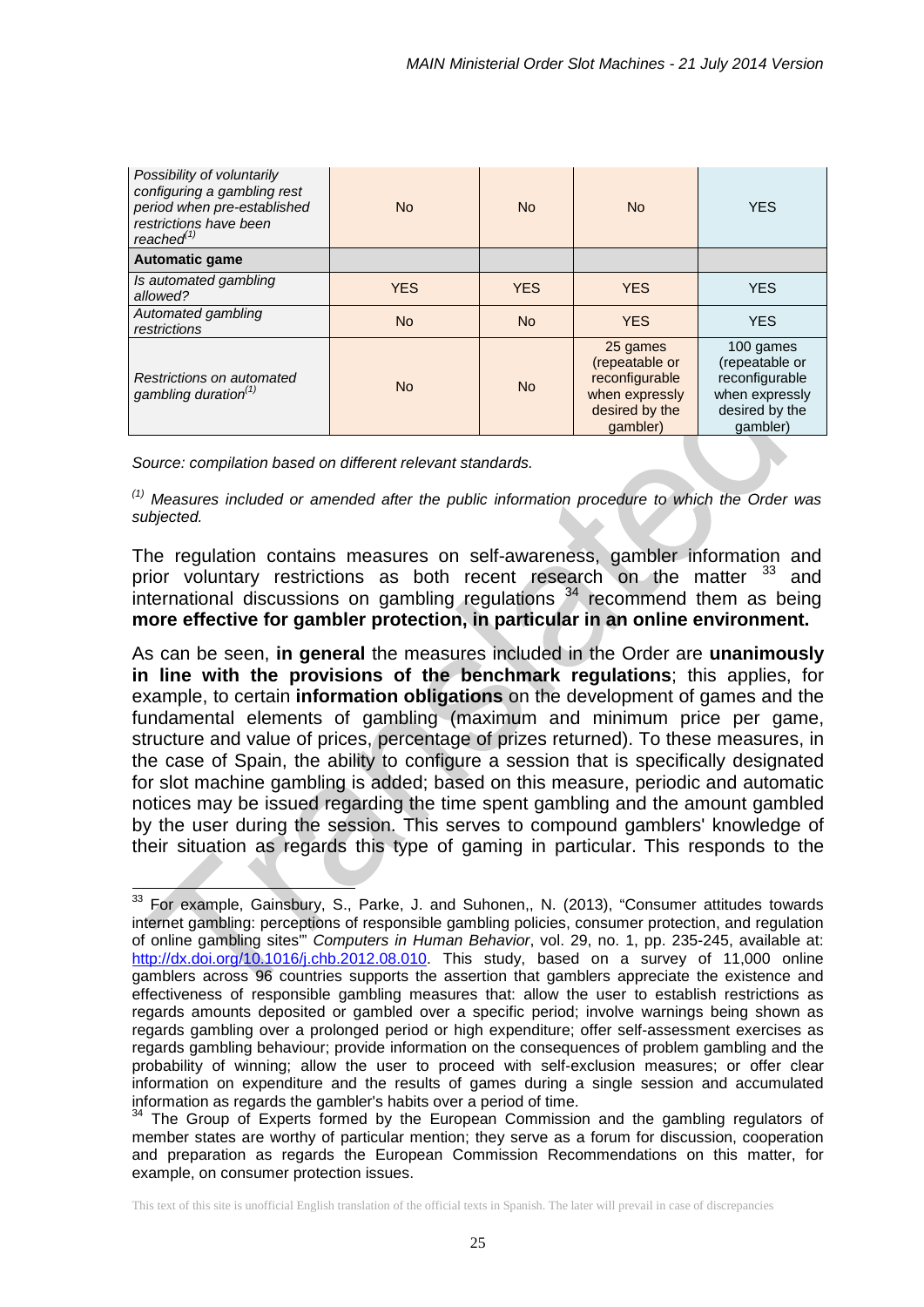| Possibility of voluntarily<br>configuring a gambling rest<br>period when pre-established<br>restrictions have been<br>reached $^{(1)}$ | N <sub>o</sub> | <b>No</b>  | <b>No</b>                                                                                    | <b>YES</b>                                                                                    |
|----------------------------------------------------------------------------------------------------------------------------------------|----------------|------------|----------------------------------------------------------------------------------------------|-----------------------------------------------------------------------------------------------|
| <b>Automatic game</b>                                                                                                                  |                |            |                                                                                              |                                                                                               |
| Is automated gambling<br>allowed?                                                                                                      | <b>YES</b>     | <b>YES</b> | <b>YES</b>                                                                                   | <b>YES</b>                                                                                    |
| Automated gambling<br>restrictions                                                                                                     | <b>No</b>      | <b>No</b>  | <b>YES</b>                                                                                   | <b>YES</b>                                                                                    |
| Restrictions on automated<br>gambling duration <sup>(1)</sup>                                                                          | <b>No</b>      | <b>No</b>  | 25 games<br>(repeatable or<br>reconfigurable<br>when expressly<br>desired by the<br>qambler) | 100 games<br>(repeatable or<br>reconfigurable<br>when expressly<br>desired by the<br>qambler) |

*Source: compilation based on different relevant standards.*

*(1) Measures included or amended after the public information procedure to which the Order was subjected.*

The regulation contains measures on self-awareness, gambler information and prior voluntary restrictions as both recent research on the matter <sup>[33](#page-24-0)</sup> and international discussions on gambling regulations [34](#page-24-1) recommend them as being **more effective for gambler protection, in particular in an online environment.**

As can be seen, **in general** the measures included in the Order are **unanimously in line with the provisions of the benchmark regulations**; this applies, for example, to certain **information obligations** on the development of games and the fundamental elements of gambling (maximum and minimum price per game, structure and value of prices, percentage of prizes returned). To these measures, in the case of Spain, the ability to configure a session that is specifically designated for slot machine gambling is added; based on this measure, periodic and automatic notices may be issued regarding the time spent gambling and the amount gambled by the user during the session. This serves to compound gamblers' knowledge of their situation as regards this type of gaming in particular. This responds to the

<span id="page-24-0"></span> $33$  For example, Gainsbury, S., Parke, J. and Suhonen,, N. (2013), "Consumer attitudes towards internet gambling: perceptions of responsible gambling policies, consumer protection, and regulation of online gambling sites'" *Computers in Human Behavior*, vol. 29, no. 1, pp. 235-245, available at: [http://dx.doi.org/10.1016/j.chb.2012.08.010.](http://dx.doi.org/10.1016/j.chb.2012.08.010) This study, based on a survey of 11,000 online gamblers across 96 countries supports the assertion that gamblers appreciate the existence and effectiveness of responsible gambling measures that: allow the user to establish restrictions as regards amounts deposited or gambled over a specific period; involve warnings being shown as regards gambling over a prolonged period or high expenditure; offer self-assessment exercises as regards gambling behaviour; provide information on the consequences of problem gambling and the probability of winning; allow the user to proceed with self-exclusion measures; or offer clear information on expenditure and the results of games during a single session and accumulated information as regards the gambler's habits over a period of time.<br><sup>34</sup> The Group of Experts formed by the European Commission and the gambling regulators of  $\overline{\phantom{a}}$ 

<span id="page-24-1"></span>member states are worthy of particular mention; they serve as a forum for discussion, cooperation and preparation as regards the European Commission Recommendations on this matter, for example, on consumer protection issues.

This text of this site is unofficial English translation of the official texts in Spanish. The later will prevail in case of discrepancies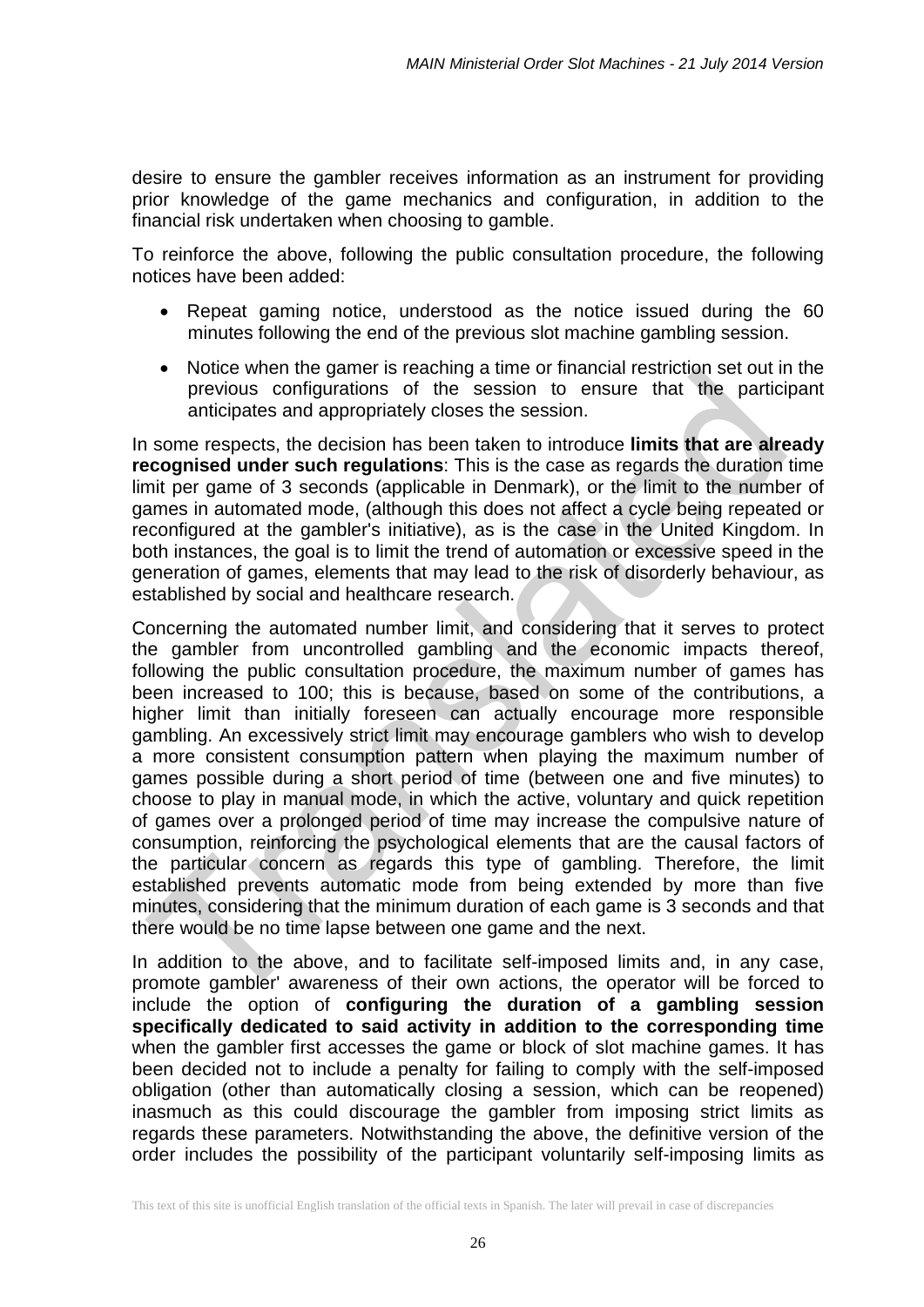desire to ensure the gambler receives information as an instrument for providing prior knowledge of the game mechanics and configuration, in addition to the financial risk undertaken when choosing to gamble.

To reinforce the above, following the public consultation procedure, the following notices have been added:

- Repeat gaming notice, understood as the notice issued during the 60 minutes following the end of the previous slot machine gambling session.
- Notice when the gamer is reaching a time or financial restriction set out in the previous configurations of the session to ensure that the participant anticipates and appropriately closes the session.

In some respects, the decision has been taken to introduce **limits that are already recognised under such regulations**: This is the case as regards the duration time limit per game of 3 seconds (applicable in Denmark), or the limit to the number of games in automated mode, (although this does not affect a cycle being repeated or reconfigured at the gambler's initiative), as is the case in the United Kingdom. In both instances, the goal is to limit the trend of automation or excessive speed in the generation of games, elements that may lead to the risk of disorderly behaviour, as established by social and healthcare research.

Concerning the automated number limit, and considering that it serves to protect the gambler from uncontrolled gambling and the economic impacts thereof, following the public consultation procedure, the maximum number of games has been increased to 100; this is because, based on some of the contributions, a higher limit than initially foreseen can actually encourage more responsible gambling. An excessively strict limit may encourage gamblers who wish to develop a more consistent consumption pattern when playing the maximum number of games possible during a short period of time (between one and five minutes) to choose to play in manual mode, in which the active, voluntary and quick repetition of games over a prolonged period of time may increase the compulsive nature of consumption, reinforcing the psychological elements that are the causal factors of the particular concern as regards this type of gambling. Therefore, the limit established prevents automatic mode from being extended by more than five minutes, considering that the minimum duration of each game is 3 seconds and that there would be no time lapse between one game and the next.

In addition to the above, and to facilitate self-imposed limits and, in any case, promote gambler' awareness of their own actions, the operator will be forced to include the option of **configuring the duration of a gambling session specifically dedicated to said activity in addition to the corresponding time**  when the gambler first accesses the game or block of slot machine games. It has been decided not to include a penalty for failing to comply with the self-imposed obligation (other than automatically closing a session, which can be reopened) inasmuch as this could discourage the gambler from imposing strict limits as regards these parameters. Notwithstanding the above, the definitive version of the order includes the possibility of the participant voluntarily self-imposing limits as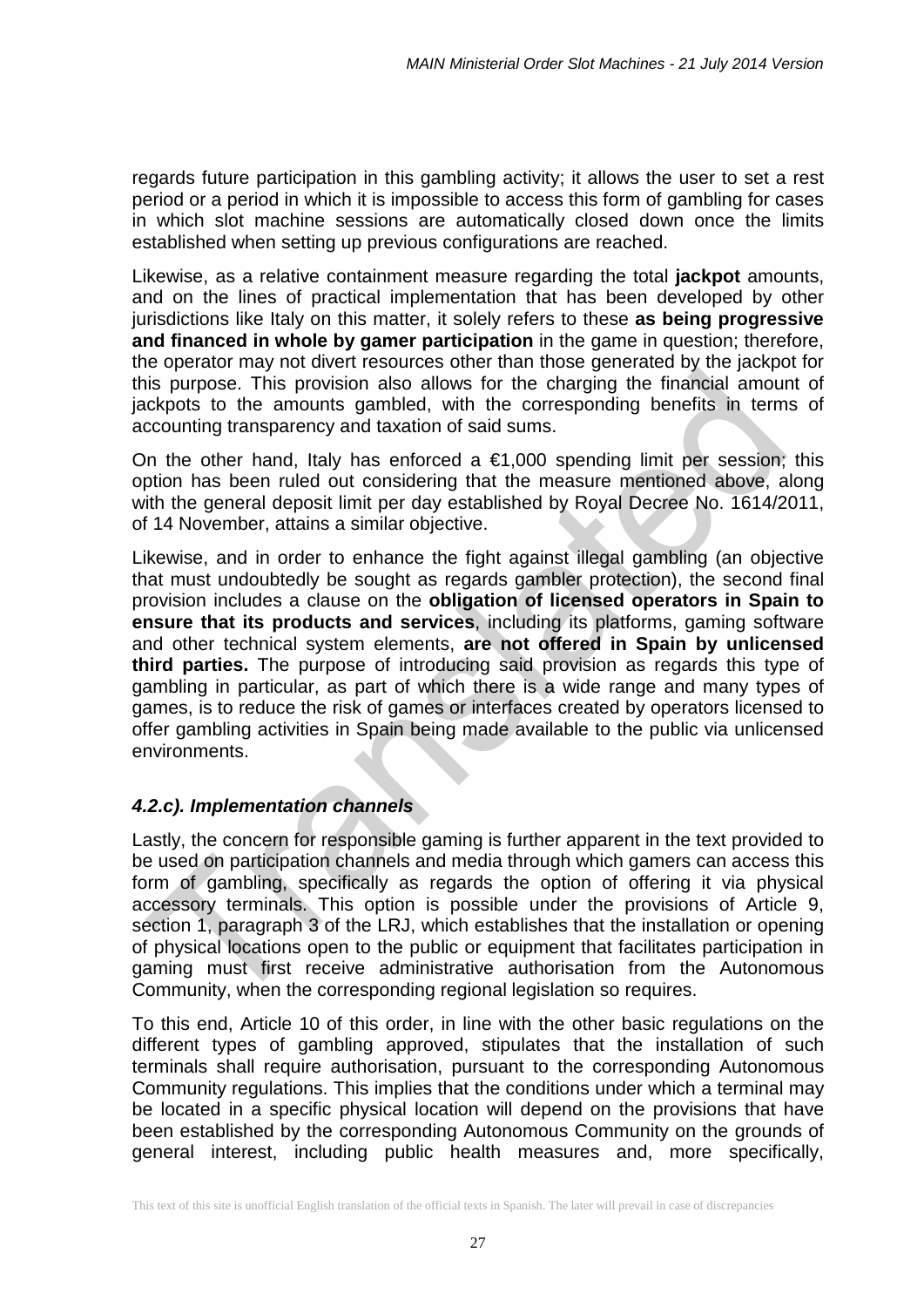regards future participation in this gambling activity; it allows the user to set a rest period or a period in which it is impossible to access this form of gambling for cases in which slot machine sessions are automatically closed down once the limits established when setting up previous configurations are reached.

Likewise, as a relative containment measure regarding the total **jackpot** amounts, and on the lines of practical implementation that has been developed by other jurisdictions like Italy on this matter, it solely refers to these **as being progressive and financed in whole by gamer participation** in the game in question; therefore, the operator may not divert resources other than those generated by the jackpot for this purpose. This provision also allows for the charging the financial amount of jackpots to the amounts gambled, with the corresponding benefits in terms of accounting transparency and taxation of said sums.

On the other hand, Italy has enforced a  $\epsilon$ 1,000 spending limit per session; this option has been ruled out considering that the measure mentioned above, along with the general deposit limit per day established by Royal Decree No. 1614/2011, of 14 November, attains a similar objective.

Likewise, and in order to enhance the fight against illegal gambling (an objective that must undoubtedly be sought as regards gambler protection), the second final provision includes a clause on the **obligation of licensed operators in Spain to ensure that its products and services**, including its platforms, gaming software and other technical system elements, **are not offered in Spain by unlicensed third parties.** The purpose of introducing said provision as regards this type of gambling in particular, as part of which there is a wide range and many types of games, is to reduce the risk of games or interfaces created by operators licensed to offer gambling activities in Spain being made available to the public via unlicensed environments.

# *4.2.c). Implementation channels*

Lastly, the concern for responsible gaming is further apparent in the text provided to be used on participation channels and media through which gamers can access this form of gambling, specifically as regards the option of offering it via physical accessory terminals. This option is possible under the provisions of Article 9, section 1, paragraph 3 of the LRJ, which establishes that the installation or opening of physical locations open to the public or equipment that facilitates participation in gaming must first receive administrative authorisation from the Autonomous Community, when the corresponding regional legislation so requires.

To this end, Article 10 of this order, in line with the other basic regulations on the different types of gambling approved, stipulates that the installation of such terminals shall require authorisation, pursuant to the corresponding Autonomous Community regulations. This implies that the conditions under which a terminal may be located in a specific physical location will depend on the provisions that have been established by the corresponding Autonomous Community on the grounds of general interest, including public health measures and, more specifically,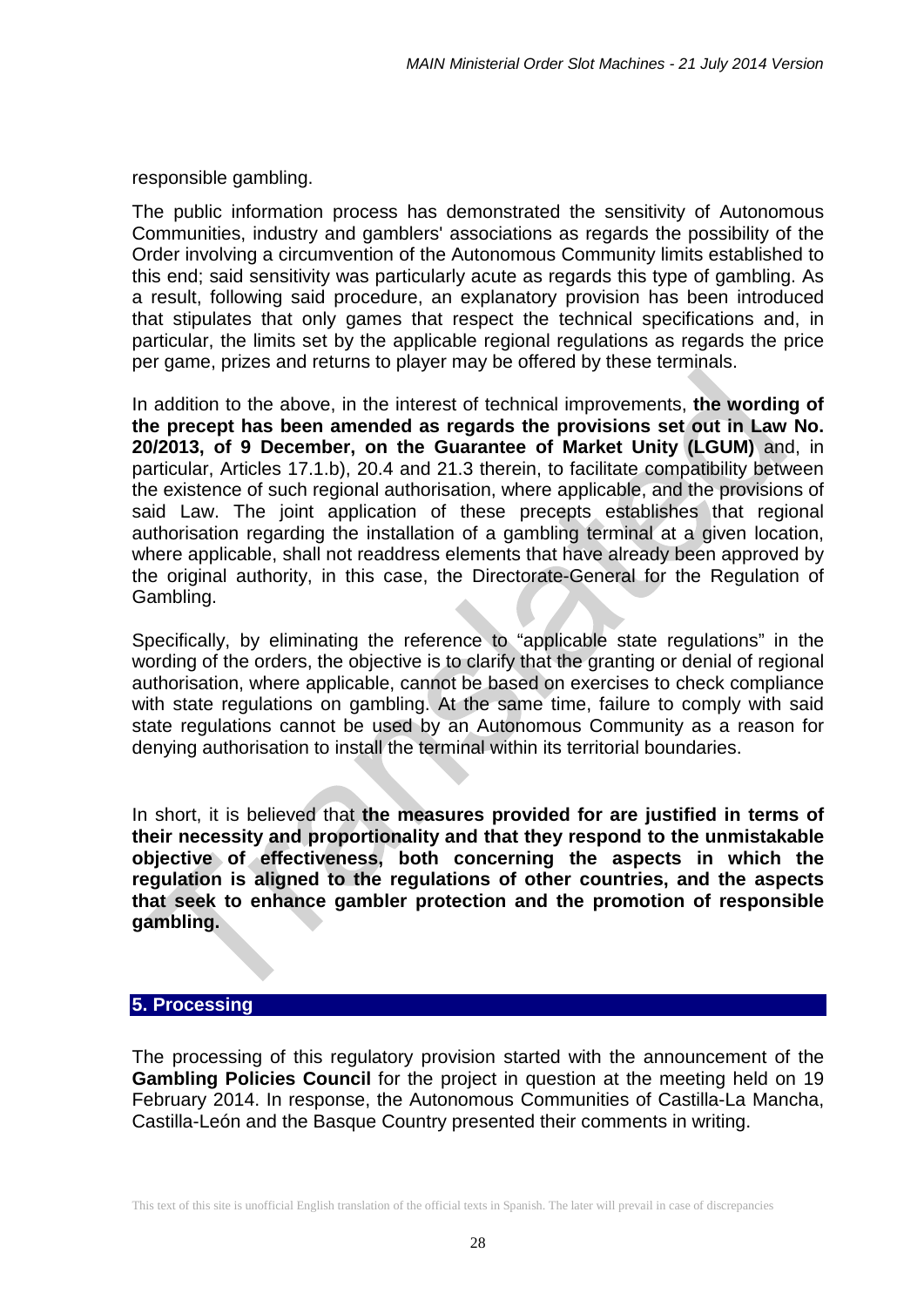responsible gambling.

The public information process has demonstrated the sensitivity of Autonomous Communities, industry and gamblers' associations as regards the possibility of the Order involving a circumvention of the Autonomous Community limits established to this end; said sensitivity was particularly acute as regards this type of gambling. As a result, following said procedure, an explanatory provision has been introduced that stipulates that only games that respect the technical specifications and, in particular, the limits set by the applicable regional regulations as regards the price per game, prizes and returns to player may be offered by these terminals.

In addition to the above, in the interest of technical improvements, **the wording of the precept has been amended as regards the provisions set out in Law No. 20/2013, of 9 December, on the Guarantee of Market Unity (LGUM)** and, in particular, Articles 17.1.b), 20.4 and 21.3 therein, to facilitate compatibility between the existence of such regional authorisation, where applicable, and the provisions of said Law. The joint application of these precepts establishes that regional authorisation regarding the installation of a gambling terminal at a given location, where applicable, shall not readdress elements that have already been approved by the original authority, in this case, the Directorate-General for the Regulation of Gambling.

Specifically, by eliminating the reference to "applicable state regulations" in the wording of the orders, the objective is to clarify that the granting or denial of regional authorisation, where applicable, cannot be based on exercises to check compliance with state regulations on gambling. At the same time, failure to comply with said state regulations cannot be used by an Autonomous Community as a reason for denying authorisation to install the terminal within its territorial boundaries.

In short, it is believed that **the measures provided for are justified in terms of their necessity and proportionality and that they respond to the unmistakable objective of effectiveness, both concerning the aspects in which the regulation is aligned to the regulations of other countries, and the aspects that seek to enhance gambler protection and the promotion of responsible gambling.**

#### **5. Processing**

The processing of this regulatory provision started with the announcement of the **Gambling Policies Council** for the project in question at the meeting held on 19 February 2014. In response, the Autonomous Communities of Castilla-La Mancha, Castilla-León and the Basque Country presented their comments in writing.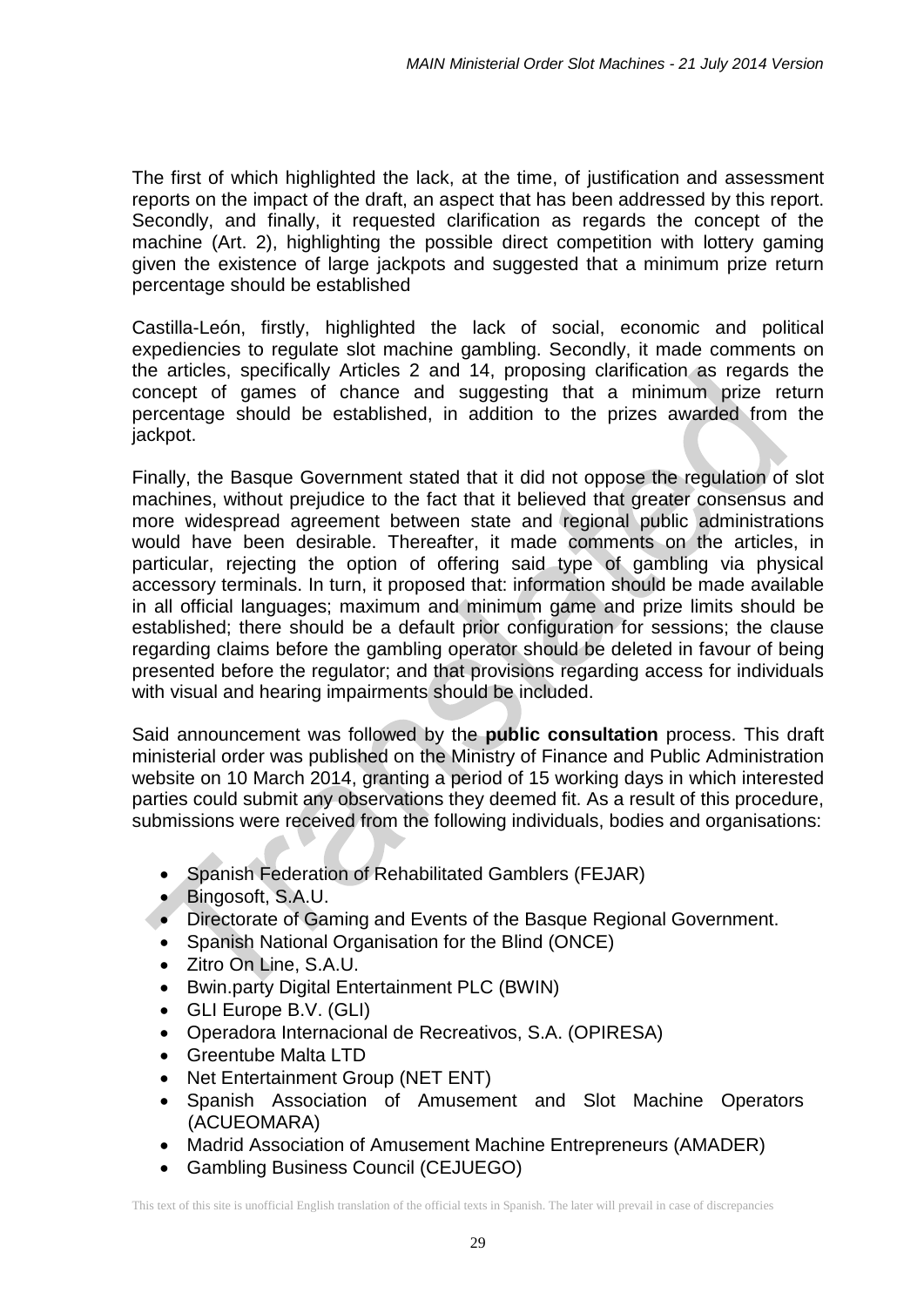The first of which highlighted the lack, at the time, of justification and assessment reports on the impact of the draft, an aspect that has been addressed by this report. Secondly, and finally, it requested clarification as regards the concept of the machine (Art. 2), highlighting the possible direct competition with lottery gaming given the existence of large jackpots and suggested that a minimum prize return percentage should be established

Castilla-León, firstly, highlighted the lack of social, economic and political expediencies to regulate slot machine gambling. Secondly, it made comments on the articles, specifically Articles 2 and 14, proposing clarification as regards the concept of games of chance and suggesting that a minimum prize return percentage should be established, in addition to the prizes awarded from the jackpot.

Finally, the Basque Government stated that it did not oppose the regulation of slot machines, without prejudice to the fact that it believed that greater consensus and more widespread agreement between state and regional public administrations would have been desirable. Thereafter, it made comments on the articles, in particular, rejecting the option of offering said type of gambling via physical accessory terminals. In turn, it proposed that: information should be made available in all official languages; maximum and minimum game and prize limits should be established; there should be a default prior configuration for sessions; the clause regarding claims before the gambling operator should be deleted in favour of being presented before the regulator; and that provisions regarding access for individuals with visual and hearing impairments should be included.

Said announcement was followed by the **public consultation** process. This draft ministerial order was published on the Ministry of Finance and Public Administration website on 10 March 2014, granting a period of 15 working days in which interested parties could submit any observations they deemed fit. As a result of this procedure, submissions were received from the following individuals, bodies and organisations:

- Spanish Federation of Rehabilitated Gamblers (FEJAR)
- Bingosoft, S.A.U.
- Directorate of Gaming and Events of the Basque Regional Government.
- Spanish National Organisation for the Blind (ONCE)
- Zitro On Line, S.A.U.
- Bwin.party Digital Entertainment PLC (BWIN)
- GLI Europe B.V. (GLI)
- Operadora Internacional de Recreativos, S.A. (OPIRESA)
- Greentube Malta LTD
- Net Entertainment Group (NET ENT)
- Spanish Association of Amusement and Slot Machine Operators (ACUEOMARA)
- Madrid Association of Amusement Machine Entrepreneurs (AMADER)
- Gambling Business Council (CEJUEGO)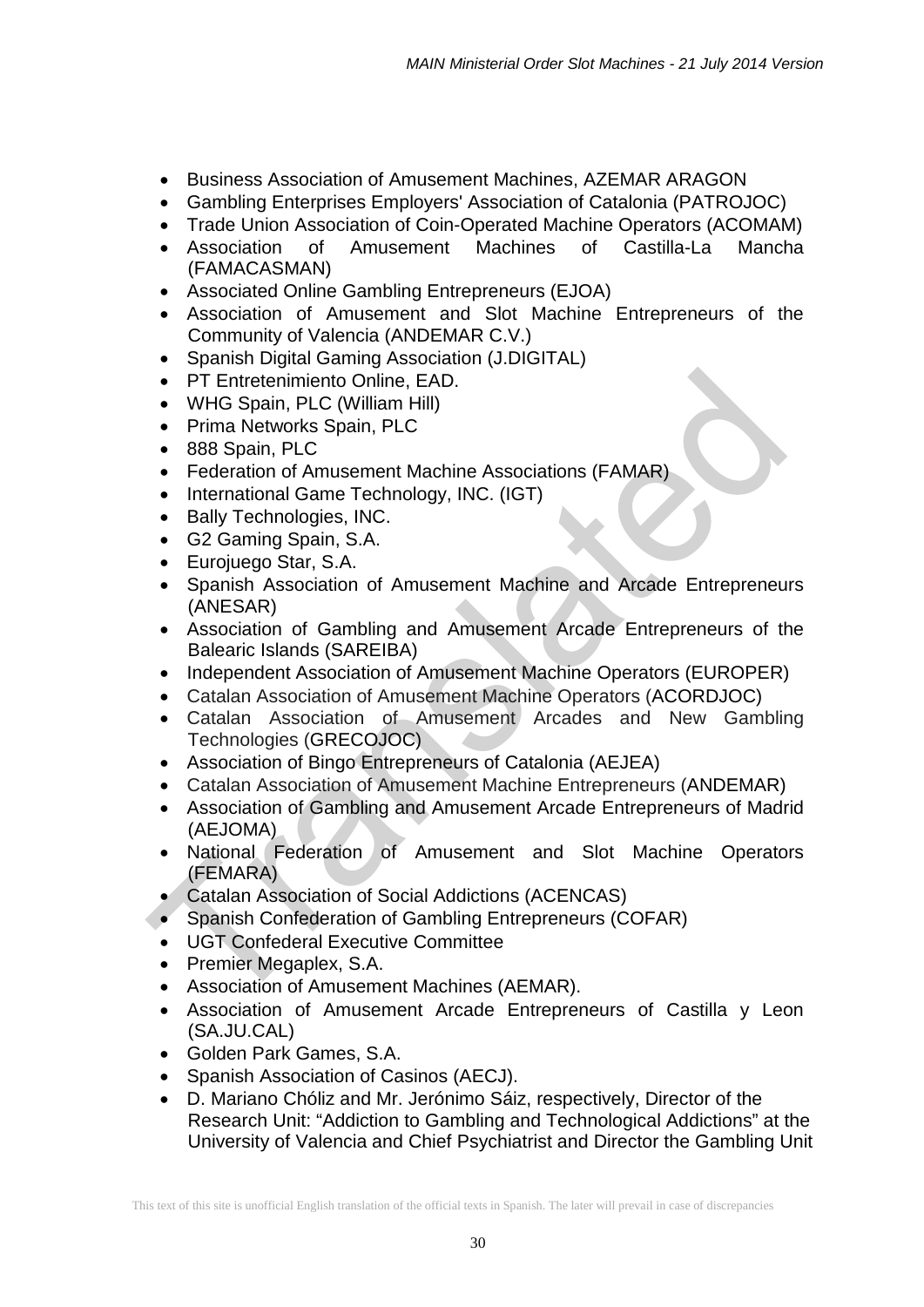- Business Association of Amusement Machines, AZEMAR ARAGON
- Gambling Enterprises Employers' Association of Catalonia (PATROJOC)
- Trade Union Association of Coin-Operated Machine Operators (ACOMAM)
- Association of Amusement Machines of Castilla-La Mancha (FAMACASMAN)
- Associated Online Gambling Entrepreneurs (EJOA)
- Association of Amusement and Slot Machine Entrepreneurs of the Community of Valencia (ANDEMAR C.V.)
- Spanish Digital Gaming Association (J.DIGITAL)
- PT Entretenimiento Online, EAD.
- WHG Spain, PLC (William Hill)
- Prima Networks Spain, PLC
- 888 Spain, PLC
- Federation of Amusement Machine Associations (FAMAR)
- International Game Technology, INC. (IGT)
- Bally Technologies, INC.
- G2 Gaming Spain, S.A.
- Eurojuego Star, S.A.
- Spanish Association of Amusement Machine and Arcade Entrepreneurs (ANESAR)
- Association of Gambling and Amusement Arcade Entrepreneurs of the Balearic Islands (SAREIBA)
- Independent Association of Amusement Machine Operators (EUROPER)
- Catalan Association of Amusement Machine Operators (ACORDJOC)
- Catalan Association of Amusement Arcades and New Gambling Technologies (GRECOJOC)
- Association of Bingo Entrepreneurs of Catalonia (AEJEA)
- Catalan Association of Amusement Machine Entrepreneurs (ANDEMAR)
- Association of Gambling and Amusement Arcade Entrepreneurs of Madrid (AEJOMA)
- National Federation of Amusement and Slot Machine Operators (FEMARA)
- Catalan Association of Social Addictions (ACENCAS)
- Spanish Confederation of Gambling Entrepreneurs (COFAR)
- UGT Confederal Executive Committee
- Premier Megaplex, S.A.
- Association of Amusement Machines (AEMAR).
- Association of Amusement Arcade Entrepreneurs of Castilla y Leon (SA.JU.CAL)
- Golden Park Games, S.A.
- Spanish Association of Casinos (AECJ).
- D. Mariano Chóliz and Mr. Jerónimo Sáiz, respectively, Director of the Research Unit: "Addiction to Gambling and Technological Addictions" at the University of Valencia and Chief Psychiatrist and Director the Gambling Unit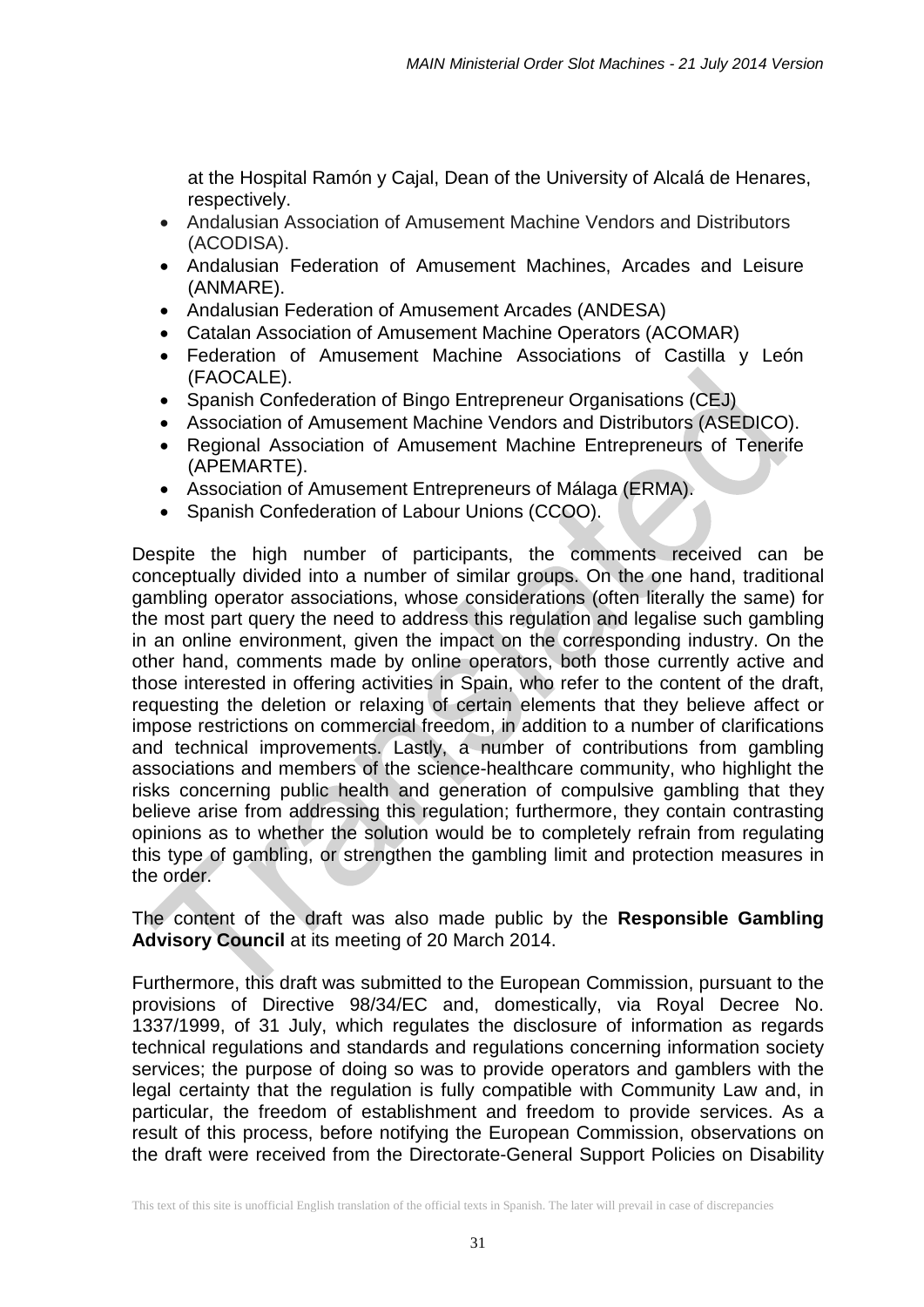at the Hospital Ramón y Cajal, Dean of the University of Alcalá de Henares, respectively.

- Andalusian Association of Amusement Machine Vendors and Distributors (ACODISA).
- Andalusian Federation of Amusement Machines, Arcades and Leisure (ANMARE).
- Andalusian Federation of Amusement Arcades (ANDESA)
- Catalan Association of Amusement Machine Operators (ACOMAR)
- Federation of Amusement Machine Associations of Castilla y León (FAOCALE).
- Spanish Confederation of Bingo Entrepreneur Organisations (CEJ)
- Association of Amusement Machine Vendors and Distributors (ASEDICO).
- Regional Association of Amusement Machine Entrepreneurs of Tenerife (APEMARTE).
- Association of Amusement Entrepreneurs of Málaga (ERMA).
- Spanish Confederation of Labour Unions (CCOO).

Despite the high number of participants, the comments received can be conceptually divided into a number of similar groups. On the one hand, traditional gambling operator associations, whose considerations (often literally the same) for the most part query the need to address this regulation and legalise such gambling in an online environment, given the impact on the corresponding industry. On the other hand, comments made by online operators, both those currently active and those interested in offering activities in Spain, who refer to the content of the draft, requesting the deletion or relaxing of certain elements that they believe affect or impose restrictions on commercial freedom, in addition to a number of clarifications and technical improvements. Lastly, a number of contributions from gambling associations and members of the science-healthcare community, who highlight the risks concerning public health and generation of compulsive gambling that they believe arise from addressing this regulation; furthermore, they contain contrasting opinions as to whether the solution would be to completely refrain from regulating this type of gambling, or strengthen the gambling limit and protection measures in the order.

The content of the draft was also made public by the **Responsible Gambling Advisory Council** at its meeting of 20 March 2014.

Furthermore, this draft was submitted to the European Commission, pursuant to the provisions of Directive 98/34/EC and, domestically, via Royal Decree No. 1337/1999, of 31 July, which regulates the disclosure of information as regards technical regulations and standards and regulations concerning information society services; the purpose of doing so was to provide operators and gamblers with the legal certainty that the regulation is fully compatible with Community Law and, in particular, the freedom of establishment and freedom to provide services. As a result of this process, before notifying the European Commission, observations on the draft were received from the Directorate-General Support Policies on Disability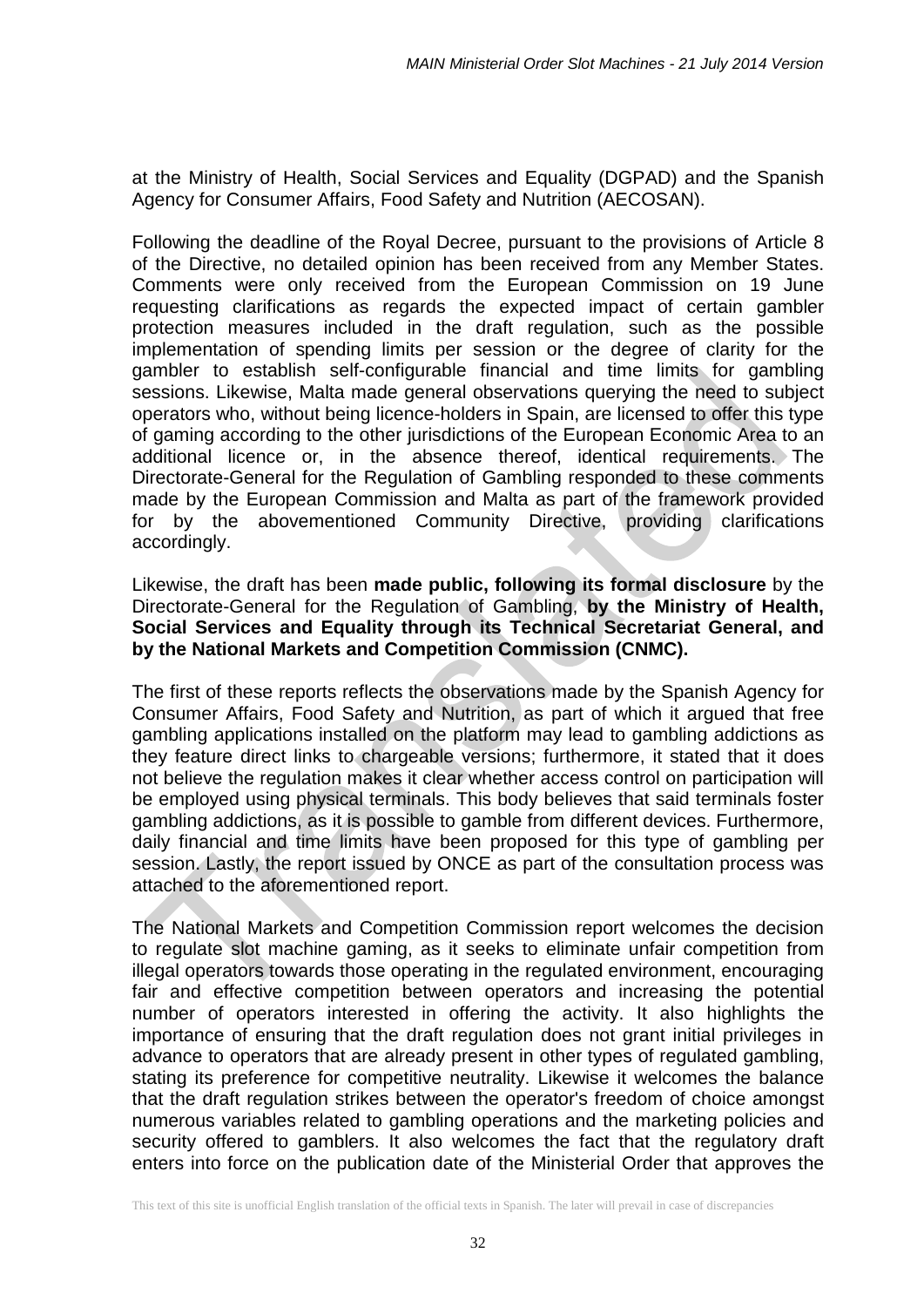at the Ministry of Health, Social Services and Equality (DGPAD) and the Spanish Agency for Consumer Affairs, Food Safety and Nutrition (AECOSAN).

Following the deadline of the Royal Decree, pursuant to the provisions of Article 8 of the Directive, no detailed opinion has been received from any Member States. Comments were only received from the European Commission on 19 June requesting clarifications as regards the expected impact of certain gambler protection measures included in the draft regulation, such as the possible implementation of spending limits per session or the degree of clarity for the gambler to establish self-configurable financial and time limits for gambling sessions. Likewise, Malta made general observations querying the need to subject operators who, without being licence-holders in Spain, are licensed to offer this type of gaming according to the other jurisdictions of the European Economic Area to an additional licence or, in the absence thereof, identical requirements. The Directorate-General for the Regulation of Gambling responded to these comments made by the European Commission and Malta as part of the framework provided for by the abovementioned Community Directive, providing clarifications accordingly.

Likewise, the draft has been **made public, following its formal disclosure** by the Directorate-General for the Regulation of Gambling, **by the Ministry of Health, Social Services and Equality through its Technical Secretariat General, and by the National Markets and Competition Commission (CNMC).**

The first of these reports reflects the observations made by the Spanish Agency for Consumer Affairs, Food Safety and Nutrition, as part of which it argued that free gambling applications installed on the platform may lead to gambling addictions as they feature direct links to chargeable versions; furthermore, it stated that it does not believe the regulation makes it clear whether access control on participation will be employed using physical terminals. This body believes that said terminals foster gambling addictions, as it is possible to gamble from different devices. Furthermore, daily financial and time limits have been proposed for this type of gambling per session. Lastly, the report issued by ONCE as part of the consultation process was attached to the aforementioned report.

The National Markets and Competition Commission report welcomes the decision to regulate slot machine gaming, as it seeks to eliminate unfair competition from illegal operators towards those operating in the regulated environment, encouraging fair and effective competition between operators and increasing the potential number of operators interested in offering the activity. It also highlights the importance of ensuring that the draft regulation does not grant initial privileges in advance to operators that are already present in other types of regulated gambling, stating its preference for competitive neutrality. Likewise it welcomes the balance that the draft regulation strikes between the operator's freedom of choice amongst numerous variables related to gambling operations and the marketing policies and security offered to gamblers. It also welcomes the fact that the regulatory draft enters into force on the publication date of the Ministerial Order that approves the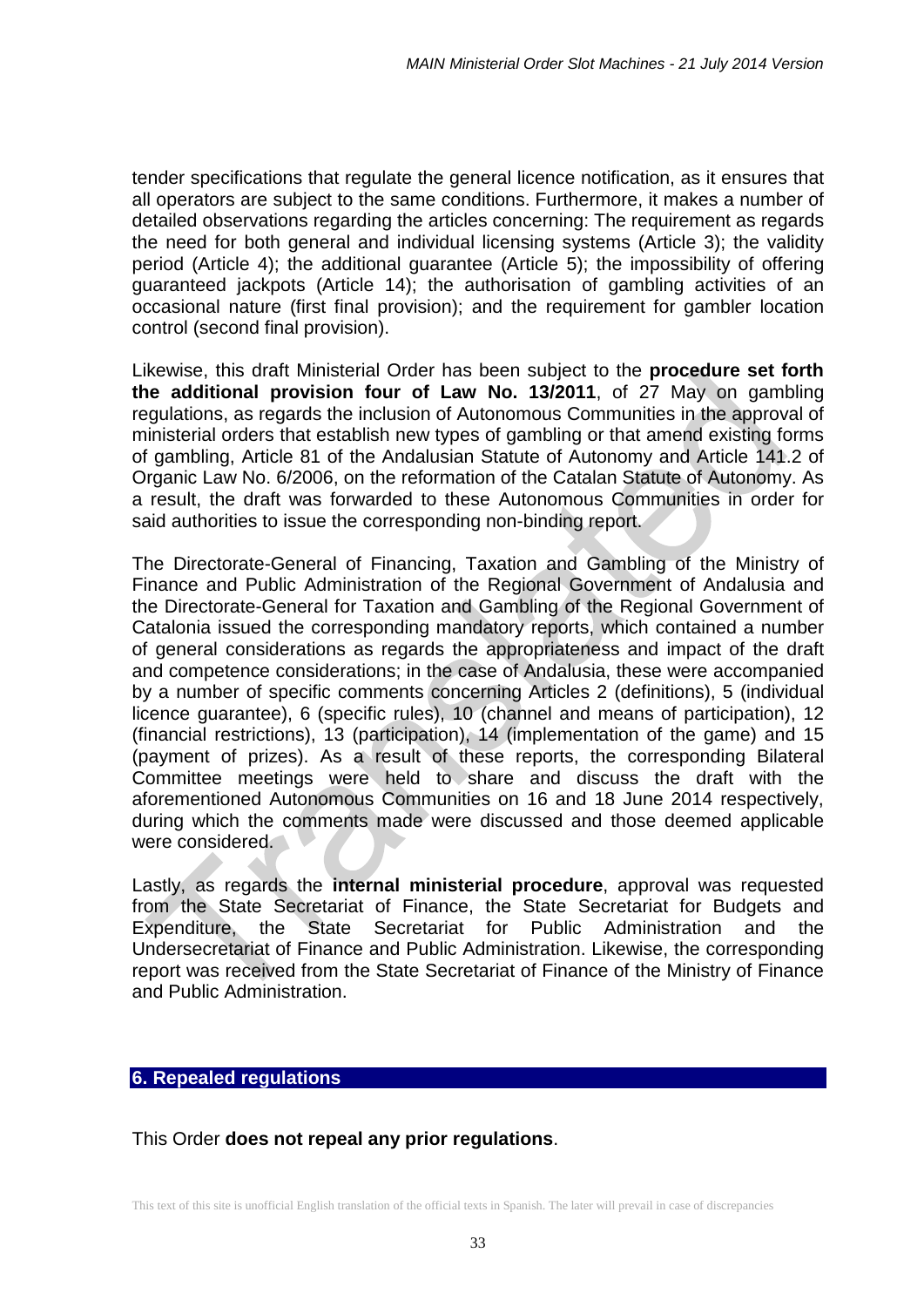tender specifications that regulate the general licence notification, as it ensures that all operators are subject to the same conditions. Furthermore, it makes a number of detailed observations regarding the articles concerning: The requirement as regards the need for both general and individual licensing systems (Article 3); the validity period (Article 4); the additional guarantee (Article 5); the impossibility of offering guaranteed jackpots (Article 14); the authorisation of gambling activities of an occasional nature (first final provision); and the requirement for gambler location control (second final provision).

Likewise, this draft Ministerial Order has been subject to the **procedure set forth the additional provision four of Law No. 13/2011**, of 27 May on gambling regulations, as regards the inclusion of Autonomous Communities in the approval of ministerial orders that establish new types of gambling or that amend existing forms of gambling, Article 81 of the Andalusian Statute of Autonomy and Article 141.2 of Organic Law No. 6/2006, on the reformation of the Catalan Statute of Autonomy. As a result, the draft was forwarded to these Autonomous Communities in order for said authorities to issue the corresponding non-binding report.

The Directorate-General of Financing, Taxation and Gambling of the Ministry of Finance and Public Administration of the Regional Government of Andalusia and the Directorate-General for Taxation and Gambling of the Regional Government of Catalonia issued the corresponding mandatory reports, which contained a number of general considerations as regards the appropriateness and impact of the draft and competence considerations; in the case of Andalusia, these were accompanied by a number of specific comments concerning Articles 2 (definitions), 5 (individual licence guarantee), 6 (specific rules), 10 (channel and means of participation), 12 (financial restrictions), 13 (participation), 14 (implementation of the game) and 15 (payment of prizes). As a result of these reports, the corresponding Bilateral Committee meetings were held to share and discuss the draft with the aforementioned Autonomous Communities on 16 and 18 June 2014 respectively, during which the comments made were discussed and those deemed applicable were considered.

Lastly, as regards the **internal ministerial procedure**, approval was requested from the State Secretariat of Finance, the State Secretariat for Budgets and Expenditure, the State Secretariat for Public Administration and the Undersecretariat of Finance and Public Administration. Likewise, the corresponding report was received from the State Secretariat of Finance of the Ministry of Finance and Public Administration.

### **6. Repealed regulations**

This Order **does not repeal any prior regulations**.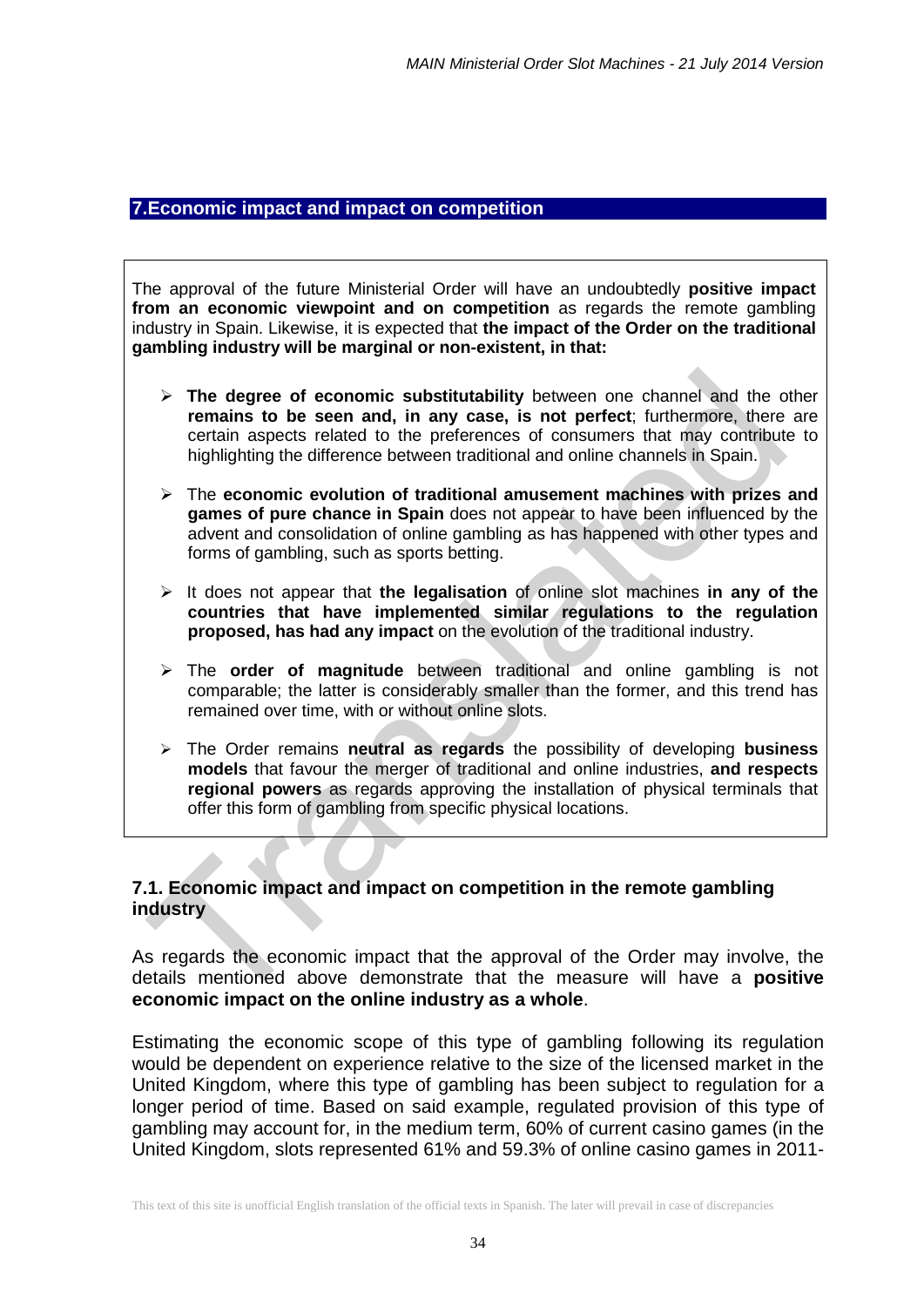### **7.Economic impact and impact on competition**

The approval of the future Ministerial Order will have an undoubtedly **positive impact from an economic viewpoint and on competition** as regards the remote gambling industry in Spain. Likewise, it is expected that **the impact of the Order on the traditional gambling industry will be marginal or non-existent, in that:** 

- **The degree of economic substitutability** between one channel and the other **remains to be seen and, in any case, is not perfect**; furthermore, there are certain aspects related to the preferences of consumers that may contribute to highlighting the difference between traditional and online channels in Spain.
- The **economic evolution of traditional amusement machines with prizes and games of pure chance in Spain** does not appear to have been influenced by the advent and consolidation of online gambling as has happened with other types and forms of gambling, such as sports betting.
- It does not appear that **the legalisation** of online slot machines **in any of the countries that have implemented similar regulations to the regulation proposed, has had any impact** on the evolution of the traditional industry.
- The **order of magnitude** between traditional and online gambling is not comparable; the latter is considerably smaller than the former, and this trend has remained over time, with or without online slots.
- The Order remains **neutral as regards** the possibility of developing **business models** that favour the merger of traditional and online industries, **and respects regional powers** as regards approving the installation of physical terminals that offer this form of gambling from specific physical locations.

### **7.1. Economic impact and impact on competition in the remote gambling industry**

As regards the economic impact that the approval of the Order may involve, the details mentioned above demonstrate that the measure will have a **positive economic impact on the online industry as a whole**.

Estimating the economic scope of this type of gambling following its regulation would be dependent on experience relative to the size of the licensed market in the United Kingdom, where this type of gambling has been subject to regulation for a longer period of time. Based on said example, regulated provision of this type of gambling may account for, in the medium term, 60% of current casino games (in the United Kingdom, slots represented 61% and 59.3% of online casino games in 2011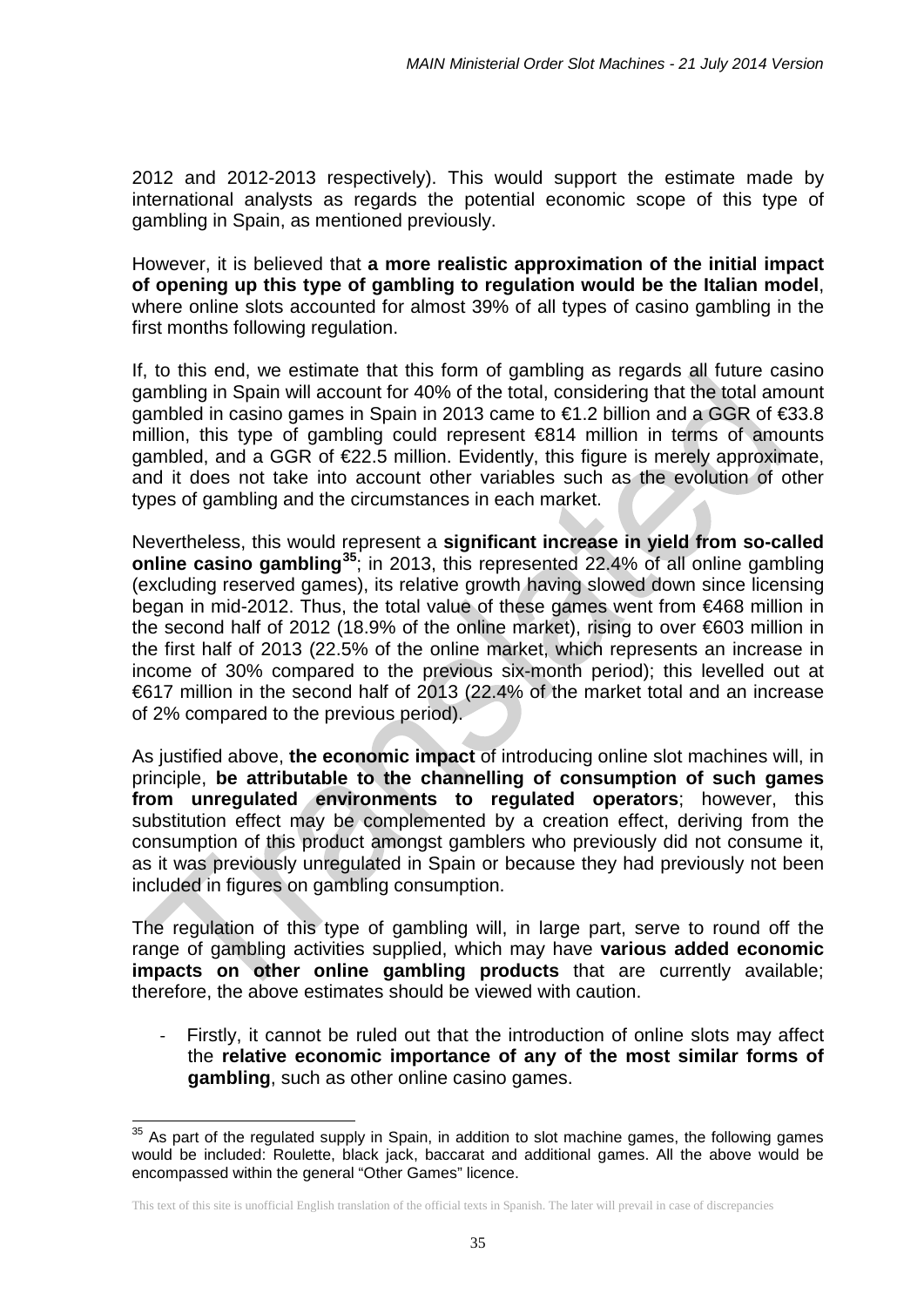2012 and 2012-2013 respectively). This would support the estimate made by international analysts as regards the potential economic scope of this type of gambling in Spain, as mentioned previously.

However, it is believed that **a more realistic approximation of the initial impact of opening up this type of gambling to regulation would be the Italian model**, where online slots accounted for almost 39% of all types of casino gambling in the first months following regulation.

If, to this end, we estimate that this form of gambling as regards all future casino gambling in Spain will account for 40% of the total, considering that the total amount gambled in casino games in Spain in 2013 came to €1.2 billion and a GGR of €33.8 million, this type of gambling could represent €814 million in terms of amounts  $q$ ambled, and a GGR of  $E22.5$  million. Evidently, this figure is merely approximate, and it does not take into account other variables such as the evolution of other types of gambling and the circumstances in each market.

Nevertheless, this would represent a **significant increase in yield from so-called online casino gambling[35](#page-34-0)**; in 2013, this represented 22.4% of all online gambling (excluding reserved games), its relative growth having slowed down since licensing began in mid-2012. Thus, the total value of these games went from €468 million in the second half of 2012 (18.9% of the online market), rising to over  $\epsilon$ 603 million in the first half of 2013 (22.5% of the online market, which represents an increase in income of 30% compared to the previous six-month period); this levelled out at €617 million in the second half of 2013 (22.4% of the market total and an increase of 2% compared to the previous period).

As justified above, **the economic impact** of introducing online slot machines will, in principle, **be attributable to the channelling of consumption of such games from unregulated environments to regulated operators**; however, this substitution effect may be complemented by a creation effect, deriving from the consumption of this product amongst gamblers who previously did not consume it, as it was previously unregulated in Spain or because they had previously not been included in figures on gambling consumption.

The regulation of this type of gambling will, in large part, serve to round off the range of gambling activities supplied, which may have **various added economic impacts on other online gambling products** that are currently available; therefore, the above estimates should be viewed with caution.

Firstly, it cannot be ruled out that the introduction of online slots may affect the **relative economic importance of any of the most similar forms of gambling**, such as other online casino games.

1

<span id="page-34-0"></span> $35$  As part of the regulated supply in Spain, in addition to slot machine games, the following games would be included: Roulette, black jack, baccarat and additional games. All the above would be encompassed within the general "Other Games" licence.

This text of this site is unofficial English translation of the official texts in Spanish. The later will prevail in case of discrepancies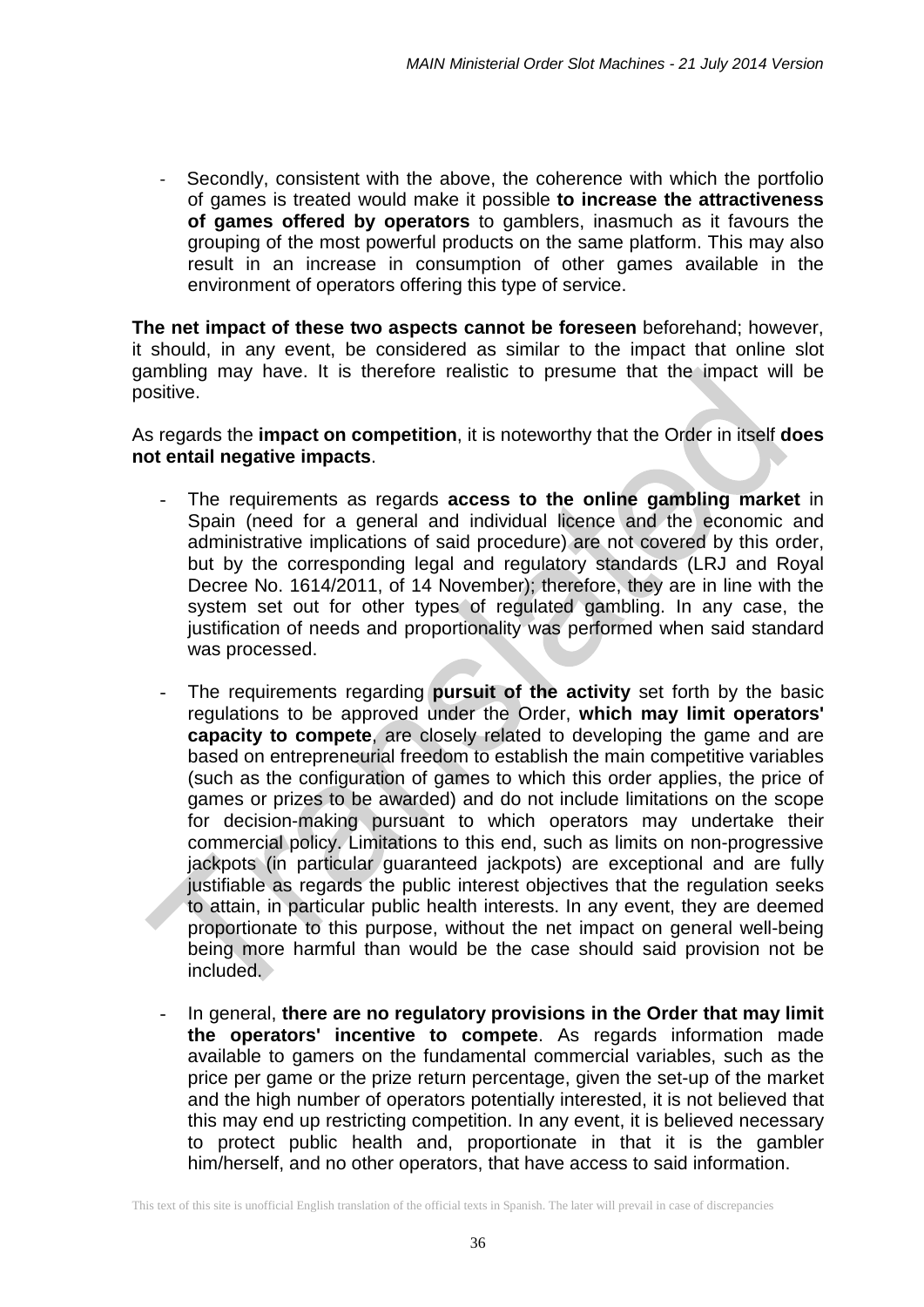Secondly, consistent with the above, the coherence with which the portfolio of games is treated would make it possible **to increase the attractiveness of games offered by operators** to gamblers, inasmuch as it favours the grouping of the most powerful products on the same platform. This may also result in an increase in consumption of other games available in the environment of operators offering this type of service.

**The net impact of these two aspects cannot be foreseen** beforehand; however, it should, in any event, be considered as similar to the impact that online slot gambling may have. It is therefore realistic to presume that the impact will be positive.

As regards the **impact on competition**, it is noteworthy that the Order in itself **does not entail negative impacts**.

- The requirements as regards **access to the online gambling market** in Spain (need for a general and individual licence and the economic and administrative implications of said procedure) are not covered by this order, but by the corresponding legal and regulatory standards (LRJ and Royal Decree No. 1614/2011, of 14 November); therefore, they are in line with the system set out for other types of regulated gambling. In any case, the justification of needs and proportionality was performed when said standard was processed.
- The requirements regarding **pursuit of the activity** set forth by the basic regulations to be approved under the Order, **which may limit operators' capacity to compete**, are closely related to developing the game and are based on entrepreneurial freedom to establish the main competitive variables (such as the configuration of games to which this order applies, the price of games or prizes to be awarded) and do not include limitations on the scope for decision-making pursuant to which operators may undertake their commercial policy. Limitations to this end, such as limits on non-progressive jackpots (in particular guaranteed jackpots) are exceptional and are fully justifiable as regards the public interest objectives that the regulation seeks to attain, in particular public health interests. In any event, they are deemed proportionate to this purpose, without the net impact on general well-being being more harmful than would be the case should said provision not be included.
- In general, **there are no regulatory provisions in the Order that may limit the operators' incentive to compete**. As regards information made available to gamers on the fundamental commercial variables, such as the price per game or the prize return percentage, given the set-up of the market and the high number of operators potentially interested, it is not believed that this may end up restricting competition. In any event, it is believed necessary to protect public health and, proportionate in that it is the gambler him/herself, and no other operators, that have access to said information.

This text of this site is unofficial English translation of the official texts in Spanish. The later will prevail in case of discrepancies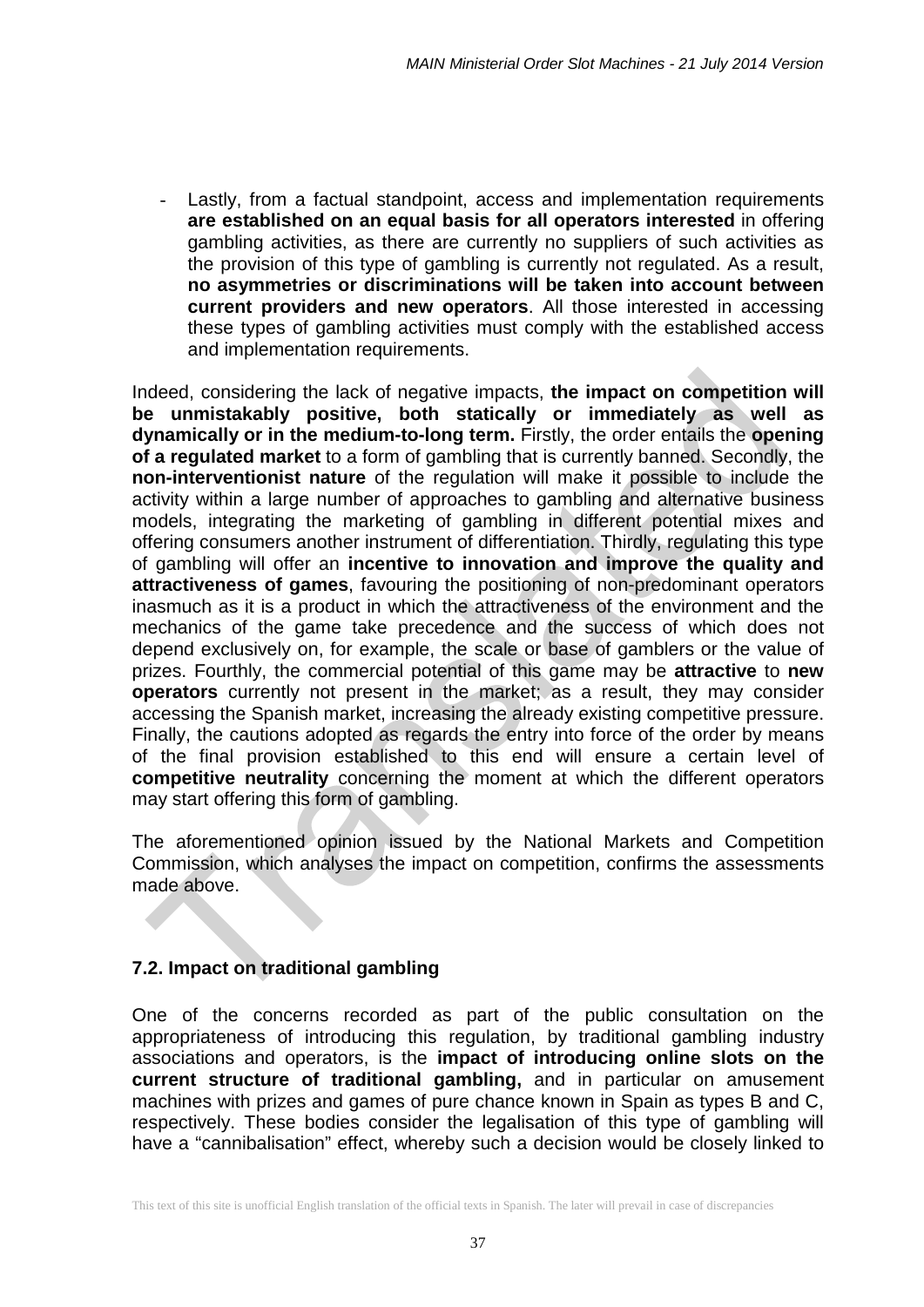Lastly, from a factual standpoint, access and implementation requirements **are established on an equal basis for all operators interested** in offering gambling activities, as there are currently no suppliers of such activities as the provision of this type of gambling is currently not regulated. As a result, **no asymmetries or discriminations will be taken into account between current providers and new operators**. All those interested in accessing these types of gambling activities must comply with the established access and implementation requirements.

Indeed, considering the lack of negative impacts, **the impact on competition will be unmistakably positive, both statically or immediately as well as dynamically or in the medium-to-long term.** Firstly, the order entails the **opening of a regulated market** to a form of gambling that is currently banned. Secondly, the **non-interventionist nature** of the regulation will make it possible to include the activity within a large number of approaches to gambling and alternative business models, integrating the marketing of gambling in different potential mixes and offering consumers another instrument of differentiation. Thirdly, regulating this type of gambling will offer an **incentive to innovation and improve the quality and attractiveness of games**, favouring the positioning of non-predominant operators inasmuch as it is a product in which the attractiveness of the environment and the mechanics of the game take precedence and the success of which does not depend exclusively on, for example, the scale or base of gamblers or the value of prizes. Fourthly, the commercial potential of this game may be **attractive** to **new operators** currently not present in the market; as a result, they may consider accessing the Spanish market, increasing the already existing competitive pressure. Finally, the cautions adopted as regards the entry into force of the order by means of the final provision established to this end will ensure a certain level of **competitive neutrality** concerning the moment at which the different operators may start offering this form of gambling.

The aforementioned opinion issued by the National Markets and Competition Commission, which analyses the impact on competition, confirms the assessments made above.

# **7.2. Impact on traditional gambling**

One of the concerns recorded as part of the public consultation on the appropriateness of introducing this regulation, by traditional gambling industry associations and operators, is the **impact of introducing online slots on the current structure of traditional gambling,** and in particular on amusement machines with prizes and games of pure chance known in Spain as types B and C, respectively. These bodies consider the legalisation of this type of gambling will have a "cannibalisation" effect, whereby such a decision would be closely linked to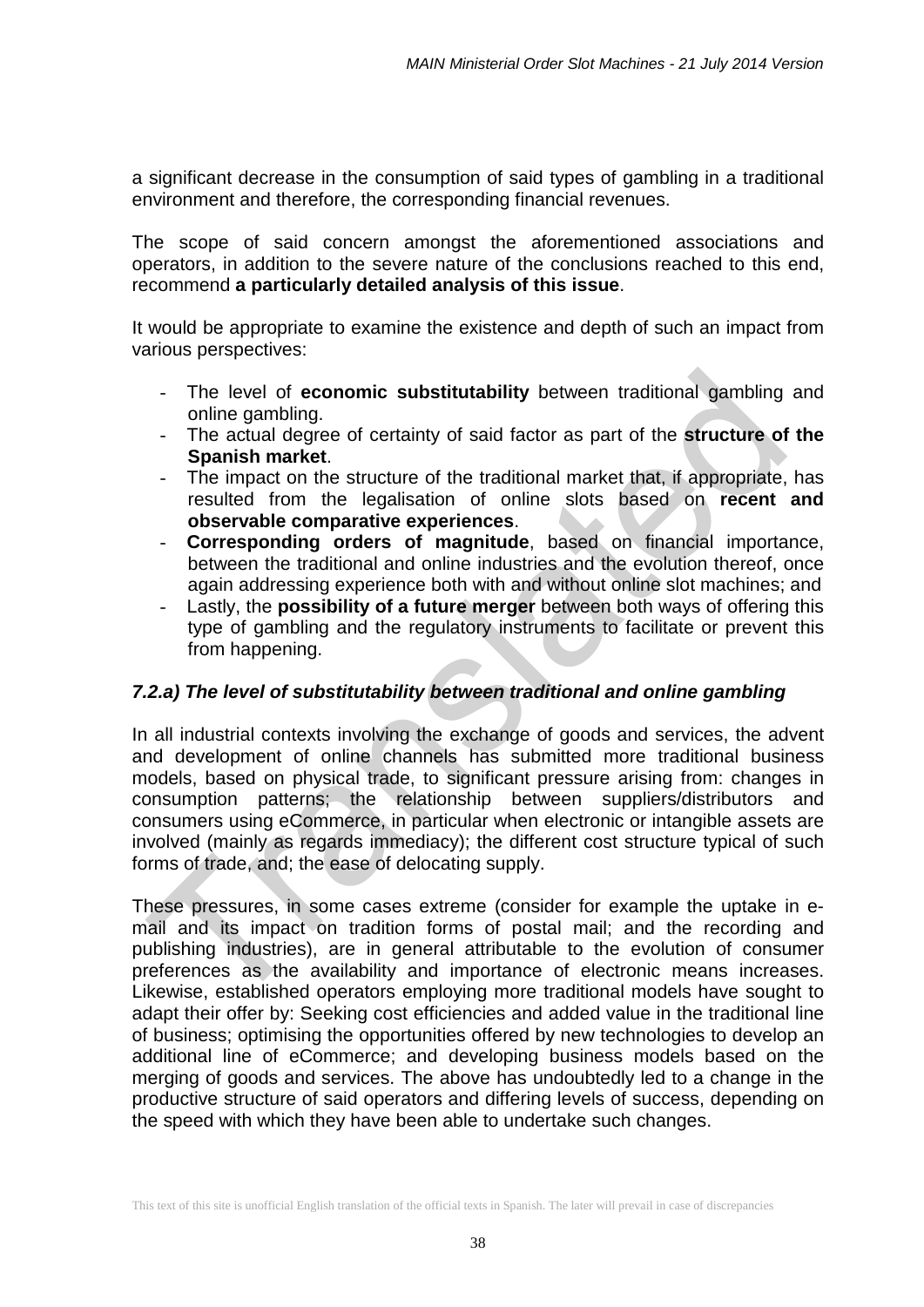a significant decrease in the consumption of said types of gambling in a traditional environment and therefore, the corresponding financial revenues.

The scope of said concern amongst the aforementioned associations and operators, in addition to the severe nature of the conclusions reached to this end, recommend **a particularly detailed analysis of this issue**.

It would be appropriate to examine the existence and depth of such an impact from various perspectives:

- The level of **economic substitutability** between traditional gambling and online gambling.
- The actual degree of certainty of said factor as part of the **structure of the Spanish market**.
- The impact on the structure of the traditional market that, if appropriate, has resulted from the legalisation of online slots based on **recent and observable comparative experiences**.
- **Corresponding orders of magnitude**, based on financial importance, between the traditional and online industries and the evolution thereof, once again addressing experience both with and without online slot machines; and
- Lastly, the **possibility of a future merger** between both ways of offering this type of gambling and the regulatory instruments to facilitate or prevent this from happening.

# *7.2.a) The level of substitutability between traditional and online gambling*

In all industrial contexts involving the exchange of goods and services, the advent and development of online channels has submitted more traditional business models, based on physical trade, to significant pressure arising from: changes in consumption patterns; the relationship between suppliers/distributors and consumers using eCommerce, in particular when electronic or intangible assets are involved (mainly as regards immediacy); the different cost structure typical of such forms of trade, and; the ease of delocating supply.

These pressures, in some cases extreme (consider for example the uptake in email and its impact on tradition forms of postal mail; and the recording and publishing industries), are in general attributable to the evolution of consumer preferences as the availability and importance of electronic means increases. Likewise, established operators employing more traditional models have sought to adapt their offer by: Seeking cost efficiencies and added value in the traditional line of business; optimising the opportunities offered by new technologies to develop an additional line of eCommerce; and developing business models based on the merging of goods and services. The above has undoubtedly led to a change in the productive structure of said operators and differing levels of success, depending on the speed with which they have been able to undertake such changes.

This text of this site is unofficial English translation of the official texts in Spanish. The later will prevail in case of discrepancies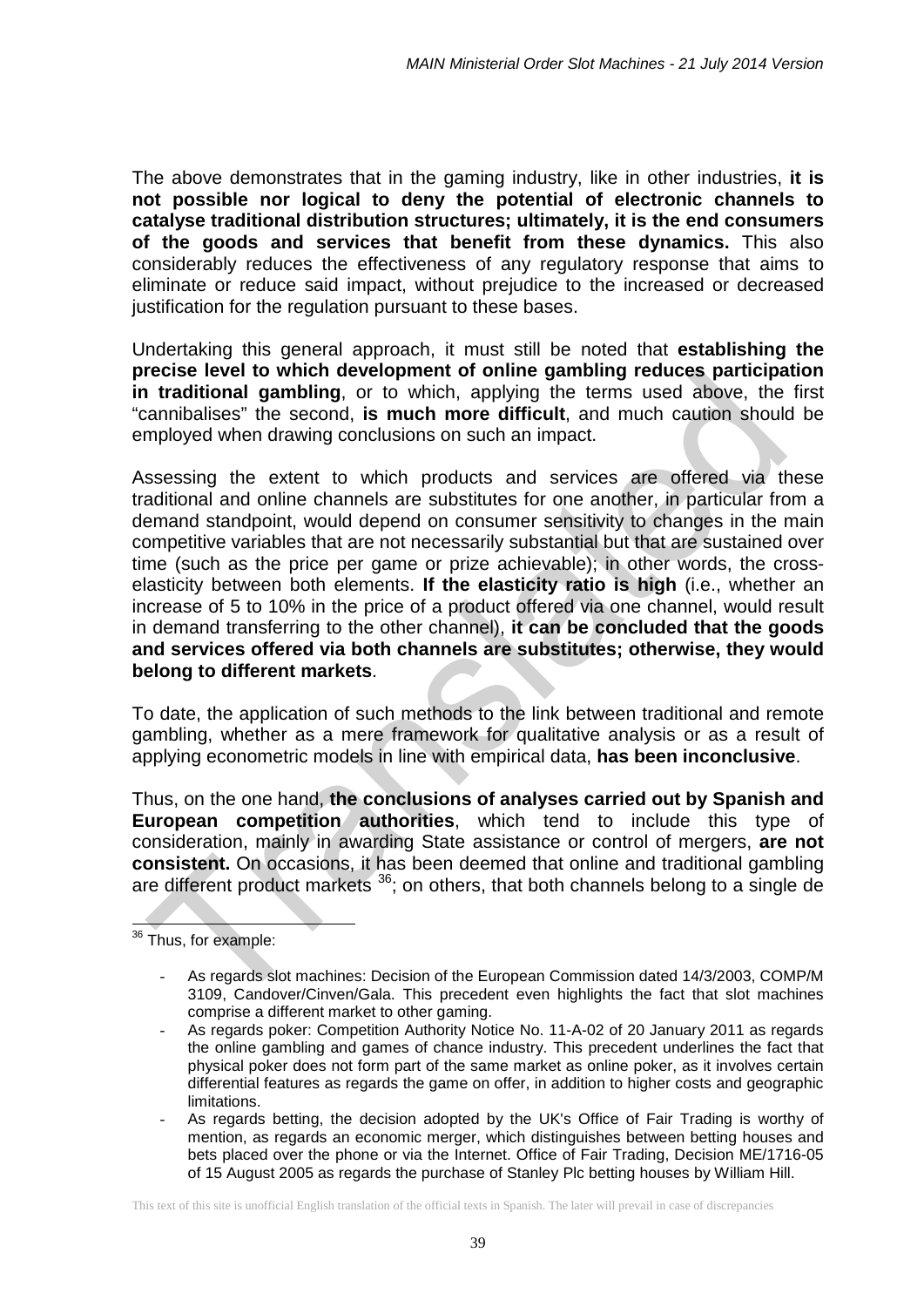The above demonstrates that in the gaming industry, like in other industries, **it is not possible nor logical to deny the potential of electronic channels to catalyse traditional distribution structures; ultimately, it is the end consumers of the goods and services that benefit from these dynamics.** This also considerably reduces the effectiveness of any regulatory response that aims to eliminate or reduce said impact, without prejudice to the increased or decreased justification for the regulation pursuant to these bases.

Undertaking this general approach, it must still be noted that **establishing the precise level to which development of online gambling reduces participation in traditional gambling**, or to which, applying the terms used above, the first "cannibalises" the second, **is much more difficult**, and much caution should be employed when drawing conclusions on such an impact.

Assessing the extent to which products and services are offered via these traditional and online channels are substitutes for one another, in particular from a demand standpoint, would depend on consumer sensitivity to changes in the main competitive variables that are not necessarily substantial but that are sustained over time (such as the price per game or prize achievable); in other words, the crosselasticity between both elements. **If the elasticity ratio is high** (i.e., whether an increase of 5 to 10% in the price of a product offered via one channel, would result in demand transferring to the other channel), **it can be concluded that the goods and services offered via both channels are substitutes; otherwise, they would belong to different markets**.

To date, the application of such methods to the link between traditional and remote gambling, whether as a mere framework for qualitative analysis or as a result of applying econometric models in line with empirical data, **has been inconclusive**.

Thus, on the one hand, **the conclusions of analyses carried out by Spanish and European competition authorities**, which tend to include this type of consideration, mainly in awarding State assistance or control of mergers, **are not consistent.** On occasions, it has been deemed that online and traditional gambling are different product markets  $36$ ; on others, that both channels belong to a single de

<span id="page-38-0"></span><sup>36</sup> Thus, for example:  $\overline{\phantom{a}}$ 

As regards slot machines: Decision of the European Commission dated 14/3/2003, COMP/M 3109, Candover/Cinven/Gala. This precedent even highlights the fact that slot machines comprise a different market to other gaming.

<sup>-</sup> As regards poker: Competition Authority Notice No. 11-A-02 of 20 January 2011 as regards the online gambling and games of chance industry. This precedent underlines the fact that physical poker does not form part of the same market as online poker, as it involves certain differential features as regards the game on offer, in addition to higher costs and geographic limitations.

<sup>-</sup> As regards betting, the decision adopted by the UK's Office of Fair Trading is worthy of mention, as regards an economic merger, which distinguishes between betting houses and bets placed over the phone or via the Internet. Office of Fair Trading, Decision ME/1716-05 of 15 August 2005 as regards the purchase of Stanley Plc betting houses by William Hill.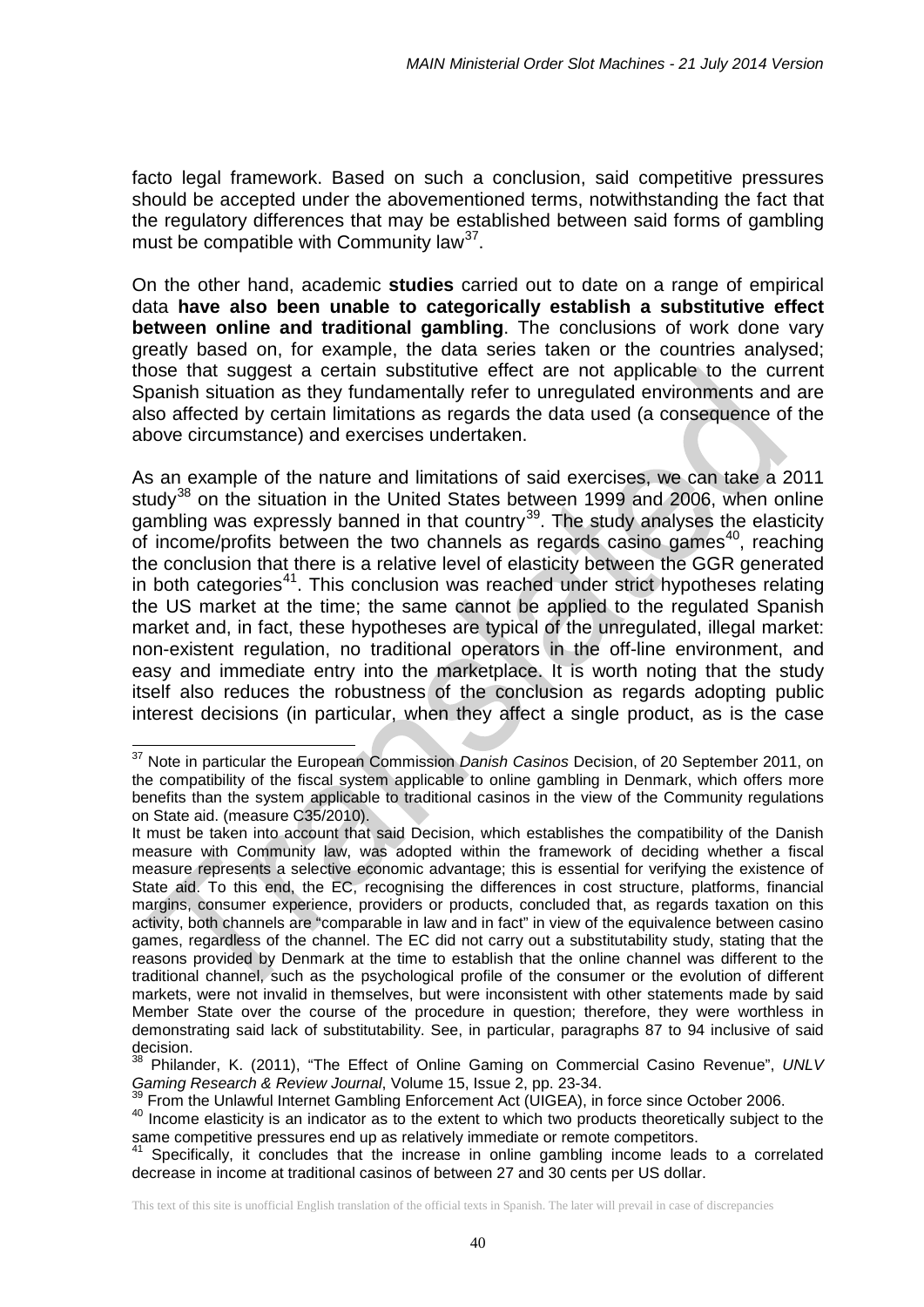facto legal framework. Based on such a conclusion, said competitive pressures should be accepted under the abovementioned terms, notwithstanding the fact that the regulatory differences that may be established between said forms of gambling must be compatible with Community law<sup>37</sup>.

On the other hand, academic **studies** carried out to date on a range of empirical data **have also been unable to categorically establish a substitutive effect between online and traditional gambling**. The conclusions of work done vary greatly based on, for example, the data series taken or the countries analysed; those that suggest a certain substitutive effect are not applicable to the current Spanish situation as they fundamentally refer to unregulated environments and are also affected by certain limitations as regards the data used (a consequence of the above circumstance) and exercises undertaken.

As an example of the nature and limitations of said exercises, we can take a 2011 study<sup>[38](#page-39-1)</sup> on the situation in the United States between 1999 and 2006, when online gambling was expressly banned in that country<sup>[39](#page-39-2)</sup>. The study analyses the elasticity of income/profits between the two channels as regards casino games<sup>40</sup>, reaching the conclusion that there is a relative level of elasticity between the GGR generated in both categories<sup>[41](#page-39-4)</sup>. This conclusion was reached under strict hypotheses relating the US market at the time; the same cannot be applied to the regulated Spanish market and, in fact, these hypotheses are typical of the unregulated, illegal market: non-existent regulation, no traditional operators in the off-line environment, and easy and immediate entry into the marketplace. It is worth noting that the study itself also reduces the robustness of the conclusion as regards adopting public interest decisions (in particular, when they affect a single product, as is the case

<span id="page-39-0"></span><sup>37</sup> Note in particular the European Commission *Danish Casinos* Decision, of 20 September 2011, on the compatibility of the fiscal system applicable to online gambling in Denmark, which offers more benefits than the system applicable to traditional casinos in the view of the Community regulations on State aid. (measure C35/2010).  $\overline{a}$ 

It must be taken into account that said Decision, which establishes the compatibility of the Danish measure with Community law, was adopted within the framework of deciding whether a fiscal measure represents a selective economic advantage; this is essential for verifying the existence of State aid. To this end, the EC, recognising the differences in cost structure, platforms, financial margins, consumer experience, providers or products, concluded that, as regards taxation on this activity, both channels are "comparable in law and in fact" in view of the equivalence between casino games, regardless of the channel. The EC did not carry out a substitutability study, stating that the reasons provided by Denmark at the time to establish that the online channel was different to the traditional channel, such as the psychological profile of the consumer or the evolution of different markets, were not invalid in themselves, but were inconsistent with other statements made by said Member State over the course of the procedure in question; therefore, they were worthless in demonstrating said lack of substitutability. See, in particular, paragraphs 87 to 94 inclusive of said decision.

<span id="page-39-1"></span><sup>38</sup> Philander, K. (2011), "The Effect of Online Gaming on Commercial Casino Revenue", *UNLV Gaming Research & Review Journal*, Volume 15, Issue 2, pp. 23-34.

<sup>39</sup> From the Unlawful Internet Gambling Enforcement Act (UIGEA), in force since October 2006.

<span id="page-39-3"></span><span id="page-39-2"></span><sup>40</sup> Income elasticity is an indicator as to the extent to which two products theoretically subject to the same competitive pressures end up as relatively immediate or remote competitors.

<span id="page-39-4"></span>Specifically, it concludes that the increase in online gambling income leads to a correlated decrease in income at traditional casinos of between 27 and 30 cents per US dollar.

This text of this site is unofficial English translation of the official texts in Spanish. The later will prevail in case of discrepancies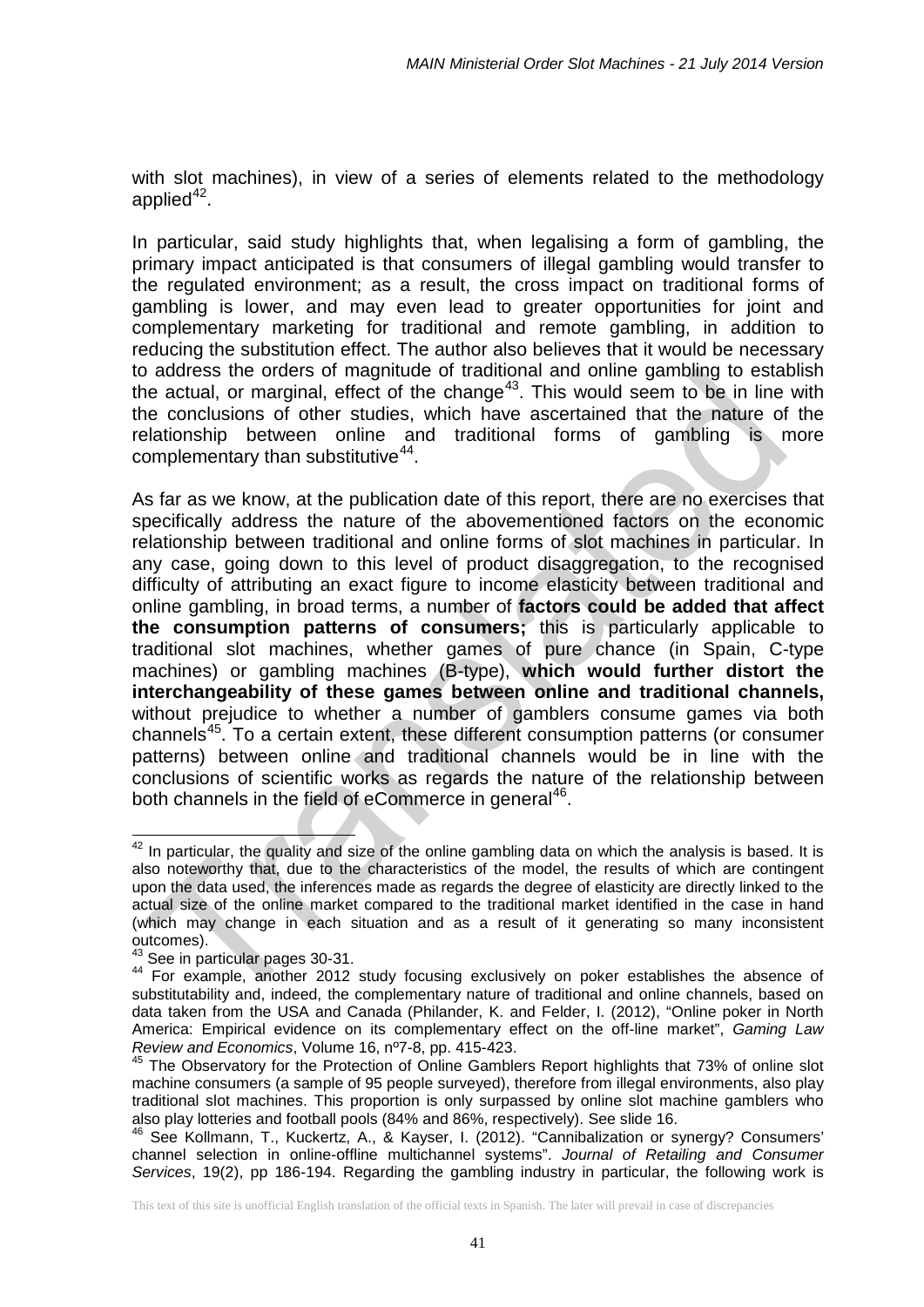with slot machines), in view of a series of elements related to the methodology applied $42$ .

In particular, said study highlights that, when legalising a form of gambling, the primary impact anticipated is that consumers of illegal gambling would transfer to the regulated environment; as a result, the cross impact on traditional forms of gambling is lower, and may even lead to greater opportunities for joint and complementary marketing for traditional and remote gambling, in addition to reducing the substitution effect. The author also believes that it would be necessary to address the orders of magnitude of traditional and online gambling to establish the actual, or marginal, effect of the change<sup>[43](#page-40-1)</sup>. This would seem to be in line with the conclusions of other studies, which have ascertained that the nature of the relationship between online and traditional forms of gambling is more complementary than substitutive<sup>44</sup>.

As far as we know, at the publication date of this report, there are no exercises that specifically address the nature of the abovementioned factors on the economic relationship between traditional and online forms of slot machines in particular. In any case, going down to this level of product disaggregation, to the recognised difficulty of attributing an exact figure to income elasticity between traditional and online gambling, in broad terms, a number of **factors could be added that affect the consumption patterns of consumers;** this is particularly applicable to traditional slot machines, whether games of pure chance (in Spain, C-type machines) or gambling machines (B-type), which would further distort the **interchangeability of these games between online and traditional channels,** without prejudice to whether a number of gamblers consume games via both channels<sup>45</sup>. To a certain extent, these different consumption patterns (or consumer patterns) between online and traditional channels would be in line with the conclusions of scientific works as regards the nature of the relationship between both channels in the field of eCommerce in general<sup>[46](#page-40-4)</sup>.

<span id="page-40-0"></span> $42$  In particular, the quality and size of the online gambling data on which the analysis is based. It is also noteworthy that, due to the characteristics of the model, the results of which are contingent upon the data used, the inferences made as regards the degree of elasticity are directly linked to the actual size of the online market compared to the traditional market identified in the case in hand (which may change in each situation and as a result of it generating so many inconsistent outcomes).  $\overline{\phantom{a}}$ 

<sup>&</sup>lt;sup>43</sup> See in particular pages 30-31.

<span id="page-40-2"></span><span id="page-40-1"></span><sup>44</sup> For example, another 2012 study focusing exclusively on poker establishes the absence of substitutability and, indeed, the complementary nature of traditional and online channels, based on data taken from the USA and Canada (Philander, K. and Felder, I. (2012), "Online poker in North America: Empirical evidence on its complementary effect on the off-line market", *Gaming Law Review and Economics*, Volume 16, nº7-8, pp. 415-423.

<span id="page-40-3"></span> $<sup>5</sup>$  The Observatory for the Protection of Online Gamblers Report highlights that 73% of online slot</sup> machine consumers (a sample of 95 people surveyed), therefore from illegal environments, also play traditional slot machines. This proportion is only surpassed by online slot machine gamblers who also play lotteries and football pools (84% and 86%, respectively). See slide 16.

<span id="page-40-4"></span><sup>46</sup> See Kollmann, T., Kuckertz, A., & Kayser, I. (2012). "Cannibalization or synergy? Consumers' channel selection in online-offline multichannel systems". *Journal of Retailing and Consumer Services*, 19(2), pp 186-194. Regarding the gambling industry in particular, the following work is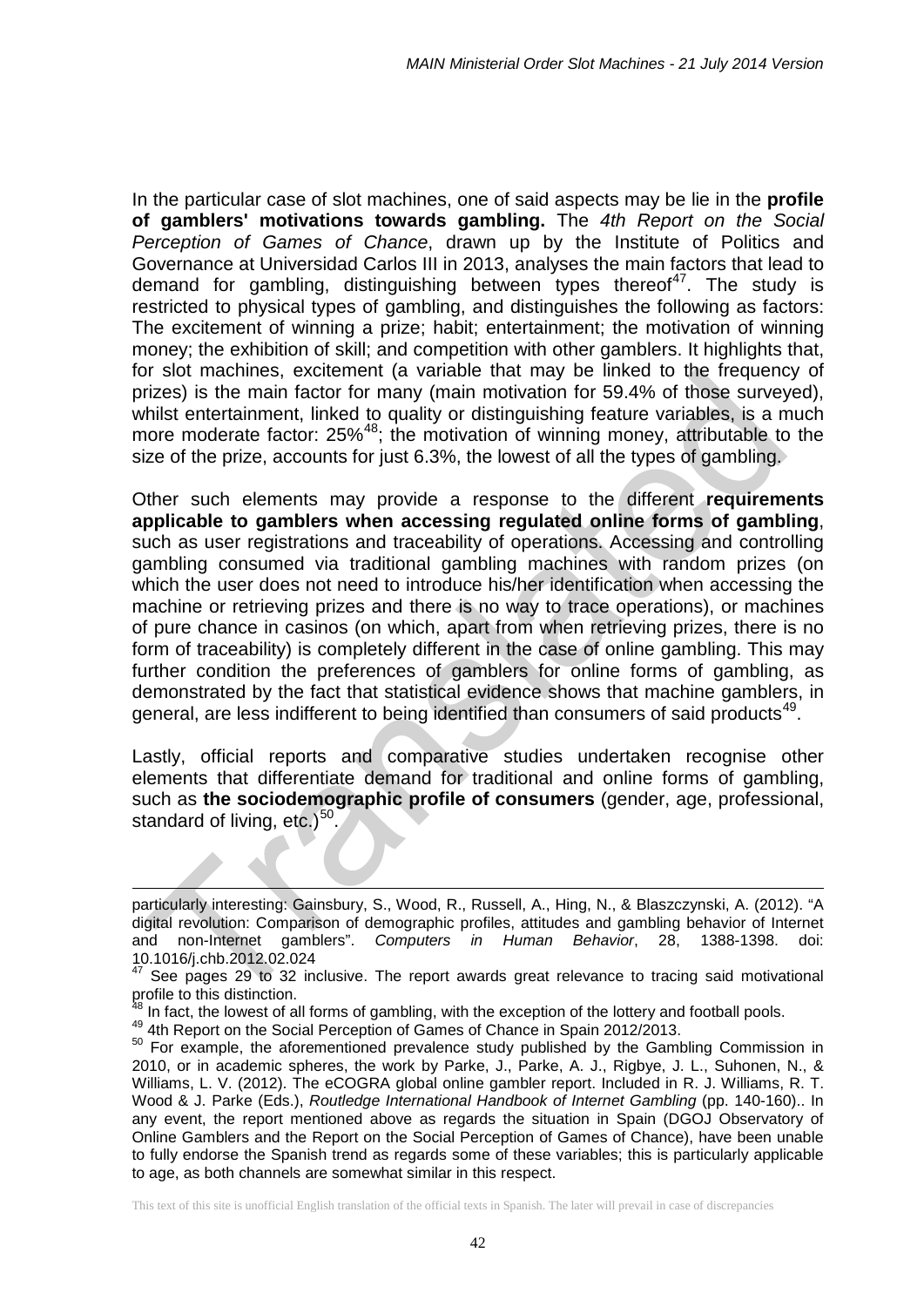In the particular case of slot machines, one of said aspects may be lie in the **profile of gamblers' motivations towards gambling.** The *4th Report on the Social Perception of Games of Chance*, drawn up by the Institute of Politics and Governance at Universidad Carlos III in 2013, analyses the main factors that lead to demand for gambling, distinguishing between types thereof<sup>[47](#page-41-0)</sup>. The study is restricted to physical types of gambling, and distinguishes the following as factors: The excitement of winning a prize; habit; entertainment; the motivation of winning money; the exhibition of skill; and competition with other gamblers. It highlights that, for slot machines, excitement (a variable that may be linked to the frequency of prizes) is the main factor for many (main motivation for 59.4% of those surveyed), whilst entertainment, linked to quality or distinguishing feature variables, is a much more moderate factor: 25%<sup>48</sup>; the motivation of winning money, attributable to the size of the prize, accounts for just 6.3%, the lowest of all the types of gambling.

Other such elements may provide a response to the different **requirements applicable to gamblers when accessing regulated online forms of gambling**, such as user registrations and traceability of operations. Accessing and controlling gambling consumed via traditional gambling machines with random prizes (on which the user does not need to introduce his/her identification when accessing the machine or retrieving prizes and there is no way to trace operations), or machines of pure chance in casinos (on which, apart from when retrieving prizes, there is no form of traceability) is completely different in the case of online gambling. This may further condition the preferences of gamblers for online forms of gambling, as demonstrated by the fact that statistical evidence shows that machine gamblers, in general, are less indifferent to being identified than consumers of said products<sup>[49](#page-41-2)</sup>.

Lastly, official reports and comparative studies undertaken recognise other elements that differentiate demand for traditional and online forms of gambling, such as **the sociodemographic profile of consumers** (gender, age, professional, standard of living,  $etc.$ )<sup>[50](#page-41-3)</sup>.

-

particularly interesting: Gainsbury, S., Wood, R., Russell, A., Hing, N., & Blaszczynski, A. (2012). "A digital revolution: Comparison of demographic profiles, attitudes and gambling behavior of Internet and non-Internet gamblers". *Computers in Human Behavior*, 28, 1388-1398. doi: 10.1016/j.chb.2012.02.024

<span id="page-41-0"></span> $47$  See pages 29 to 32 inclusive. The report awards great relevance to tracing said motivational profile to this distinction.<br><sup>48</sup> In fact, the lowest of all forms of gambling, with the exception of the lottery and football pools.

<span id="page-41-1"></span>

<span id="page-41-3"></span><span id="page-41-2"></span><sup>49 4</sup>th Report on the Social Perception of Games of Chance in Spain 2012/2013.<br>
<sup>50</sup> For example, the aforementioned prevalence study published by the Gambling Commission in 2010, or in academic spheres, the work by Parke, J., Parke, A. J., Rigbye, J. L., Suhonen, N., & Williams, L. V. (2012). The eCOGRA global online gambler report. Included in R. J. Williams, R. T. Wood & J. Parke (Eds.), *Routledge International Handbook of Internet Gambling* (pp. 140-160).. In any event, the report mentioned above as regards the situation in Spain (DGOJ Observatory of Online Gamblers and the Report on the Social Perception of Games of Chance), have been unable to fully endorse the Spanish trend as regards some of these variables; this is particularly applicable to age, as both channels are somewhat similar in this respect.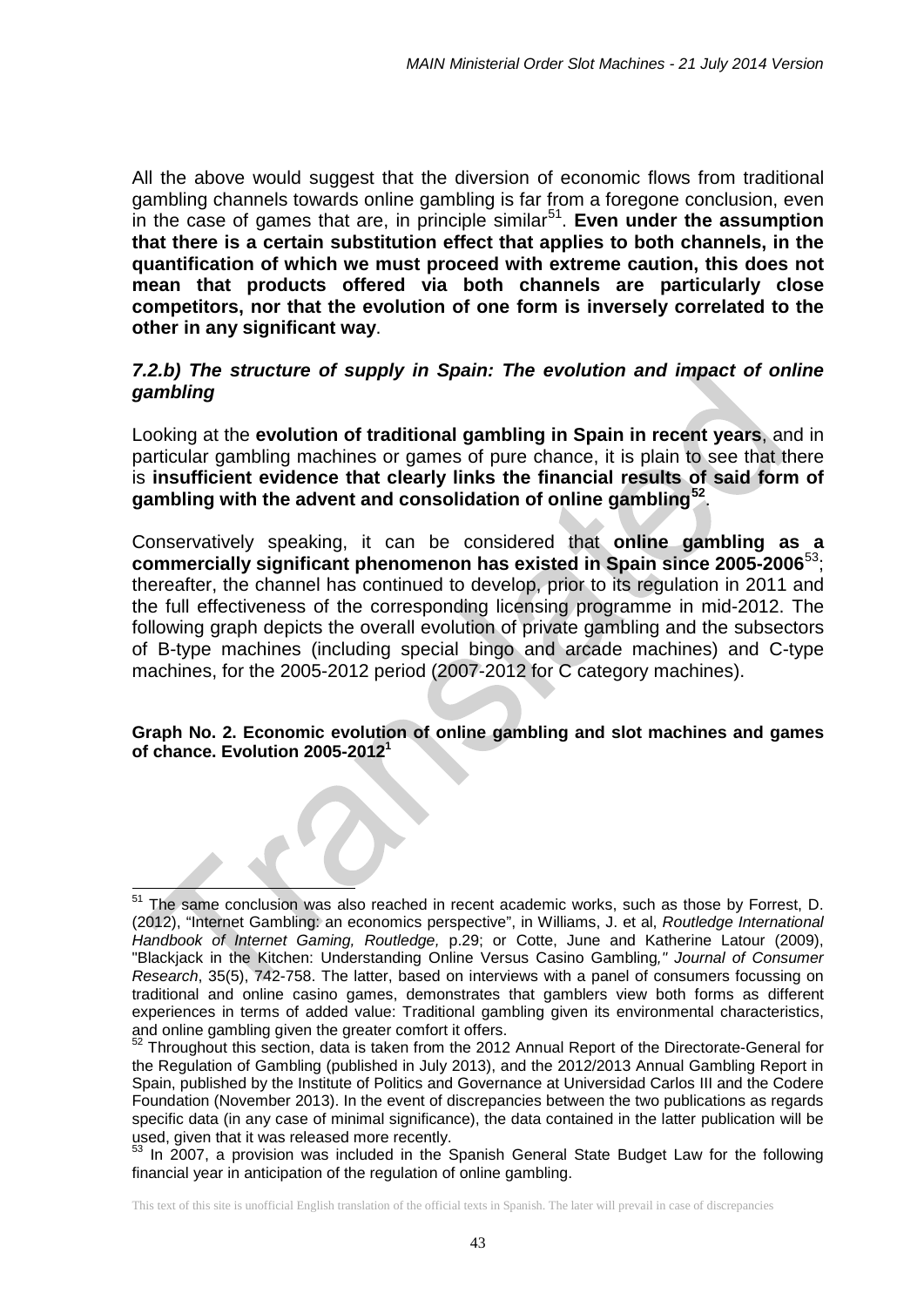All the above would suggest that the diversion of economic flows from traditional gambling channels towards online gambling is far from a foregone conclusion, even in the case of games that are, in principle similar<sup>[51](#page-42-0)</sup>. **Even under the assumption that there is a certain substitution effect that applies to both channels, in the quantification of which we must proceed with extreme caution, this does not mean that products offered via both channels are particularly close competitors, nor that the evolution of one form is inversely correlated to the other in any significant way**.

### *7.2.b)* The structure of supply in Spain: The evolution and impact of online *gambling*

Looking at the **evolution of traditional gambling in Spain in recent years**, and in particular gambling machines or games of pure chance, it is plain to see that there is **insufficient evidence that clearly links the financial results of said form of gambling with the advent and consolidation of online gambling[52](#page-42-1)**.

Conservatively speaking, it can be considered that **online gambling as a commercially significant phenomenon has existed in Spain since 2005-2006**[53;](#page-42-2) thereafter, the channel has continued to develop, prior to its regulation in 2011 and the full effectiveness of the corresponding licensing programme in mid-2012. The following graph depicts the overall evolution of private gambling and the subsectors of B-type machines (including special bingo and arcade machines) and C-type machines, for the 2005-2012 period (2007-2012 for C category machines).

#### **Graph No. 2. Economic evolution of online gambling and slot machines and games of chance. Evolution 2005-20121**

<span id="page-42-2"></span>In 2007, a provision was included in the Spanish General State Budget Law for the following financial year in anticipation of the regulation of online gambling.

<span id="page-42-0"></span>The same conclusion was also reached in recent academic works, such as those by Forrest, D. (2012), "Internet Gambling: an economics perspective", in Williams, J. et al, *Routledge International Handbook of Internet Gaming, Routledge,* p.29; or Cotte, June and Katherine Latour (2009), "Blackjack in the Kitchen: Understanding Online Versus Casino Gambling*," Journal of Consumer Research*, 35(5), 742-758. The latter, based on interviews with a panel of consumers focussing on traditional and online casino games, demonstrates that gamblers view both forms as different experiences in terms of added value: Traditional gambling given its environmental characteristics, and online gambling given the greater comfort it offers. 51

<span id="page-42-1"></span> $^2$  Throughout this section, data is taken from the 2012 Annual Report of the Directorate-General for the Regulation of Gambling (published in July 2013), and the 2012/2013 Annual Gambling Report in Spain, published by the Institute of Politics and Governance at Universidad Carlos III and the Codere Foundation (November 2013). In the event of discrepancies between the two publications as regards specific data (in any case of minimal significance), the data contained in the latter publication will be used, given that it was released more recently.<br><sup>53</sup> In 2007, a provision was included in the Special Caseal State D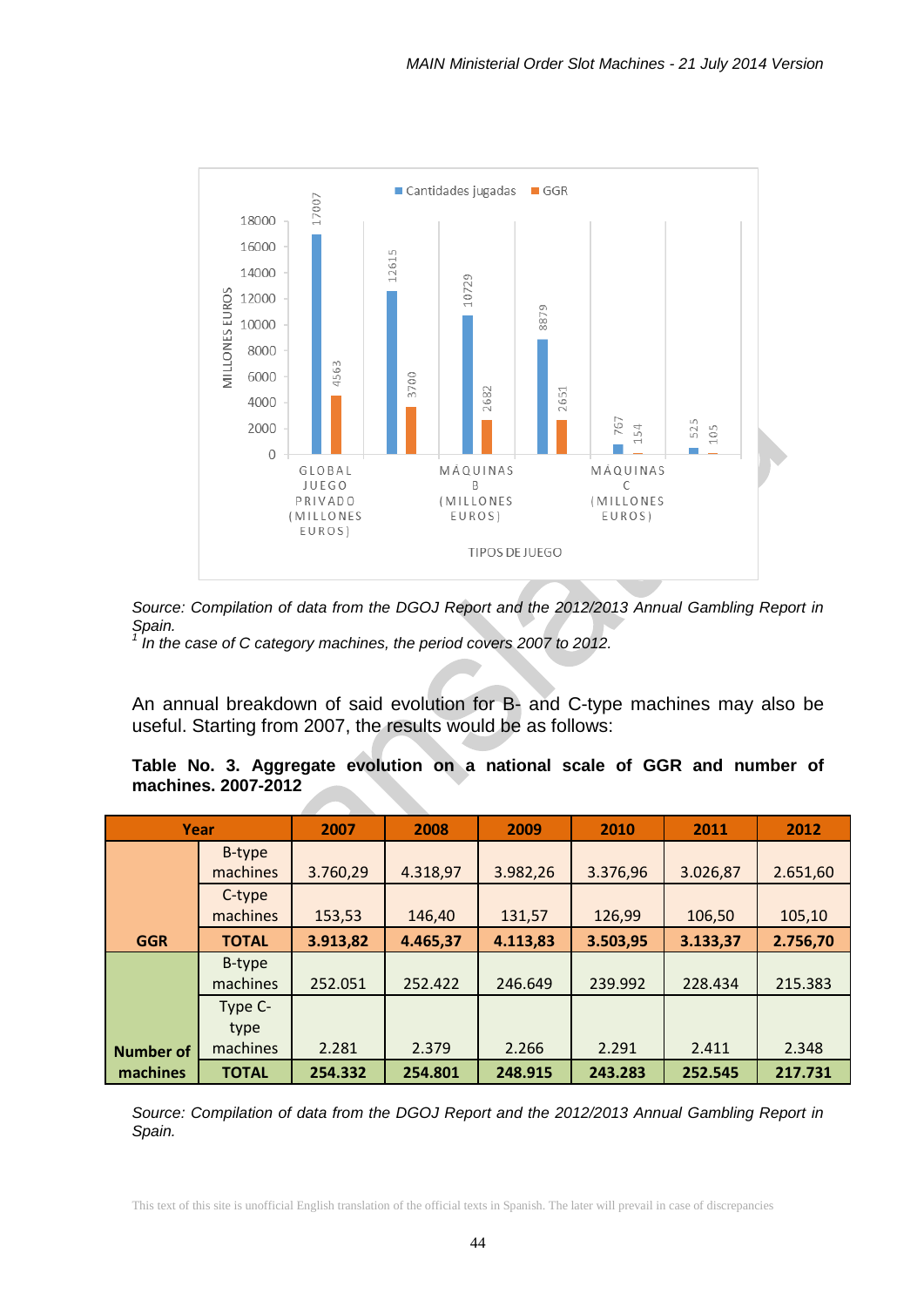

*Source: Compilation of data from the DGOJ Report and the 2012/2013 Annual Gambling Report in Spain.*

<sup>1</sup> In the case of C category machines, the period covers 2007 to 2012.

An annual breakdown of said evolution for B- and C-type machines may also be useful. Starting from 2007, the results would be as follows:

**Table No. 3. Aggregate evolution on a national scale of GGR and number of machines. 2007-2012**

|                  | Year               | 2007     | 2008     | 2009     | 2010     | 2011     | 2012     |
|------------------|--------------------|----------|----------|----------|----------|----------|----------|
|                  | B-type<br>machines | 3.760,29 | 4.318,97 | 3.982,26 | 3.376,96 | 3.026,87 | 2.651,60 |
|                  | C-type<br>machines | 153,53   | 146,40   | 131,57   | 126,99   | 106,50   | 105,10   |
| <b>GGR</b>       | <b>TOTAL</b>       | 3.913,82 | 4.465,37 | 4.113,83 | 3.503,95 | 3.133,37 | 2.756,70 |
|                  | B-type<br>machines | 252.051  | 252.422  | 246.649  | 239.992  | 228.434  | 215.383  |
|                  | Type C-<br>type    |          |          |          |          |          |          |
| <b>Number of</b> | machines           | 2.281    | 2.379    | 2.266    | 2.291    | 2.411    | 2.348    |
| machines         | <b>TOTAL</b>       | 254.332  | 254.801  | 248.915  | 243.283  | 252.545  | 217.731  |

*Source: Compilation of data from the DGOJ Report and the 2012/2013 Annual Gambling Report in Spain.*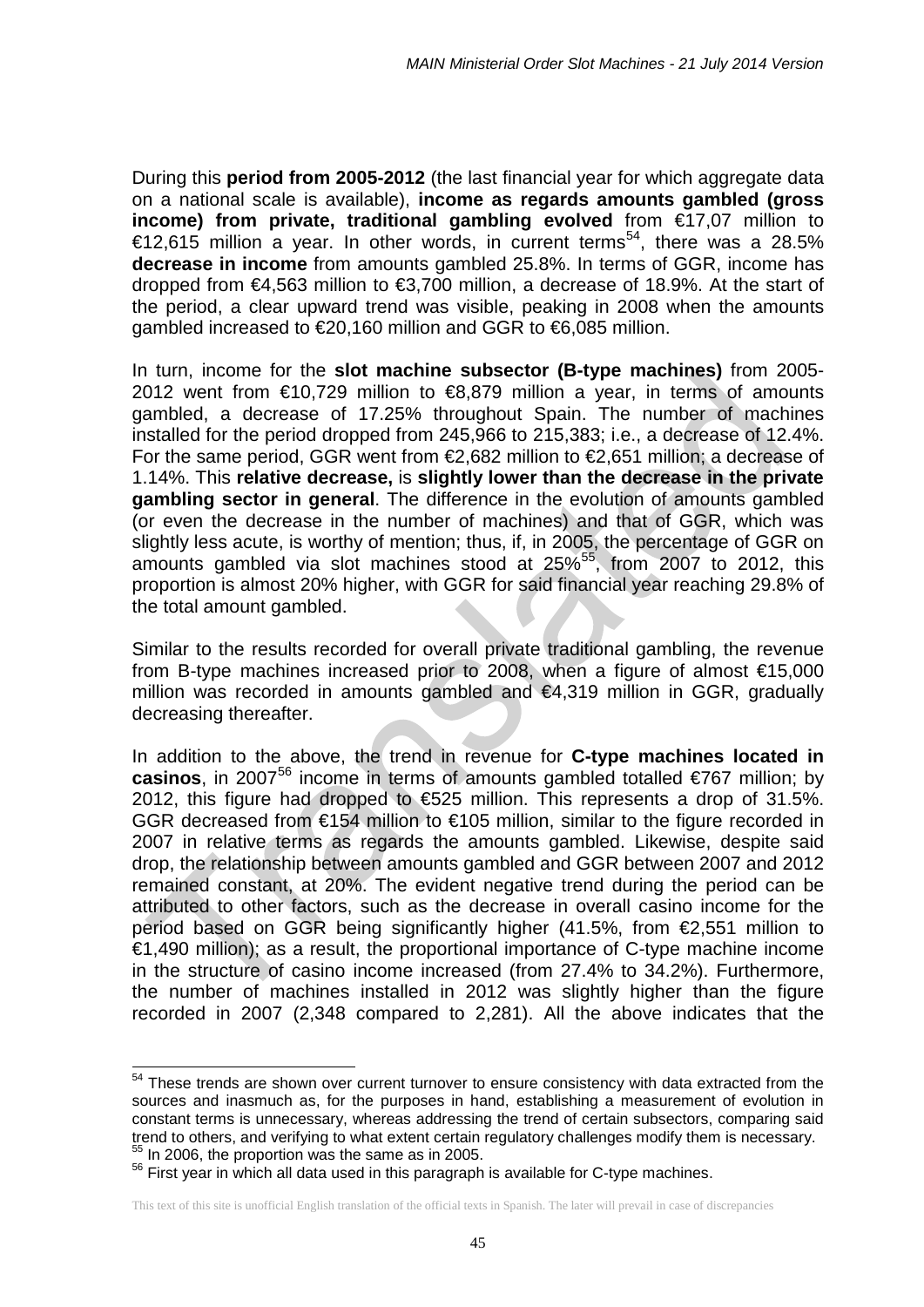During this **period from 2005-2012** (the last financial year for which aggregate data on a national scale is available), **income as regards amounts gambled (gross income) from private, traditional gambling evolved** from €17,07 million to €12,615 million a year. In other words, in current terms<sup>54</sup>, there was a 28.5% **decrease in income** from amounts gambled 25.8%. In terms of GGR, income has dropped from €4,563 million to €3,700 million, a decrease of 18.9%. At the start of the period, a clear upward trend was visible, peaking in 2008 when the amounts gambled increased to €20,160 million and GGR to €6,085 million.

In turn, income for the **slot machine subsector (B-type machines)** from 2005- 2012 went from €10,729 million to €8,879 million a year, in terms of amounts gambled, a decrease of 17.25% throughout Spain. The number of machines installed for the period dropped from 245,966 to 215,383; i.e., a decrease of 12.4%. For the same period, GGR went from €2,682 million to €2,651 million; a decrease of 1.14%. This **relative decrease,** is **slightly lower than the decrease in the private gambling sector in general**. The difference in the evolution of amounts gambled (or even the decrease in the number of machines) and that of GGR, which was slightly less acute, is worthy of mention; thus, if, in 2005, the percentage of GGR on amounts gambled via slot machines stood at 25%<sup>55</sup>, from 2007 to 2012, this proportion is almost 20% higher, with GGR for said financial year reaching 29.8% of the total amount gambled.

Similar to the results recorded for overall private traditional gambling, the revenue from B-type machines increased prior to 2008, when a figure of almost €15,000 million was recorded in amounts gambled and €4,319 million in GGR, gradually decreasing thereafter.

In addition to the above, the trend in revenue for **C-type machines located in casinos**, in 2007<sup>[56](#page-44-2)</sup> income in terms of amounts gambled totalled €767 million; by 2012, this figure had dropped to €525 million. This represents a drop of 31.5%. GGR decreased from  $\epsilon$ 154 million to  $\epsilon$ 105 million, similar to the figure recorded in 2007 in relative terms as regards the amounts gambled. Likewise, despite said drop, the relationship between amounts gambled and GGR between 2007 and 2012 remained constant, at 20%. The evident negative trend during the period can be attributed to other factors, such as the decrease in overall casino income for the period based on GGR being significantly higher (41.5%, from €2,551 million to  $\epsilon$ 1,490 million); as a result, the proportional importance of C-type machine income in the structure of casino income increased (from 27.4% to 34.2%). Furthermore, the number of machines installed in 2012 was slightly higher than the figure recorded in 2007 (2,348 compared to 2,281). All the above indicates that the

-

<span id="page-44-0"></span> $54$  These trends are shown over current turnover to ensure consistency with data extracted from the sources and inasmuch as, for the purposes in hand, establishing a measurement of evolution in constant terms is unnecessary, whereas addressing the trend of certain subsectors, comparing said trend to others, and verifying to what extent certain regulatory challenges modify them is necessary.<br> $55$  In 2006, the proportion was the same as in 2005.<br> $55$  First vear in which all data used in this paragraph is avail

<span id="page-44-2"></span><span id="page-44-1"></span>

This text of this site is unofficial English translation of the official texts in Spanish. The later will prevail in case of discrepancies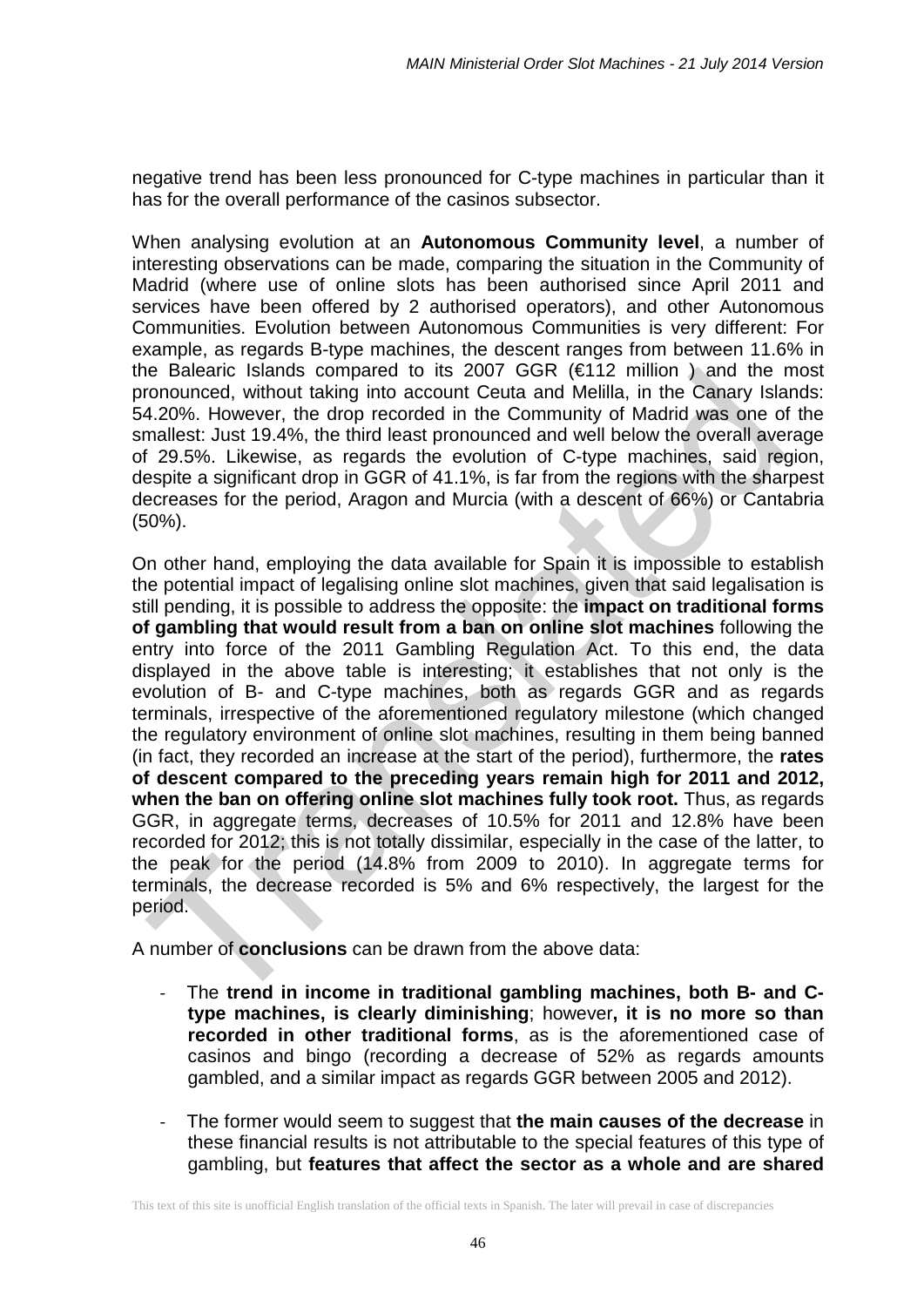negative trend has been less pronounced for C-type machines in particular than it has for the overall performance of the casinos subsector.

When analysing evolution at an **Autonomous Community level**, a number of interesting observations can be made, comparing the situation in the Community of Madrid (where use of online slots has been authorised since April 2011 and services have been offered by 2 authorised operators), and other Autonomous Communities. Evolution between Autonomous Communities is very different: For example, as regards B-type machines, the descent ranges from between 11.6% in the Balearic Islands compared to its 2007 GGR (€112 million ) and the most pronounced, without taking into account Ceuta and Melilla, in the Canary Islands: 54.20%. However, the drop recorded in the Community of Madrid was one of the smallest: Just 19.4%, the third least pronounced and well below the overall average of 29.5%. Likewise, as regards the evolution of C-type machines, said region, despite a significant drop in GGR of 41.1%, is far from the regions with the sharpest decreases for the period, Aragon and Murcia (with a descent of 66%) or Cantabria (50%).

On other hand, employing the data available for Spain it is impossible to establish the potential impact of legalising online slot machines, given that said legalisation is still pending, it is possible to address the opposite: the **impact on traditional forms of gambling that would result from a ban on online slot machines** following the entry into force of the 2011 Gambling Regulation Act. To this end, the data displayed in the above table is interesting; it establishes that not only is the evolution of B- and C-type machines, both as regards GGR and as regards terminals, irrespective of the aforementioned regulatory milestone (which changed the regulatory environment of online slot machines, resulting in them being banned (in fact, they recorded an increase at the start of the period), furthermore, the **rates of descent compared to the preceding years remain high for 2011 and 2012,**  when the ban on offering online slot machines fully took root. Thus, as regards GGR, in aggregate terms, decreases of 10.5% for 2011 and 12.8% have been recorded for 2012; this is not totally dissimilar, especially in the case of the latter, to the peak for the period (14.8% from 2009 to 2010). In aggregate terms for terminals, the decrease recorded is 5% and 6% respectively, the largest for the period.

A number of **conclusions** can be drawn from the above data:

- The **trend in income in traditional gambling machines, both B- and Ctype machines, is clearly diminishing**; however**, it is no more so than recorded in other traditional forms**, as is the aforementioned case of casinos and bingo (recording a decrease of 52% as regards amounts gambled, and a similar impact as regards GGR between 2005 and 2012).
- The former would seem to suggest that **the main causes of the decrease** in these financial results is not attributable to the special features of this type of gambling, but **features that affect the sector as a whole and are shared**

This text of this site is unofficial English translation of the official texts in Spanish. The later will prevail in case of discrepancies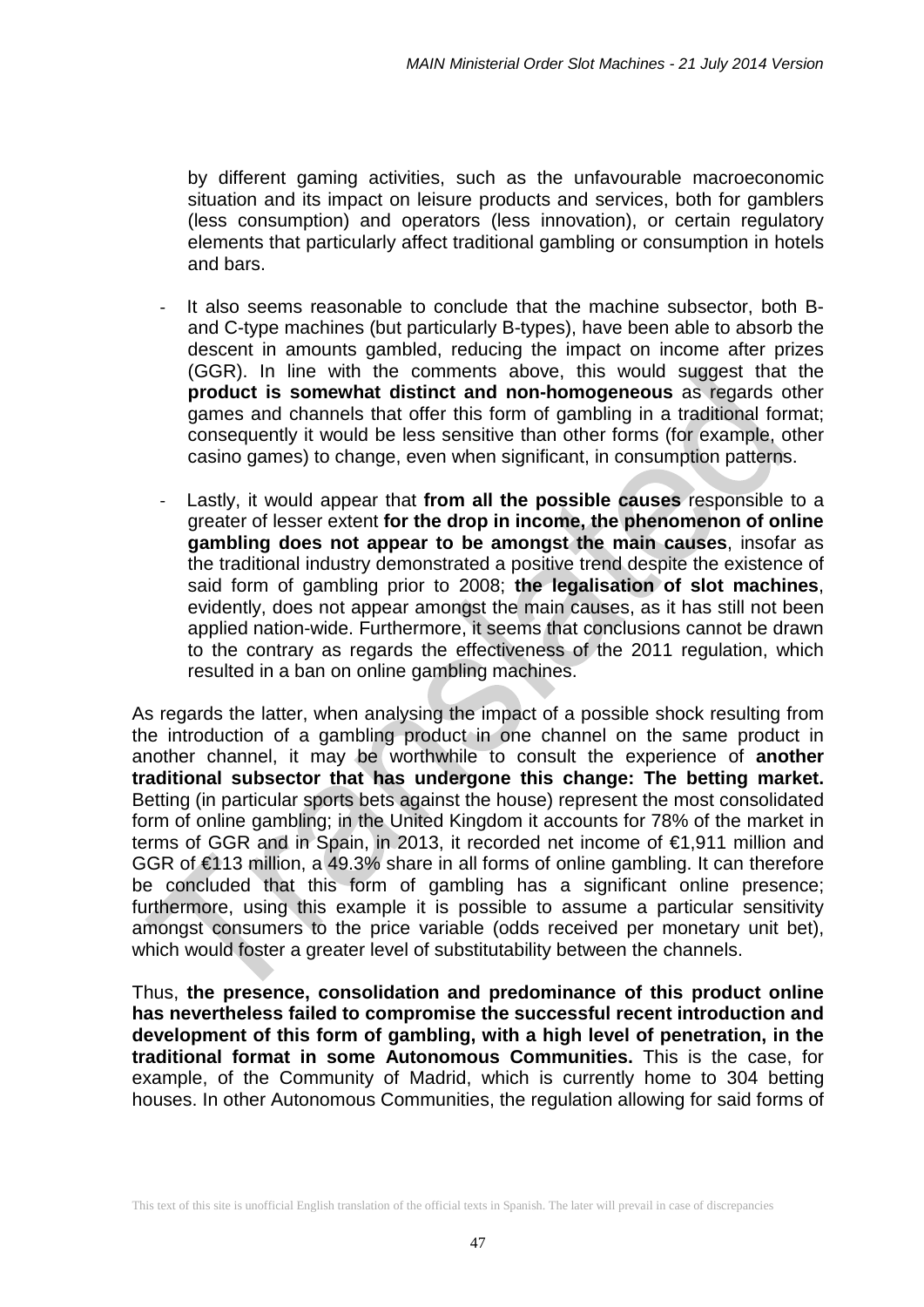by different gaming activities, such as the unfavourable macroeconomic situation and its impact on leisure products and services, both for gamblers (less consumption) and operators (less innovation), or certain regulatory elements that particularly affect traditional gambling or consumption in hotels and bars.

- It also seems reasonable to conclude that the machine subsector, both Band C-type machines (but particularly B-types), have been able to absorb the descent in amounts gambled, reducing the impact on income after prizes (GGR). In line with the comments above, this would suggest that the **product is somewhat distinct and non-homogeneous** as regards other games and channels that offer this form of gambling in a traditional format; consequently it would be less sensitive than other forms (for example, other casino games) to change, even when significant, in consumption patterns.
- Lastly, it would appear that from all the possible causes responsible to a greater of lesser extent **for the drop in income, the phenomenon of online gambling does not appear to be amongst the main causes**, insofar as the traditional industry demonstrated a positive trend despite the existence of said form of gambling prior to 2008; **the legalisation of slot machines**, evidently, does not appear amongst the main causes, as it has still not been applied nation-wide. Furthermore, it seems that conclusions cannot be drawn to the contrary as regards the effectiveness of the 2011 regulation, which resulted in a ban on online gambling machines.

As regards the latter, when analysing the impact of a possible shock resulting from the introduction of a gambling product in one channel on the same product in another channel, it may be worthwhile to consult the experience of **another traditional subsector that has undergone this change: The betting market.** Betting (in particular sports bets against the house) represent the most consolidated form of online gambling; in the United Kingdom it accounts for 78% of the market in terms of GGR and in Spain, in 2013, it recorded net income of €1,911 million and GGR of €113 million, a 49.3% share in all forms of online gambling. It can therefore be concluded that this form of gambling has a significant online presence; furthermore, using this example it is possible to assume a particular sensitivity amongst consumers to the price variable (odds received per monetary unit bet), which would foster a greater level of substitutability between the channels.

Thus, **the presence, consolidation and predominance of this product online has nevertheless failed to compromise the successful recent introduction and development of this form of gambling, with a high level of penetration, in the traditional format in some Autonomous Communities.** This is the case, for example, of the Community of Madrid, which is currently home to 304 betting houses. In other Autonomous Communities, the regulation allowing for said forms of

This text of this site is unofficial English translation of the official texts in Spanish. The later will prevail in case of discrepancies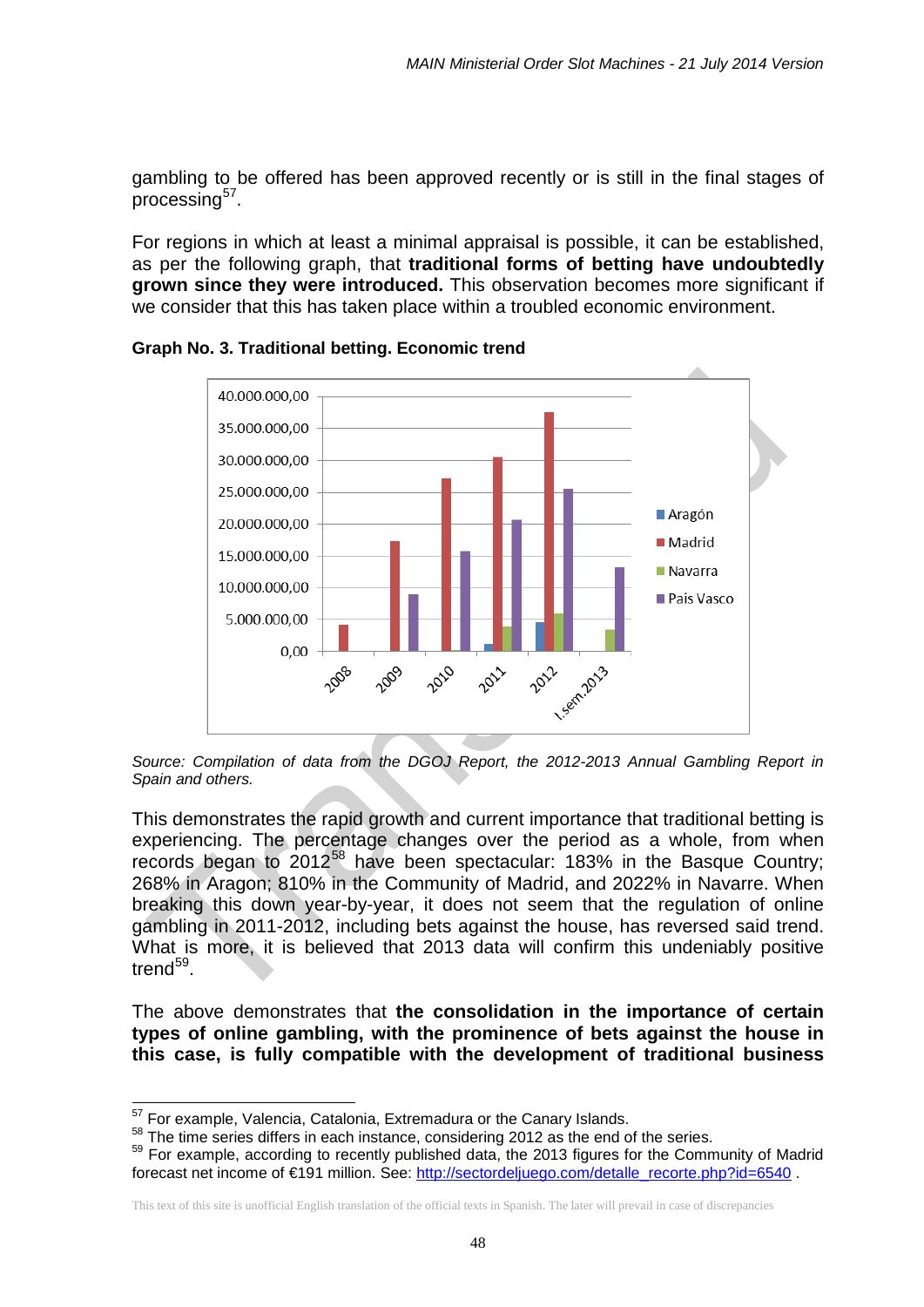gambling to be offered has been approved recently or is still in the final stages of  $p$ rocessing $57$ .

For regions in which at least a minimal appraisal is possible, it can be established, as per the following graph, that **traditional forms of betting have undoubtedly grown since they were introduced.** This observation becomes more significant if we consider that this has taken place within a troubled economic environment.



**Graph No. 3. Traditional betting. Economic trend**

*Source: Compilation of data from the DGOJ Report, the 2012-2013 Annual Gambling Report in Spain and others.*

This demonstrates the rapid growth and current importance that traditional betting is experiencing. The percentage changes over the period as a whole, from when records began to  $2012^{58}$  $2012^{58}$  $2012^{58}$  have been spectacular: 183% in the Basque Country; 268% in Aragon; 810% in the Community of Madrid, and 2022% in Navarre. When breaking this down year-by-year, it does not seem that the regulation of online gambling in 2011-2012, including bets against the house, has reversed said trend. What is more, it is believed that 2013 data will confirm this undeniably positive trend<sup>59</sup>.

The above demonstrates that **the consolidation in the importance of certain types of online gambling, with the prominence of bets against the house in this case, is fully compatible with the development of traditional business** 

<sup>&</sup>lt;sup>57</sup> For example, Valencia, Catalonia, Extremadura or the Canary Islands.

<span id="page-47-2"></span><span id="page-47-1"></span><span id="page-47-0"></span> $58$  The time series differs in each instance, considering 2012 as the end of the series.<br> $59$  For example, according to recently published data, the 2013 figures for the Community of Madrid forecast net income of €191 million. See: [http://sectordeljuego.com/detalle\\_recorte.php?id=6540](http://sectordeljuego.com/detalle_recorte.php?id=6540) .

This text of this site is unofficial English translation of the official texts in Spanish. The later will prevail in case of discrepancies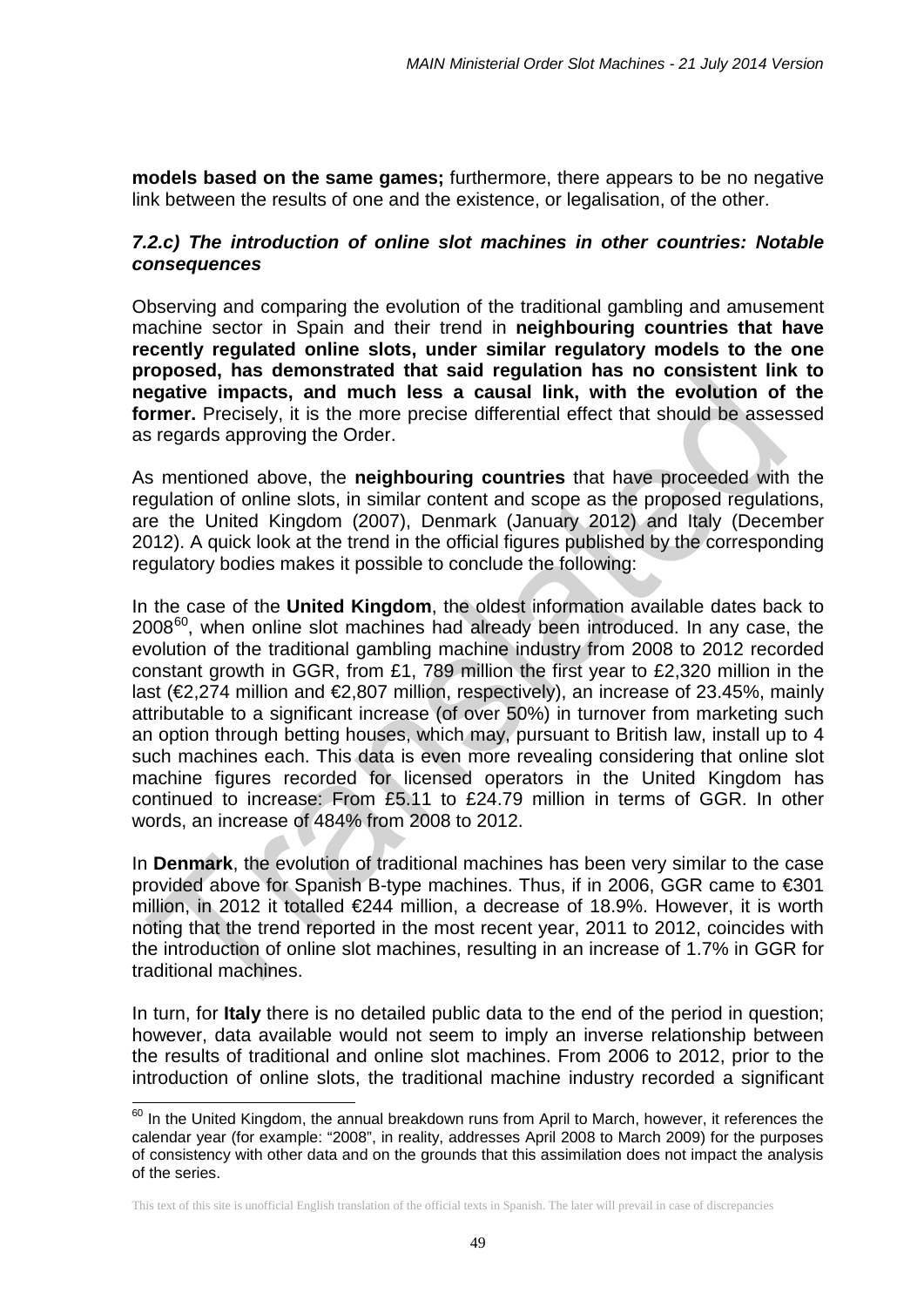**models based on the same games;** furthermore, there appears to be no negative link between the results of one and the existence, or legalisation, of the other.

### *7.2.c) The introduction of online slot machines in other countries: Notable consequences*

Observing and comparing the evolution of the traditional gambling and amusement machine sector in Spain and their trend in **neighbouring countries that have recently regulated online slots, under similar regulatory models to the one proposed, has demonstrated that said regulation has no consistent link to negative impacts, and much less a causal link, with the evolution of the former.** Precisely, it is the more precise differential effect that should be assessed as regards approving the Order.

As mentioned above, the **neighbouring countries** that have proceeded with the regulation of online slots, in similar content and scope as the proposed regulations, are the United Kingdom (2007), Denmark (January 2012) and Italy (December 2012). A quick look at the trend in the official figures published by the corresponding regulatory bodies makes it possible to conclude the following:

In the case of the **United Kingdom**, the oldest information available dates back to  $2008^{60}$  $2008^{60}$  $2008^{60}$ , when online slot machines had already been introduced. In any case, the evolution of the traditional gambling machine industry from 2008 to 2012 recorded constant growth in GGR, from £1, 789 million the first year to £2,320 million in the last (€2,274 million and €2,807 million, respectively), an increase of 23.45%, mainly attributable to a significant increase (of over 50%) in turnover from marketing such an option through betting houses, which may, pursuant to British law, install up to 4 such machines each. This data is even more revealing considering that online slot machine figures recorded for licensed operators in the United Kingdom has continued to increase: From £5.11 to £24.79 million in terms of GGR. In other words, an increase of 484% from 2008 to 2012.

In **Denmark**, the evolution of traditional machines has been very similar to the case provided above for Spanish B-type machines. Thus, if in 2006, GGR came to €301 million, in 2012 it totalled €244 million, a decrease of 18.9%. However, it is worth noting that the trend reported in the most recent year, 2011 to 2012, coincides with the introduction of online slot machines, resulting in an increase of 1.7% in GGR for traditional machines.

In turn, for **Italy** there is no detailed public data to the end of the period in question; however, data available would not seem to imply an inverse relationship between the results of traditional and online slot machines. From 2006 to 2012, prior to the introduction of online slots, the traditional machine industry recorded a significant

<span id="page-48-0"></span> $^{60}$  In the United Kingdom, the annual breakdown runs from April to March, however, it references the calendar year (for example: "2008", in reality, addresses April 2008 to March 2009) for the purposes of consistency with other data and on the grounds that this assimilation does not impact the analysis of the series.  $\overline{\phantom{a}}$ 

This text of this site is unofficial English translation of the official texts in Spanish. The later will prevail in case of discrepancies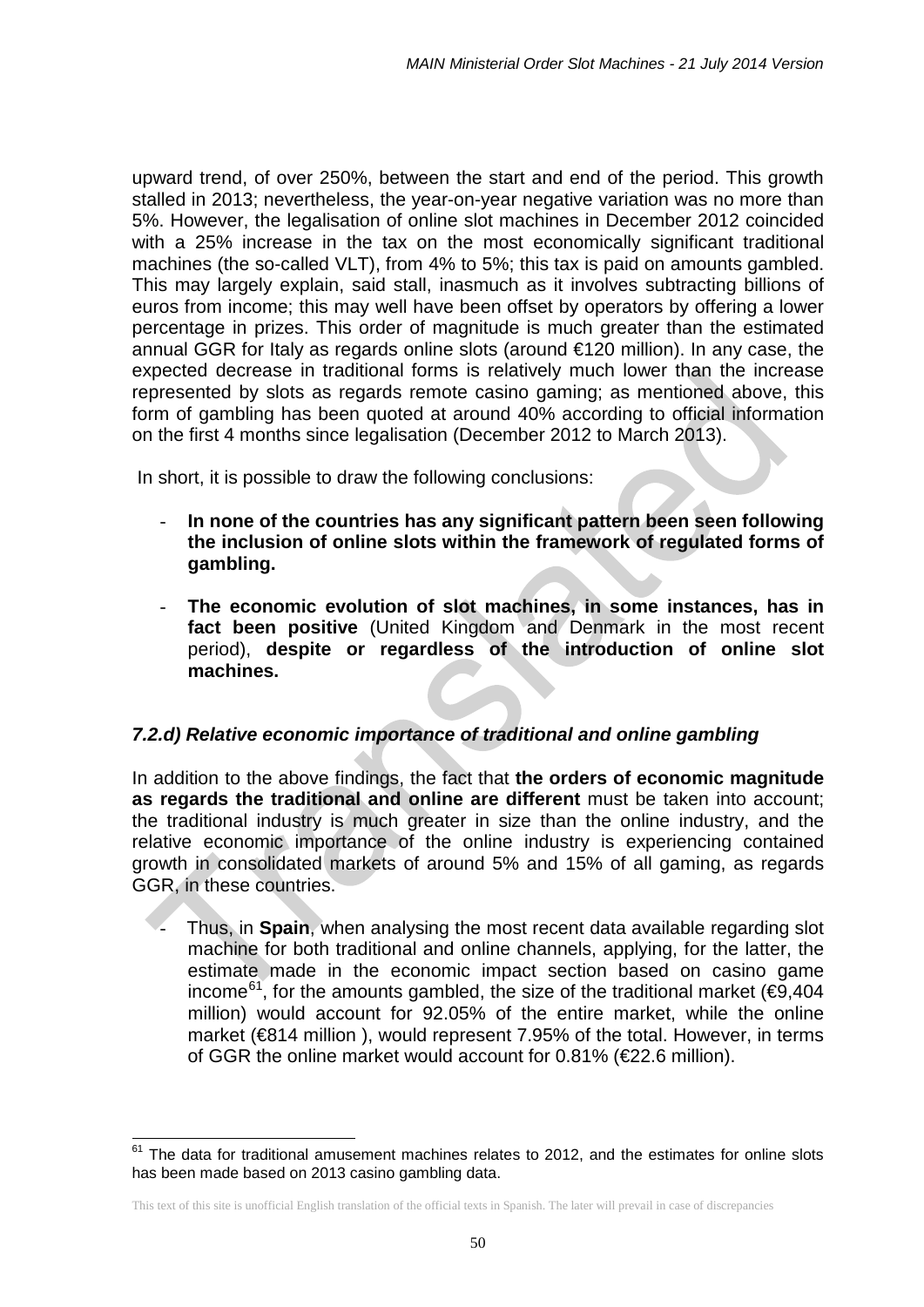upward trend, of over 250%, between the start and end of the period. This growth stalled in 2013; nevertheless, the year-on-year negative variation was no more than 5%. However, the legalisation of online slot machines in December 2012 coincided with a 25% increase in the tax on the most economically significant traditional machines (the so-called VLT), from 4% to 5%; this tax is paid on amounts gambled. This may largely explain, said stall, inasmuch as it involves subtracting billions of euros from income; this may well have been offset by operators by offering a lower percentage in prizes. This order of magnitude is much greater than the estimated annual GGR for Italy as regards online slots (around €120 million). In any case, the expected decrease in traditional forms is relatively much lower than the increase represented by slots as regards remote casino gaming; as mentioned above, this form of gambling has been quoted at around 40% according to official information on the first 4 months since legalisation (December 2012 to March 2013).

In short, it is possible to draw the following conclusions:

- **In none of the countries has any significant pattern been seen following the inclusion of online slots within the framework of regulated forms of gambling.**
- **The economic evolution of slot machines, in some instances, has in fact been positive** (United Kingdom and Denmark in the most recent period), **despite or regardless of the introduction of online slot machines.**

### *7.2.d) Relative economic importance of traditional and online gambling*

In addition to the above findings, the fact that **the orders of economic magnitude as regards the traditional and online are different** must be taken into account; the traditional industry is much greater in size than the online industry, and the relative economic importance of the online industry is experiencing contained growth in consolidated markets of around 5% and 15% of all gaming, as regards GGR, in these countries.

- Thus, in **Spain**, when analysing the most recent data available regarding slot machine for both traditional and online channels, applying, for the latter, the estimate made in the economic impact section based on casino game income<sup>[61](#page-49-0)</sup>, for the amounts gambled, the size of the traditional market ( $\epsilon$ 9,404 million) would account for 92.05% of the entire market, while the online market (€814 million ), would represent 7.95% of the total. However, in terms of GGR the online market would account for  $0.81\%$  ( $E2.6$  million).

 $\overline{\phantom{a}}$ 

<span id="page-49-0"></span> $61$  The data for traditional amusement machines relates to 2012, and the estimates for online slots has been made based on 2013 casino gambling data.

This text of this site is unofficial English translation of the official texts in Spanish. The later will prevail in case of discrepancies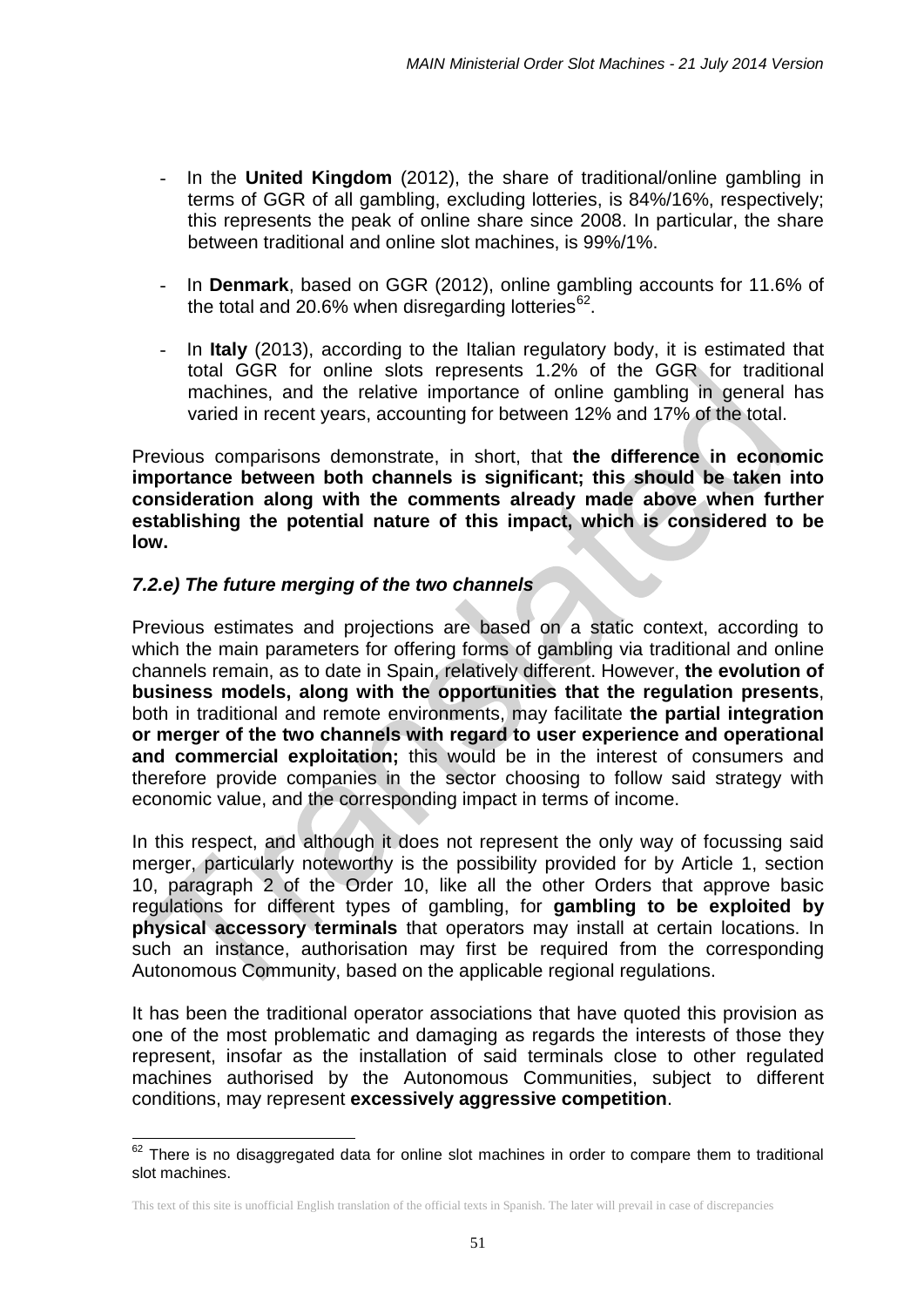- In the **United Kingdom** (2012), the share of traditional/online gambling in terms of GGR of all gambling, excluding lotteries, is 84%/16%, respectively; this represents the peak of online share since 2008. In particular, the share between traditional and online slot machines, is 99%/1%.
- In **Denmark**, based on GGR (2012), online gambling accounts for 11.6% of the total and 20.6% when disregarding lotteries<sup>62</sup>.
- In **Italy** (2013), according to the Italian regulatory body, it is estimated that total GGR for online slots represents 1.2% of the GGR for traditional machines, and the relative importance of online gambling in general has varied in recent years, accounting for between 12% and 17% of the total.

Previous comparisons demonstrate, in short, that **the difference in economic importance between both channels is significant; this should be taken into consideration along with the comments already made above when further establishing the potential nature of this impact, which is considered to be low.** 

# *7.2.e) The future merging of the two channels*

 $\overline{\phantom{a}}$ 

Previous estimates and projections are based on a static context, according to which the main parameters for offering forms of gambling via traditional and online channels remain, as to date in Spain, relatively different. However, **the evolution of business models, along with the opportunities that the regulation presents**, both in traditional and remote environments, may facilitate **the partial integration or merger of the two channels with regard to user experience and operational and commercial exploitation;** this would be in the interest of consumers and therefore provide companies in the sector choosing to follow said strategy with economic value, and the corresponding impact in terms of income.

In this respect, and although it does not represent the only way of focussing said merger, particularly noteworthy is the possibility provided for by Article 1, section 10, paragraph 2 of the Order 10, like all the other Orders that approve basic regulations for different types of gambling, for **gambling to be exploited by physical accessory terminals** that operators may install at certain locations. In such an instance, authorisation may first be required from the corresponding Autonomous Community, based on the applicable regional regulations.

It has been the traditional operator associations that have quoted this provision as one of the most problematic and damaging as regards the interests of those they represent, insofar as the installation of said terminals close to other regulated machines authorised by the Autonomous Communities, subject to different conditions, may represent **excessively aggressive competition**.

<span id="page-50-0"></span> $62$  There is no disaggregated data for online slot machines in order to compare them to traditional slot machines.

This text of this site is unofficial English translation of the official texts in Spanish. The later will prevail in case of discrepancies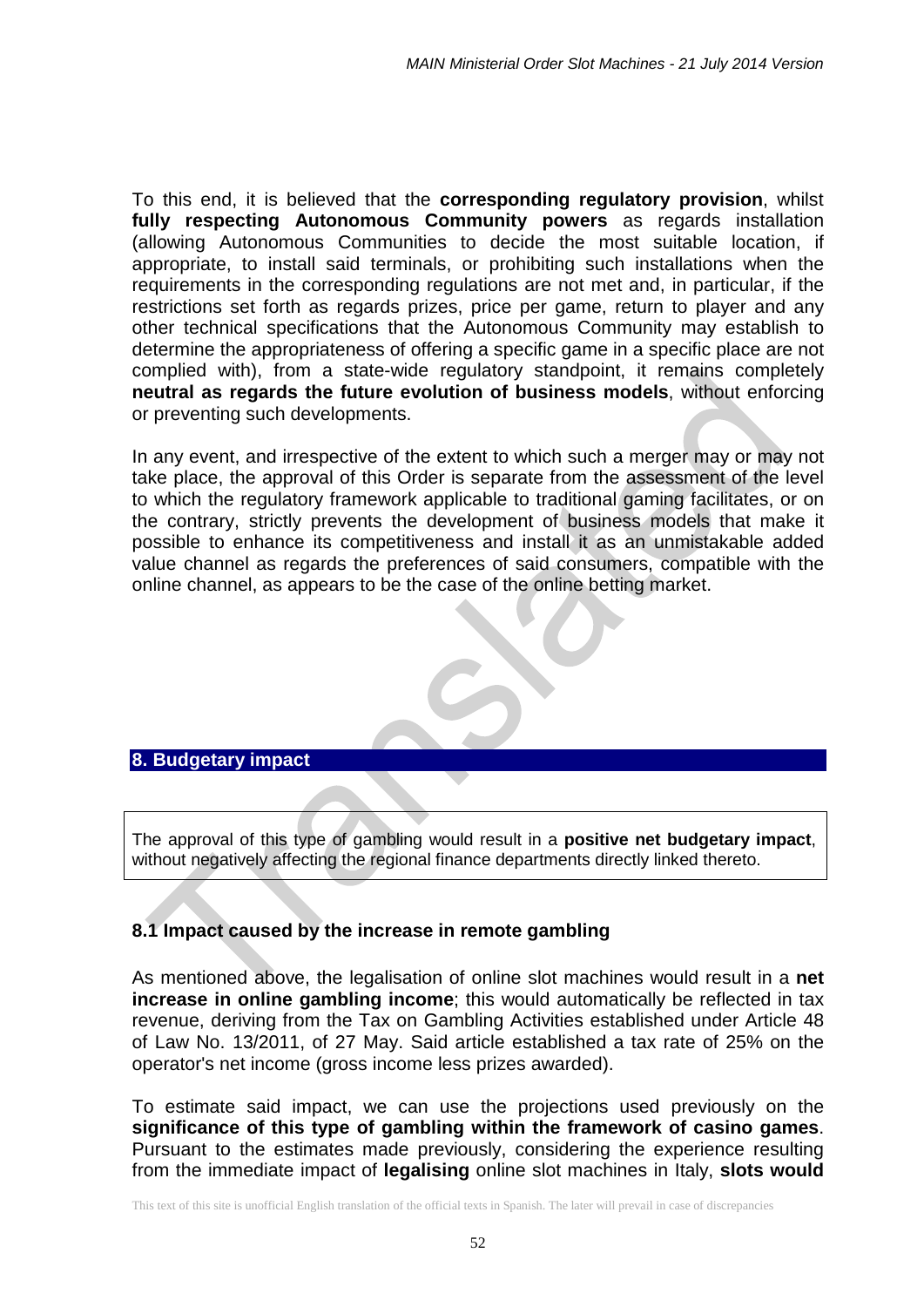To this end, it is believed that the **corresponding regulatory provision**, whilst **fully respecting Autonomous Community powers** as regards installation (allowing Autonomous Communities to decide the most suitable location, if appropriate, to install said terminals, or prohibiting such installations when the requirements in the corresponding regulations are not met and, in particular, if the restrictions set forth as regards prizes, price per game, return to player and any other technical specifications that the Autonomous Community may establish to determine the appropriateness of offering a specific game in a specific place are not complied with), from a state-wide regulatory standpoint, it remains completely **neutral as regards the future evolution of business models**, without enforcing or preventing such developments.

In any event, and irrespective of the extent to which such a merger may or may not take place, the approval of this Order is separate from the assessment of the level to which the regulatory framework applicable to traditional gaming facilitates, or on the contrary, strictly prevents the development of business models that make it possible to enhance its competitiveness and install it as an unmistakable added value channel as regards the preferences of said consumers, compatible with the online channel, as appears to be the case of the online betting market.



The approval of this type of gambling would result in a **positive net budgetary impact**, without negatively affecting the regional finance departments directly linked thereto.

# **8.1 Impact caused by the increase in remote gambling**

As mentioned above, the legalisation of online slot machines would result in a **net increase in online gambling income**; this would automatically be reflected in tax revenue, deriving from the Tax on Gambling Activities established under Article 48 of Law No. 13/2011, of 27 May. Said article established a tax rate of 25% on the operator's net income (gross income less prizes awarded).

To estimate said impact, we can use the projections used previously on the **significance of this type of gambling within the framework of casino games**. Pursuant to the estimates made previously, considering the experience resulting from the immediate impact of **legalising** online slot machines in Italy, **slots would**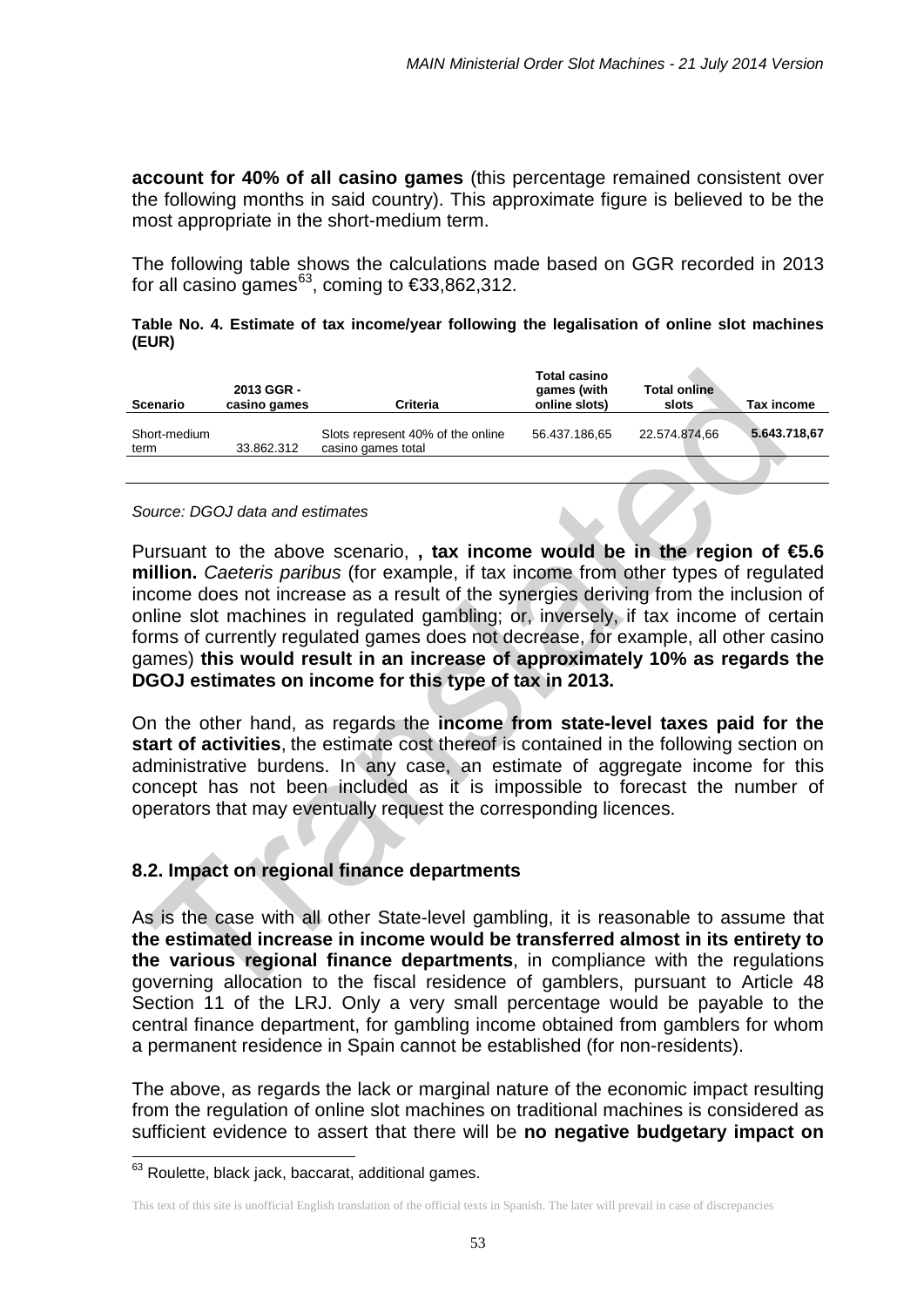**account for 40% of all casino games** (this percentage remained consistent over the following months in said country). This approximate figure is believed to be the most appropriate in the short-medium term.

The following table shows the calculations made based on GGR recorded in 2013 for all casino games<sup>[63](#page-52-0)</sup>, coming to  $\epsilon$ 33,862,312.

#### **Table No. 4. Estimate of tax income/year following the legalisation of online slot machines (EUR)**

| Scenario             | 2013 GGR -<br>casino games | <b>Criteria</b>                                         | <b>Total casino</b><br>games (with<br>online slots) | <b>Total online</b><br>slots | Tax income   |
|----------------------|----------------------------|---------------------------------------------------------|-----------------------------------------------------|------------------------------|--------------|
| Short-medium<br>term | 33.862.312                 | Slots represent 40% of the online<br>casino games total | 56.437.186,65                                       | 22.574.874,66                | 5.643.718,67 |
|                      |                            |                                                         |                                                     |                              |              |

#### *Source: DGOJ data and estimates*

Pursuant to the above scenario, **, tax income would be in the region of €5.6 million.** *Caeteris paribus* (for example, if tax income from other types of regulated income does not increase as a result of the synergies deriving from the inclusion of online slot machines in regulated gambling; or, inversely, if tax income of certain forms of currently regulated games does not decrease, for example, all other casino games) **this would result in an increase of approximately 10% as regards the DGOJ estimates on income for this type of tax in 2013.**

On the other hand, as regards the **income from state-level taxes paid for the start of activities**, the estimate cost thereof is contained in the following section on administrative burdens. In any case, an estimate of aggregate income for this concept has not been included as it is impossible to forecast the number of operators that may eventually request the corresponding licences.

### **8.2. Impact on regional finance departments**

As is the case with all other State-level gambling, it is reasonable to assume that **the estimated increase in income would be transferred almost in its entirety to the various regional finance departments**, in compliance with the regulations governing allocation to the fiscal residence of gamblers, pursuant to Article 48 Section 11 of the LRJ. Only a very small percentage would be payable to the central finance department, for gambling income obtained from gamblers for whom a permanent residence in Spain cannot be established (for non-residents).

The above, as regards the lack or marginal nature of the economic impact resulting from the regulation of online slot machines on traditional machines is considered as sufficient evidence to assert that there will be **no negative budgetary impact on** 

 $\overline{\phantom{a}}$ 

<span id="page-52-0"></span><sup>&</sup>lt;sup>63</sup> Roulette, black jack, baccarat, additional games.

This text of this site is unofficial English translation of the official texts in Spanish. The later will prevail in case of discrepancies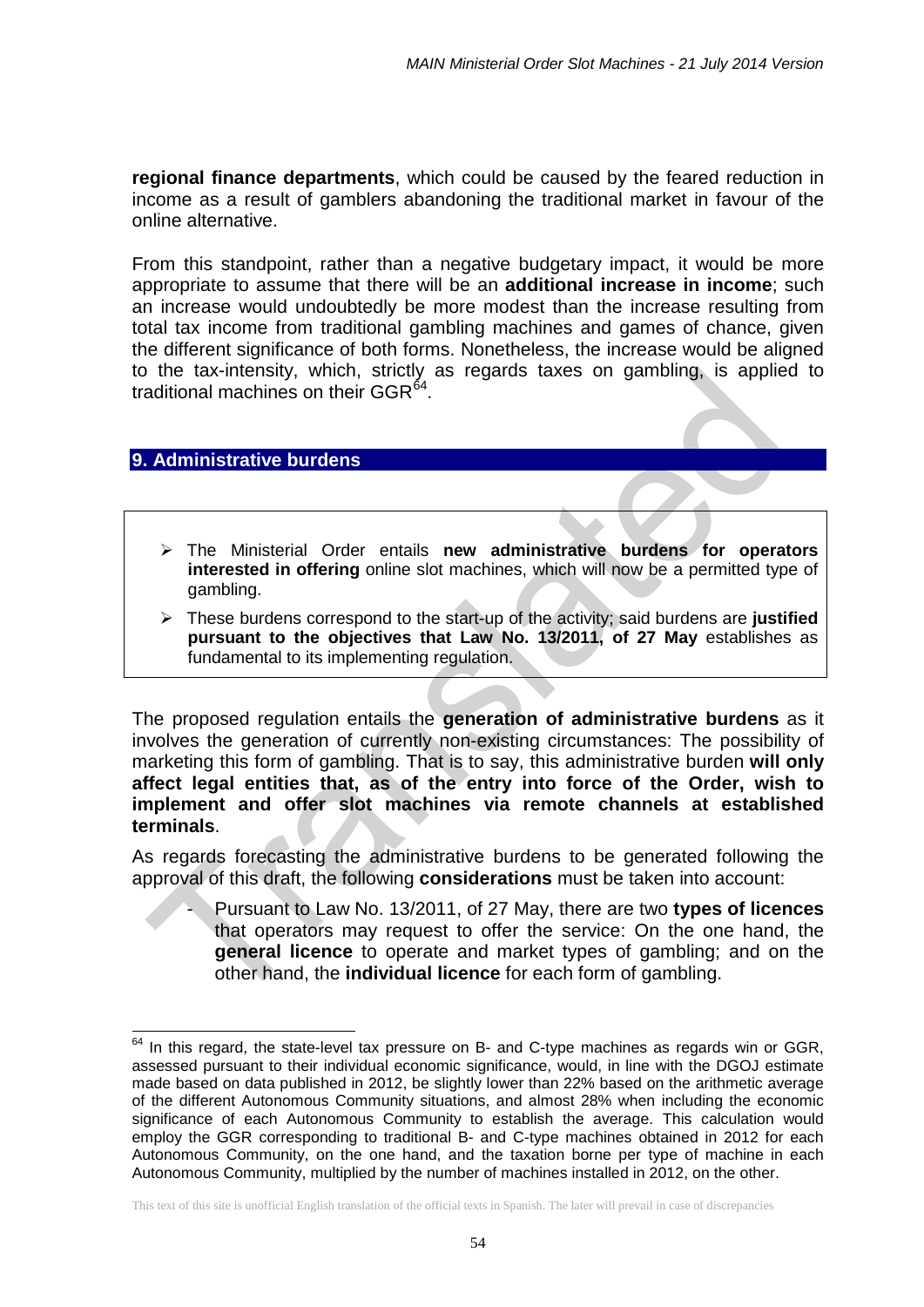**regional finance departments**, which could be caused by the feared reduction in income as a result of gamblers abandoning the traditional market in favour of the online alternative.

From this standpoint, rather than a negative budgetary impact, it would be more appropriate to assume that there will be an **additional increase in income**; such an increase would undoubtedly be more modest than the increase resulting from total tax income from traditional gambling machines and games of chance, given the different significance of both forms. Nonetheless, the increase would be aligned to the tax-intensity, which, strictly as regards taxes on gambling, is applied to traditional machines on their GGR $<sup>64</sup>$  $<sup>64</sup>$  $<sup>64</sup>$ .</sup>

# **9. Administrative burdens**

 $\overline{\phantom{a}}$ 

- The Ministerial Order entails **new administrative burdens for operators interested in offering** online slot machines, which will now be a permitted type of gambling.
- These burdens correspond to the start-up of the activity; said burdens are **justified pursuant to the objectives that Law No. 13/2011, of 27 May** establishes as fundamental to its implementing regulation.

The proposed regulation entails the **generation of administrative burdens** as it involves the generation of currently non-existing circumstances: The possibility of marketing this form of gambling. That is to say, this administrative burden **will only affect legal entities that, as of the entry into force of the Order, wish to implement and offer slot machines via remote channels at established terminals**.

As regards forecasting the administrative burdens to be generated following the approval of this draft, the following **considerations** must be taken into account:

> - Pursuant to Law No. 13/2011, of 27 May, there are two **types of licences** that operators may request to offer the service: On the one hand, the **general licence** to operate and market types of gambling; and on the other hand, the **individual licence** for each form of gambling.

<span id="page-53-0"></span> $64$  In this regard, the state-level tax pressure on B- and C-type machines as regards win or GGR, assessed pursuant to their individual economic significance, would, in line with the DGOJ estimate made based on data published in 2012, be slightly lower than 22% based on the arithmetic average of the different Autonomous Community situations, and almost 28% when including the economic significance of each Autonomous Community to establish the average. This calculation would employ the GGR corresponding to traditional B- and C-type machines obtained in 2012 for each Autonomous Community, on the one hand, and the taxation borne per type of machine in each Autonomous Community, multiplied by the number of machines installed in 2012, on the other.

This text of this site is unofficial English translation of the official texts in Spanish. The later will prevail in case of discrepancies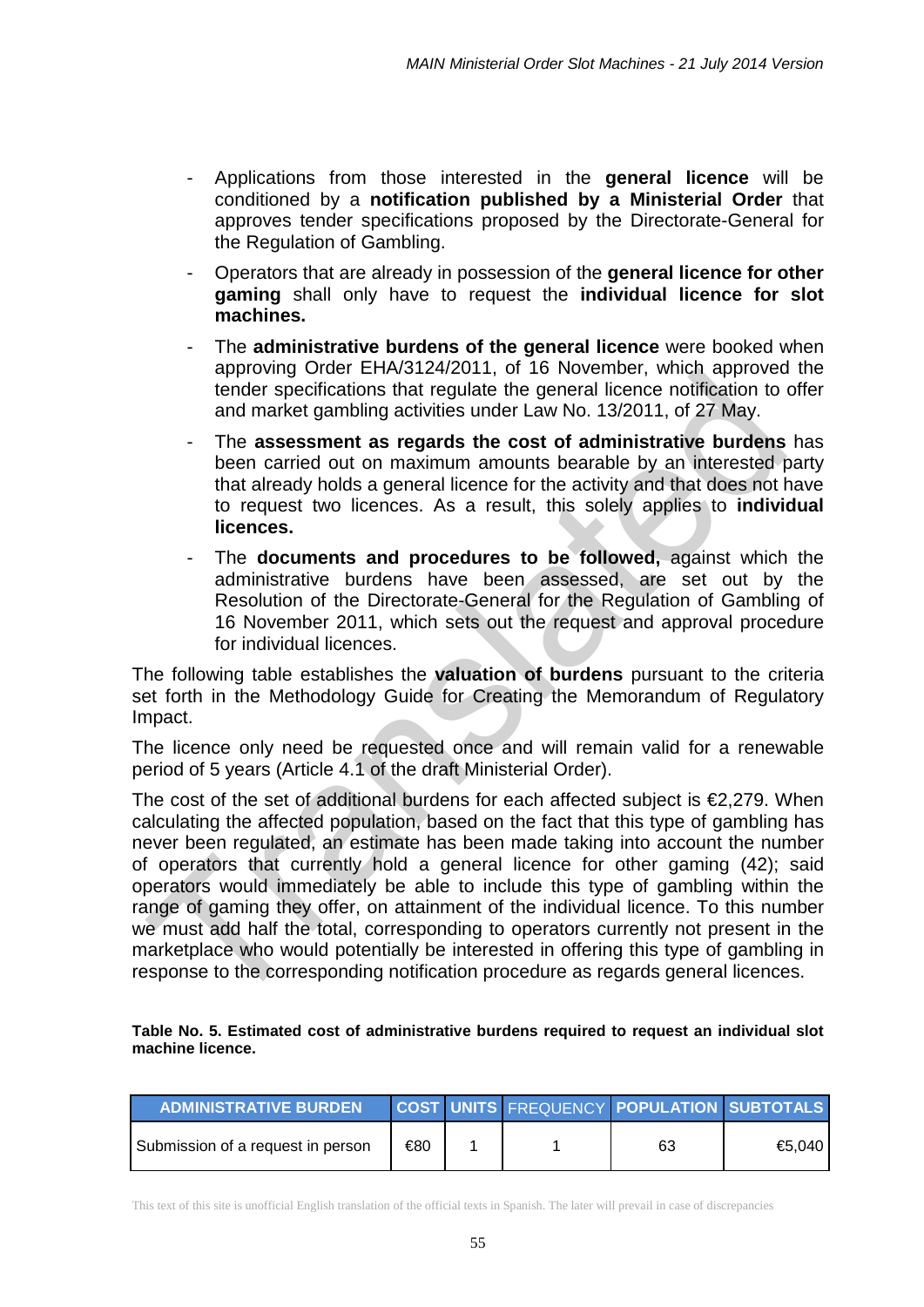- Applications from those interested in the **general licence** will be conditioned by a **notification published by a Ministerial Order** that approves tender specifications proposed by the Directorate-General for the Regulation of Gambling.
- Operators that are already in possession of the **general licence for other gaming** shall only have to request the **individual licence for slot machines.**
- The **administrative burdens of the general licence** were booked when approving Order EHA/3124/2011, of 16 November, which approved the tender specifications that regulate the general licence notification to offer and market gambling activities under Law No. 13/2011, of 27 May.
- The **assessment as regards the cost of administrative burdens** has been carried out on maximum amounts bearable by an interested party that already holds a general licence for the activity and that does not have to request two licences. As a result, this solely applies to **individual licences.**
- The **documents and procedures to be followed,** against which the administrative burdens have been assessed, are set out by the Resolution of the Directorate-General for the Regulation of Gambling of 16 November 2011, which sets out the request and approval procedure for individual licences.

The following table establishes the **valuation of burdens** pursuant to the criteria set forth in the Methodology Guide for Creating the Memorandum of Regulatory Impact.

The licence only need be requested once and will remain valid for a renewable period of 5 years (Article 4.1 of the draft Ministerial Order).

The cost of the set of additional burdens for each affected subject is  $\epsilon$ 2,279. When calculating the affected population, based on the fact that this type of gambling has never been regulated, an estimate has been made taking into account the number of operators that currently hold a general licence for other gaming (42); said operators would immediately be able to include this type of gambling within the range of gaming they offer, on attainment of the individual licence. To this number we must add half the total, corresponding to operators currently not present in the marketplace who would potentially be interested in offering this type of gambling in response to the corresponding notification procedure as regards general licences.

#### **Table No. 5. Estimated cost of administrative burdens required to request an individual slot machine licence.**

| <b>ADMINISTRATIVE BURDEN</b>      |     |  | <b>COST UNITS FREQUENCY POPULATION SUBTOTALS</b> |        |
|-----------------------------------|-----|--|--------------------------------------------------|--------|
| Submission of a request in person | €80 |  | 63                                               | €5.040 |